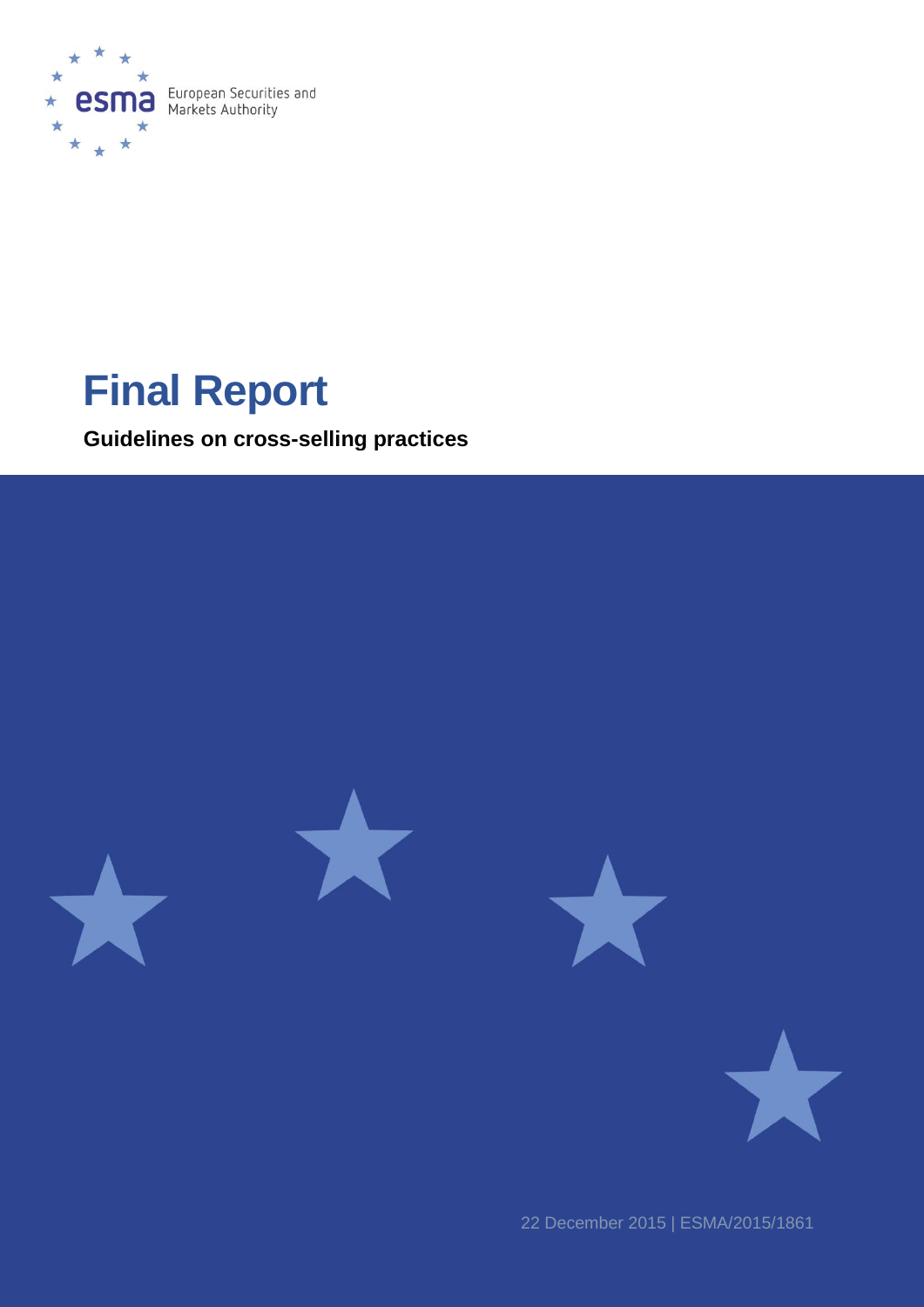

# **Final Report**

**Guidelines on cross-selling practices**



22 December 2015 | ESMA/2015/1861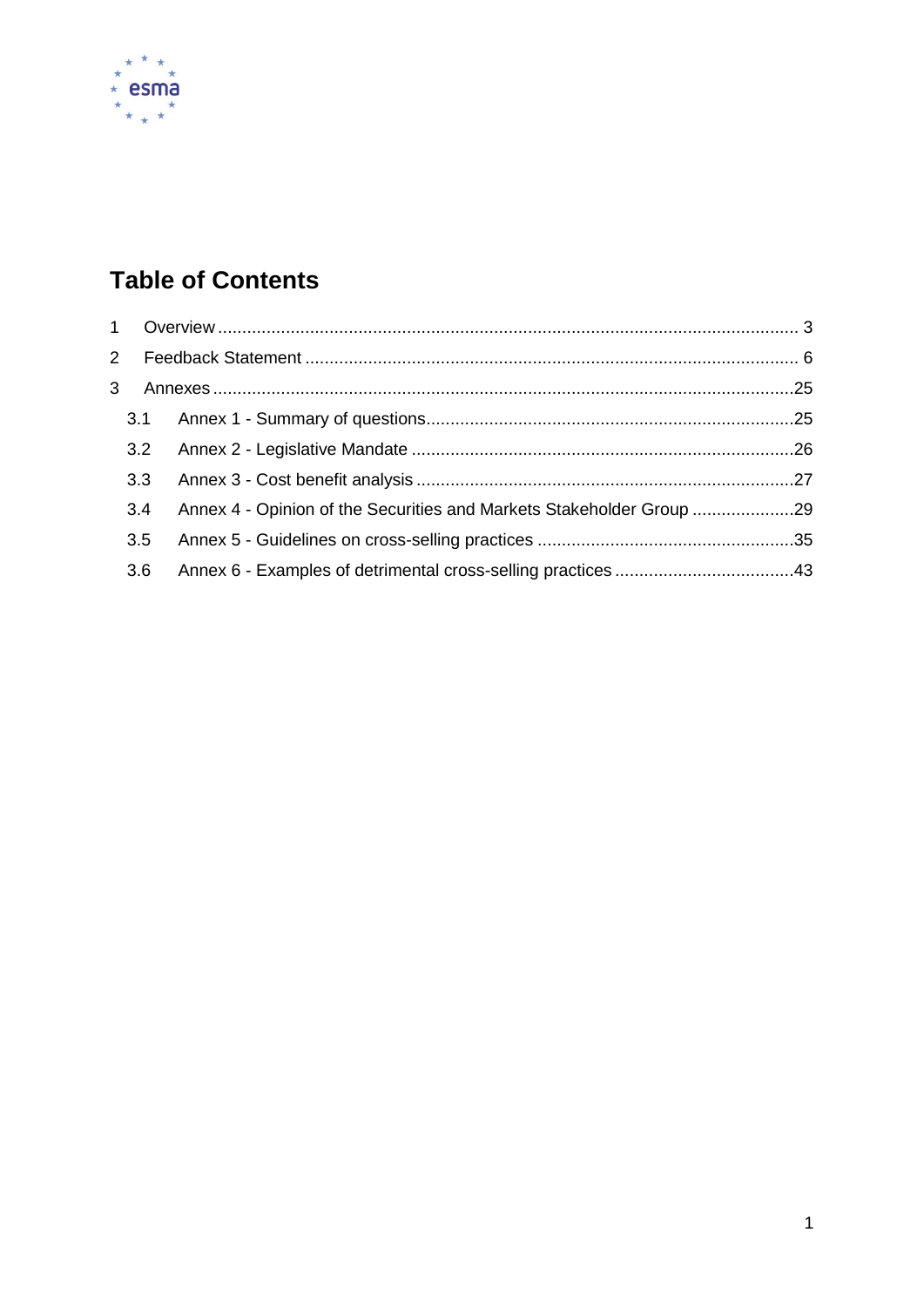

# **Table of Contents**

| 3.2 |                                                                      |  |  |  |  |  |
|-----|----------------------------------------------------------------------|--|--|--|--|--|
| 3.3 |                                                                      |  |  |  |  |  |
| 3.4 | Annex 4 - Opinion of the Securities and Markets Stakeholder Group 29 |  |  |  |  |  |
| 3.5 |                                                                      |  |  |  |  |  |
| 3.6 |                                                                      |  |  |  |  |  |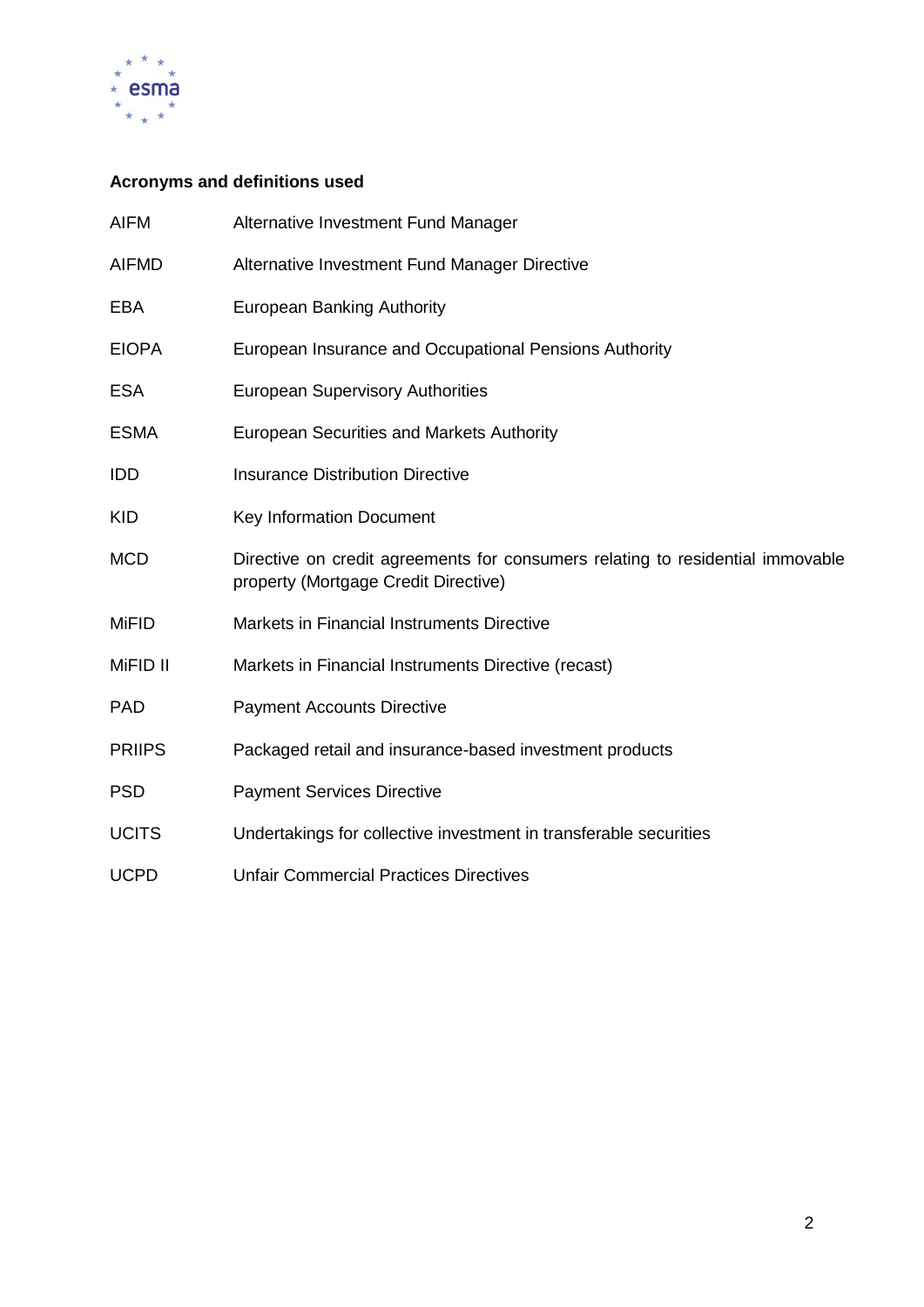

# **Acronyms and definitions used**

| <b>AIFM</b>   | Alternative Investment Fund Manager                                                                                    |
|---------------|------------------------------------------------------------------------------------------------------------------------|
| <b>AIFMD</b>  | Alternative Investment Fund Manager Directive                                                                          |
| EBA           | <b>European Banking Authority</b>                                                                                      |
| <b>EIOPA</b>  | European Insurance and Occupational Pensions Authority                                                                 |
| <b>ESA</b>    | <b>European Supervisory Authorities</b>                                                                                |
| <b>ESMA</b>   | <b>European Securities and Markets Authority</b>                                                                       |
| IDD           | <b>Insurance Distribution Directive</b>                                                                                |
| <b>KID</b>    | Key Information Document                                                                                               |
| <b>MCD</b>    | Directive on credit agreements for consumers relating to residential immovable<br>property (Mortgage Credit Directive) |
| <b>MiFID</b>  | Markets in Financial Instruments Directive                                                                             |
| MiFID II      | Markets in Financial Instruments Directive (recast)                                                                    |
| <b>PAD</b>    | <b>Payment Accounts Directive</b>                                                                                      |
| <b>PRIIPS</b> | Packaged retail and insurance-based investment products                                                                |
| <b>PSD</b>    | <b>Payment Services Directive</b>                                                                                      |
| <b>UCITS</b>  | Undertakings for collective investment in transferable securities                                                      |
| <b>UCPD</b>   | <b>Unfair Commercial Practices Directives</b>                                                                          |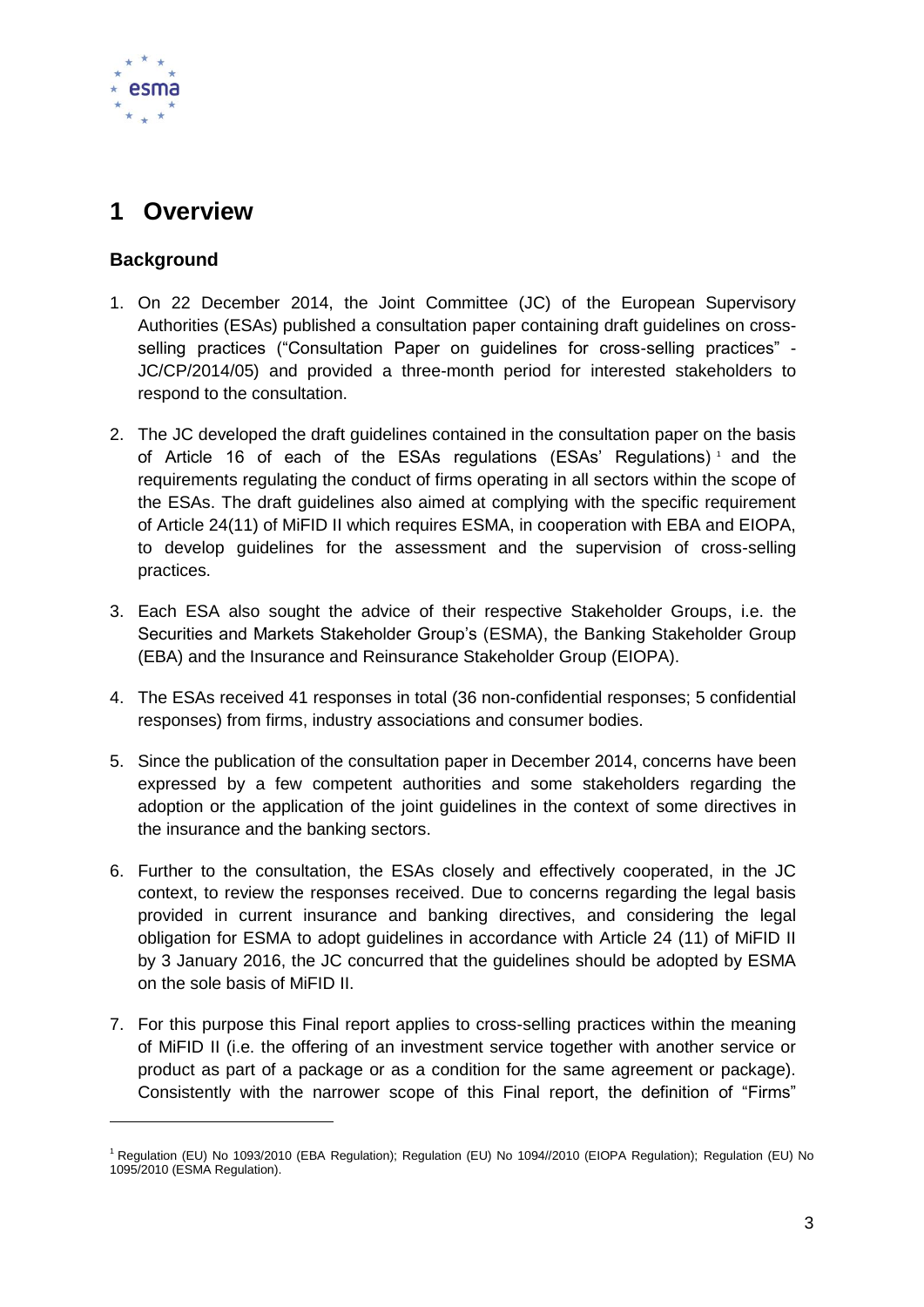

# <span id="page-3-0"></span>**1 Overview**

# **Background**

-

- 1. On 22 December 2014, the Joint Committee (JC) of the European Supervisory Authorities (ESAs) published a consultation paper containing draft guidelines on crossselling practices ("Consultation Paper on guidelines for cross-selling practices" - JC/CP/2014/05) and provided a three-month period for interested stakeholders to respond to the consultation.
- 2. The JC developed the draft guidelines contained in the consultation paper on the basis of Article 16 of each of the ESAs regulations (ESAs' Regulations) <sup>1</sup> and the requirements regulating the conduct of firms operating in all sectors within the scope of the ESAs. The draft guidelines also aimed at complying with the specific requirement of Article 24(11) of MiFID II which requires ESMA, in cooperation with EBA and EIOPA, to develop guidelines for the assessment and the supervision of cross-selling practices.
- 3. Each ESA also sought the advice of their respective Stakeholder Groups, i.e. the Securities and Markets Stakeholder Group's (ESMA), the Banking Stakeholder Group (EBA) and the Insurance and Reinsurance Stakeholder Group (EIOPA).
- 4. The ESAs received 41 responses in total (36 non-confidential responses; 5 confidential responses) from firms, industry associations and consumer bodies.
- 5. Since the publication of the consultation paper in December 2014, concerns have been expressed by a few competent authorities and some stakeholders regarding the adoption or the application of the joint guidelines in the context of some directives in the insurance and the banking sectors.
- 6. Further to the consultation, the ESAs closely and effectively cooperated, in the JC context, to review the responses received. Due to concerns regarding the legal basis provided in current insurance and banking directives, and considering the legal obligation for ESMA to adopt guidelines in accordance with Article 24 (11) of MiFID II by 3 January 2016, the JC concurred that the guidelines should be adopted by ESMA on the sole basis of MiFID II.
- 7. For this purpose this Final report applies to cross-selling practices within the meaning of MiFID II (i.e. the offering of an investment service together with another service or product as part of a package or as a condition for the same agreement or package). Consistently with the narrower scope of this Final report, the definition of "Firms"

<sup>&</sup>lt;sup>1</sup> Regulation (EU) No 1093/2010 (EBA Regulation); Regulation (EU) No 1094//2010 (EIOPA Regulation); Regulation (EU) No 1095/2010 (ESMA Regulation).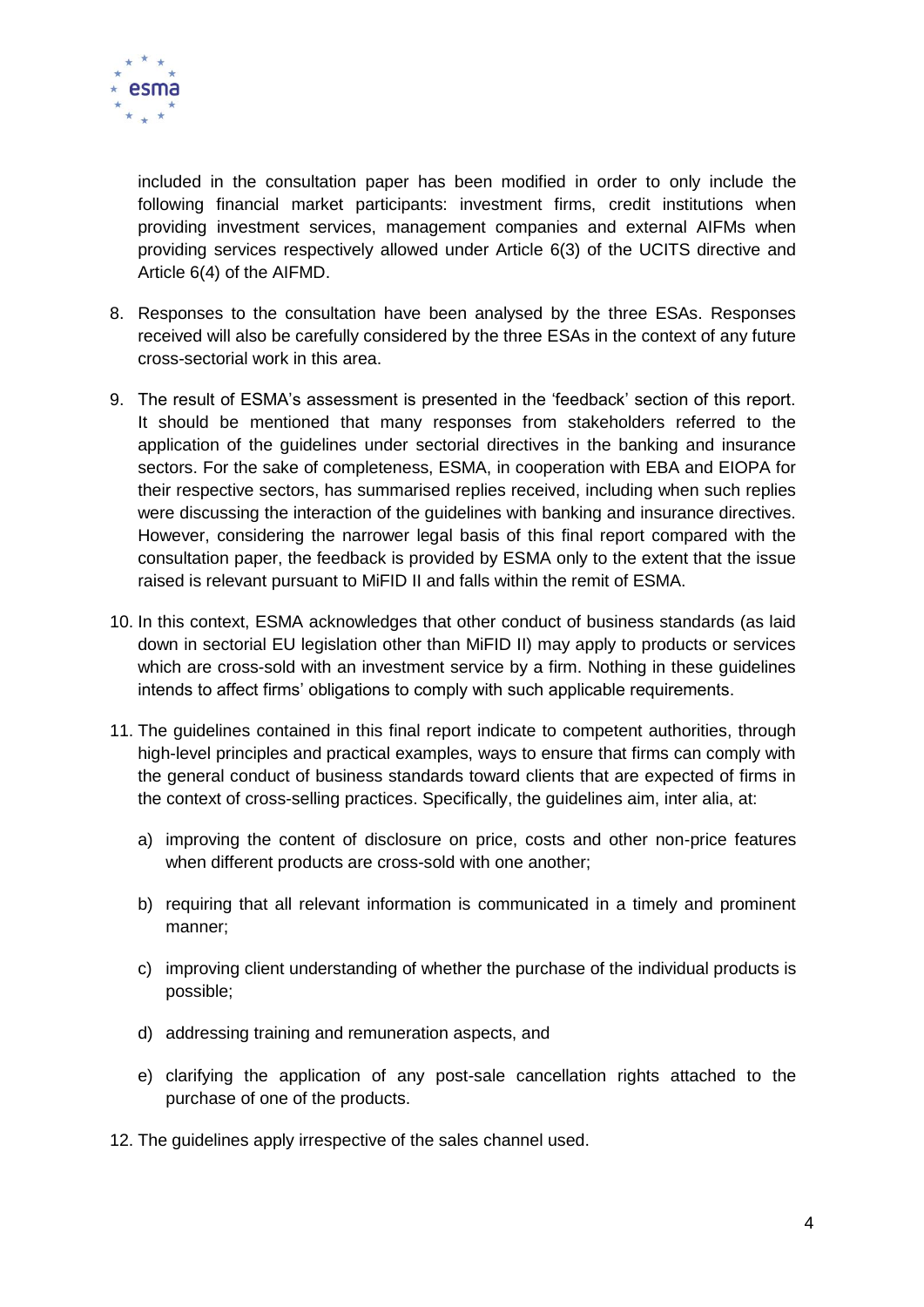

included in the consultation paper has been modified in order to only include the following financial market participants: investment firms, credit institutions when providing investment services, management companies and external AIFMs when providing services respectively allowed under Article 6(3) of the UCITS directive and Article 6(4) of the AIFMD.

- 8. Responses to the consultation have been analysed by the three ESAs. Responses received will also be carefully considered by the three ESAs in the context of any future cross-sectorial work in this area.
- 9. The result of ESMA's assessment is presented in the 'feedback' section of this report. It should be mentioned that many responses from stakeholders referred to the application of the guidelines under sectorial directives in the banking and insurance sectors. For the sake of completeness, ESMA, in cooperation with EBA and EIOPA for their respective sectors, has summarised replies received, including when such replies were discussing the interaction of the guidelines with banking and insurance directives. However, considering the narrower legal basis of this final report compared with the consultation paper, the feedback is provided by ESMA only to the extent that the issue raised is relevant pursuant to MiFID II and falls within the remit of ESMA.
- 10. In this context, ESMA acknowledges that other conduct of business standards (as laid down in sectorial EU legislation other than MiFID II) may apply to products or services which are cross-sold with an investment service by a firm. Nothing in these guidelines intends to affect firms' obligations to comply with such applicable requirements.
- 11. The guidelines contained in this final report indicate to competent authorities, through high-level principles and practical examples, ways to ensure that firms can comply with the general conduct of business standards toward clients that are expected of firms in the context of cross-selling practices. Specifically, the guidelines aim, inter alia, at:
	- a) improving the content of disclosure on price, costs and other non-price features when different products are cross-sold with one another;
	- b) requiring that all relevant information is communicated in a timely and prominent manner;
	- c) improving client understanding of whether the purchase of the individual products is possible;
	- d) addressing training and remuneration aspects, and
	- e) clarifying the application of any post-sale cancellation rights attached to the purchase of one of the products.
- 12. The guidelines apply irrespective of the sales channel used.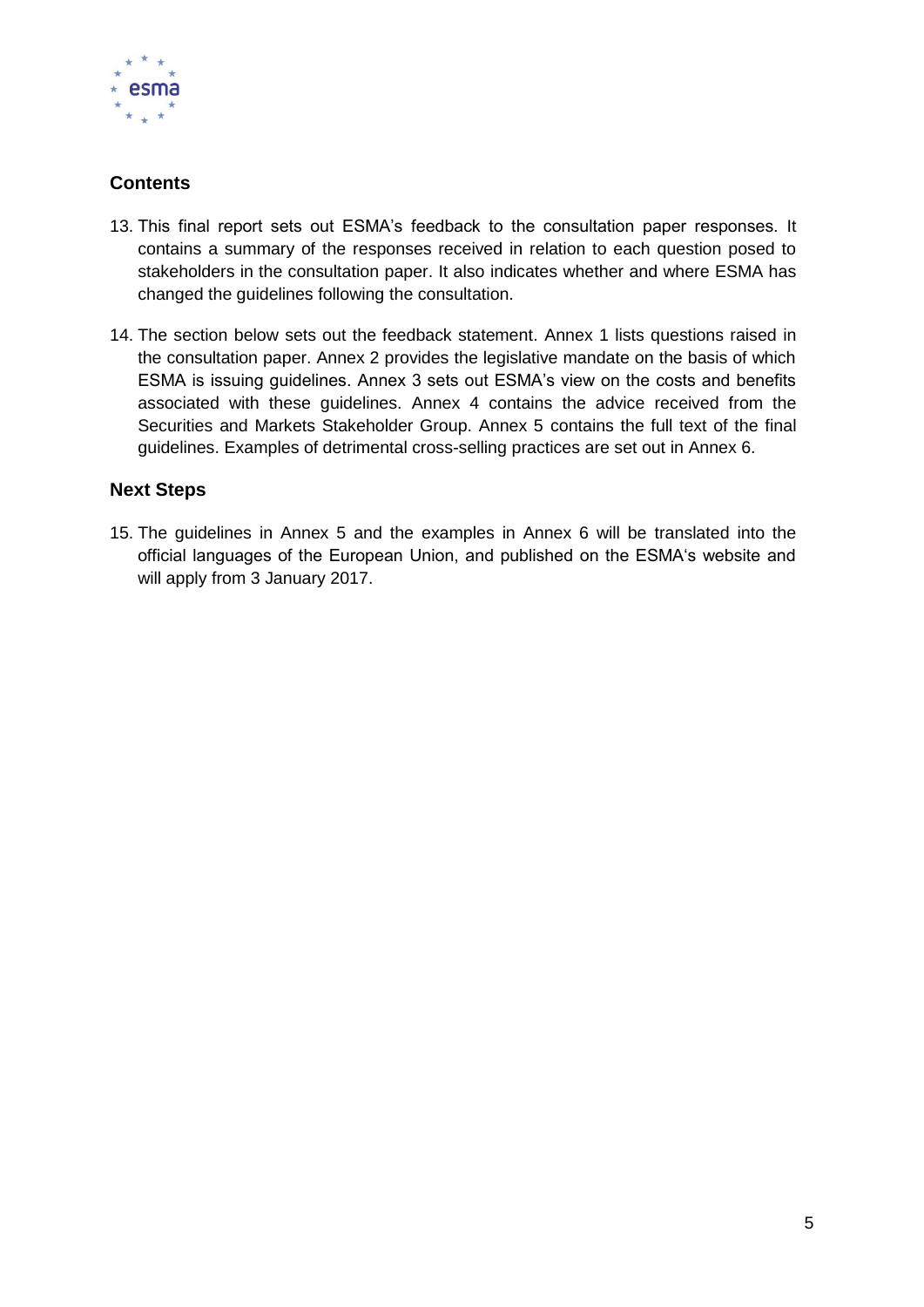

# **Contents**

- 13. This final report sets out ESMA's feedback to the consultation paper responses. It contains a summary of the responses received in relation to each question posed to stakeholders in the consultation paper. It also indicates whether and where ESMA has changed the guidelines following the consultation.
- 14. The section below sets out the feedback statement. Annex 1 lists questions raised in the consultation paper. Annex 2 provides the legislative mandate on the basis of which ESMA is issuing guidelines. Annex 3 sets out ESMA's view on the costs and benefits associated with these guidelines. Annex 4 contains the advice received from the Securities and Markets Stakeholder Group. Annex 5 contains the full text of the final guidelines. Examples of detrimental cross-selling practices are set out in Annex 6.

# **Next Steps**

15. The guidelines in Annex 5 and the examples in Annex 6 will be translated into the official languages of the European Union, and published on the ESMA's website and will apply from 3 January 2017.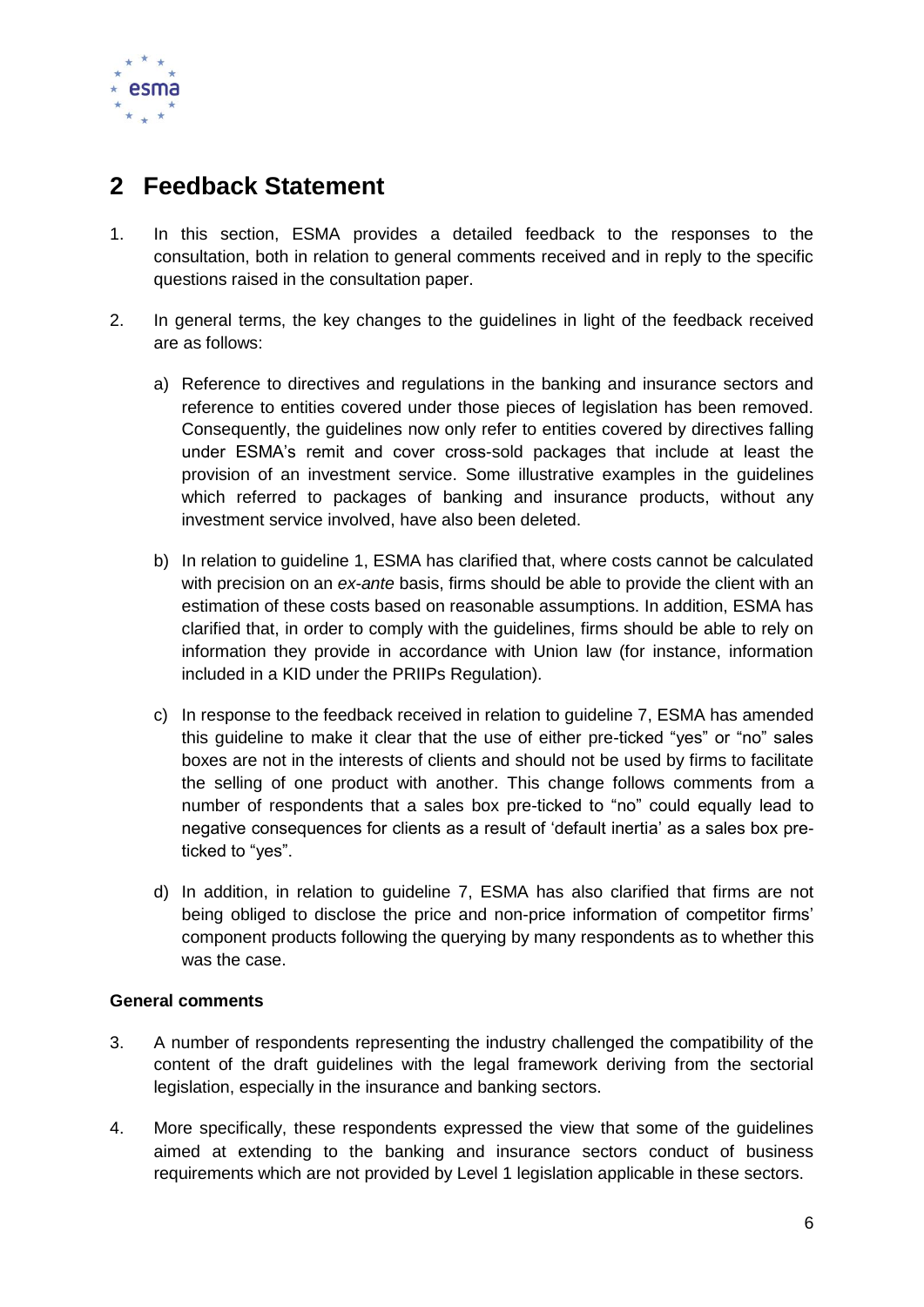

# <span id="page-6-0"></span>**2 Feedback Statement**

- 1. In this section, ESMA provides a detailed feedback to the responses to the consultation, both in relation to general comments received and in reply to the specific questions raised in the consultation paper.
- 2. In general terms, the key changes to the guidelines in light of the feedback received are as follows:
	- a) Reference to directives and regulations in the banking and insurance sectors and reference to entities covered under those pieces of legislation has been removed. Consequently, the guidelines now only refer to entities covered by directives falling under ESMA's remit and cover cross-sold packages that include at least the provision of an investment service. Some illustrative examples in the guidelines which referred to packages of banking and insurance products, without any investment service involved, have also been deleted.
	- b) In relation to guideline 1, ESMA has clarified that, where costs cannot be calculated with precision on an *ex-ante* basis, firms should be able to provide the client with an estimation of these costs based on reasonable assumptions. In addition, ESMA has clarified that, in order to comply with the guidelines, firms should be able to rely on information they provide in accordance with Union law (for instance, information included in a KID under the PRIIPs Regulation).
	- c) In response to the feedback received in relation to guideline 7, ESMA has amended this guideline to make it clear that the use of either pre-ticked "yes" or "no" sales boxes are not in the interests of clients and should not be used by firms to facilitate the selling of one product with another. This change follows comments from a number of respondents that a sales box pre-ticked to "no" could equally lead to negative consequences for clients as a result of 'default inertia' as a sales box preticked to "yes".
	- d) In addition, in relation to guideline 7, ESMA has also clarified that firms are not being obliged to disclose the price and non-price information of competitor firms' component products following the querying by many respondents as to whether this was the case.

# **General comments**

- 3. A number of respondents representing the industry challenged the compatibility of the content of the draft guidelines with the legal framework deriving from the sectorial legislation, especially in the insurance and banking sectors.
- 4. More specifically, these respondents expressed the view that some of the guidelines aimed at extending to the banking and insurance sectors conduct of business requirements which are not provided by Level 1 legislation applicable in these sectors.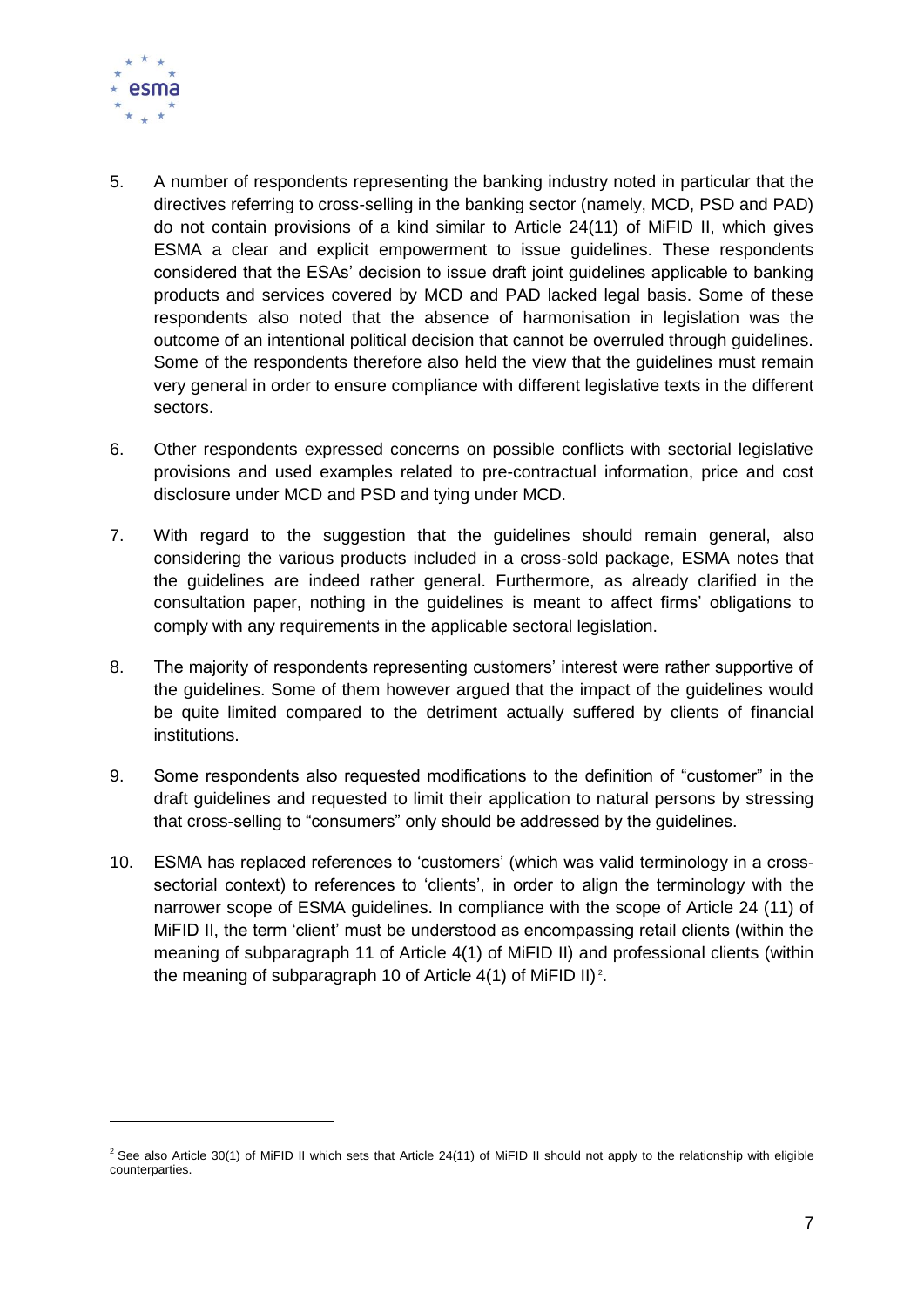

-

- 5. A number of respondents representing the banking industry noted in particular that the directives referring to cross-selling in the banking sector (namely, MCD, PSD and PAD) do not contain provisions of a kind similar to Article 24(11) of MiFID II, which gives ESMA a clear and explicit empowerment to issue guidelines. These respondents considered that the ESAs' decision to issue draft joint guidelines applicable to banking products and services covered by MCD and PAD lacked legal basis. Some of these respondents also noted that the absence of harmonisation in legislation was the outcome of an intentional political decision that cannot be overruled through guidelines. Some of the respondents therefore also held the view that the guidelines must remain very general in order to ensure compliance with different legislative texts in the different sectors.
- 6. Other respondents expressed concerns on possible conflicts with sectorial legislative provisions and used examples related to pre-contractual information, price and cost disclosure under MCD and PSD and tying under MCD.
- 7. With regard to the suggestion that the guidelines should remain general, also considering the various products included in a cross-sold package, ESMA notes that the guidelines are indeed rather general. Furthermore, as already clarified in the consultation paper, nothing in the guidelines is meant to affect firms' obligations to comply with any requirements in the applicable sectoral legislation.
- 8. The majority of respondents representing customers' interest were rather supportive of the guidelines. Some of them however argued that the impact of the guidelines would be quite limited compared to the detriment actually suffered by clients of financial institutions.
- 9. Some respondents also requested modifications to the definition of "customer" in the draft guidelines and requested to limit their application to natural persons by stressing that cross-selling to "consumers" only should be addressed by the guidelines.
- 10. ESMA has replaced references to 'customers' (which was valid terminology in a crosssectorial context) to references to 'clients', in order to align the terminology with the narrower scope of ESMA guidelines. In compliance with the scope of Article 24 (11) of MiFID II, the term 'client' must be understood as encompassing retail clients (within the meaning of subparagraph 11 of Article 4(1) of MiFID II) and professional clients (within the meaning of subparagraph 10 of Article  $4(1)$  of MiFID II)<sup>2</sup>.

 $2$  See also Article 30(1) of MiFID II which sets that Article 24(11) of MiFID II should not apply to the relationship with eligible counterparties.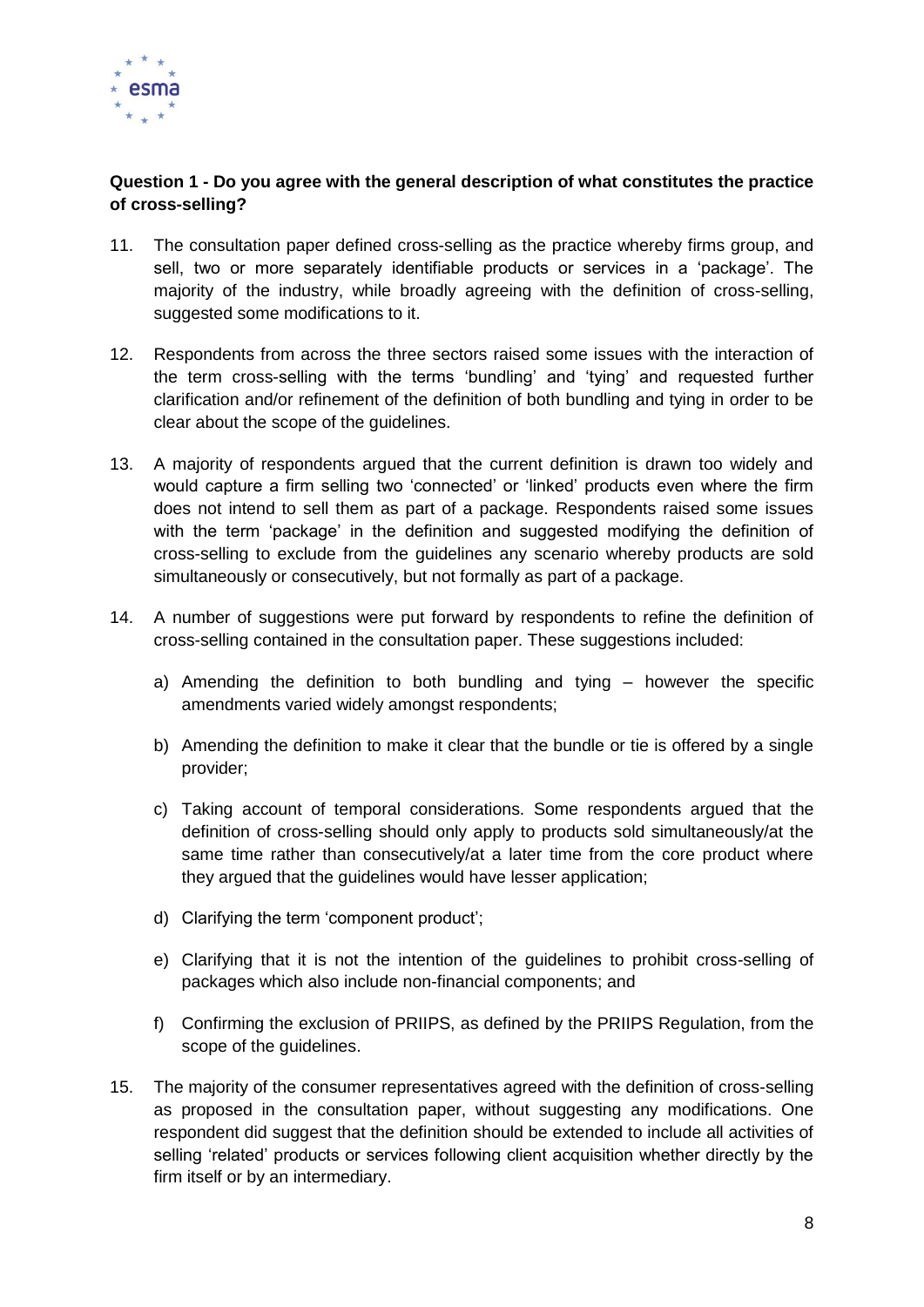

# **Question 1 - Do you agree with the general description of what constitutes the practice of cross-selling?**

- 11. The consultation paper defined cross-selling as the practice whereby firms group, and sell, two or more separately identifiable products or services in a 'package'. The majority of the industry, while broadly agreeing with the definition of cross-selling, suggested some modifications to it.
- 12. Respondents from across the three sectors raised some issues with the interaction of the term cross-selling with the terms 'bundling' and 'tying' and requested further clarification and/or refinement of the definition of both bundling and tying in order to be clear about the scope of the guidelines.
- 13. A majority of respondents argued that the current definition is drawn too widely and would capture a firm selling two 'connected' or 'linked' products even where the firm does not intend to sell them as part of a package. Respondents raised some issues with the term 'package' in the definition and suggested modifying the definition of cross-selling to exclude from the guidelines any scenario whereby products are sold simultaneously or consecutively, but not formally as part of a package.
- 14. A number of suggestions were put forward by respondents to refine the definition of cross-selling contained in the consultation paper. These suggestions included:
	- a) Amending the definition to both bundling and tying however the specific amendments varied widely amongst respondents;
	- b) Amending the definition to make it clear that the bundle or tie is offered by a single provider;
	- c) Taking account of temporal considerations. Some respondents argued that the definition of cross-selling should only apply to products sold simultaneously/at the same time rather than consecutively/at a later time from the core product where they argued that the guidelines would have lesser application;
	- d) Clarifying the term 'component product';
	- e) Clarifying that it is not the intention of the guidelines to prohibit cross-selling of packages which also include non-financial components; and
	- f) Confirming the exclusion of PRIIPS, as defined by the PRIIPS Regulation, from the scope of the guidelines.
- 15. The majority of the consumer representatives agreed with the definition of cross-selling as proposed in the consultation paper, without suggesting any modifications. One respondent did suggest that the definition should be extended to include all activities of selling 'related' products or services following client acquisition whether directly by the firm itself or by an intermediary.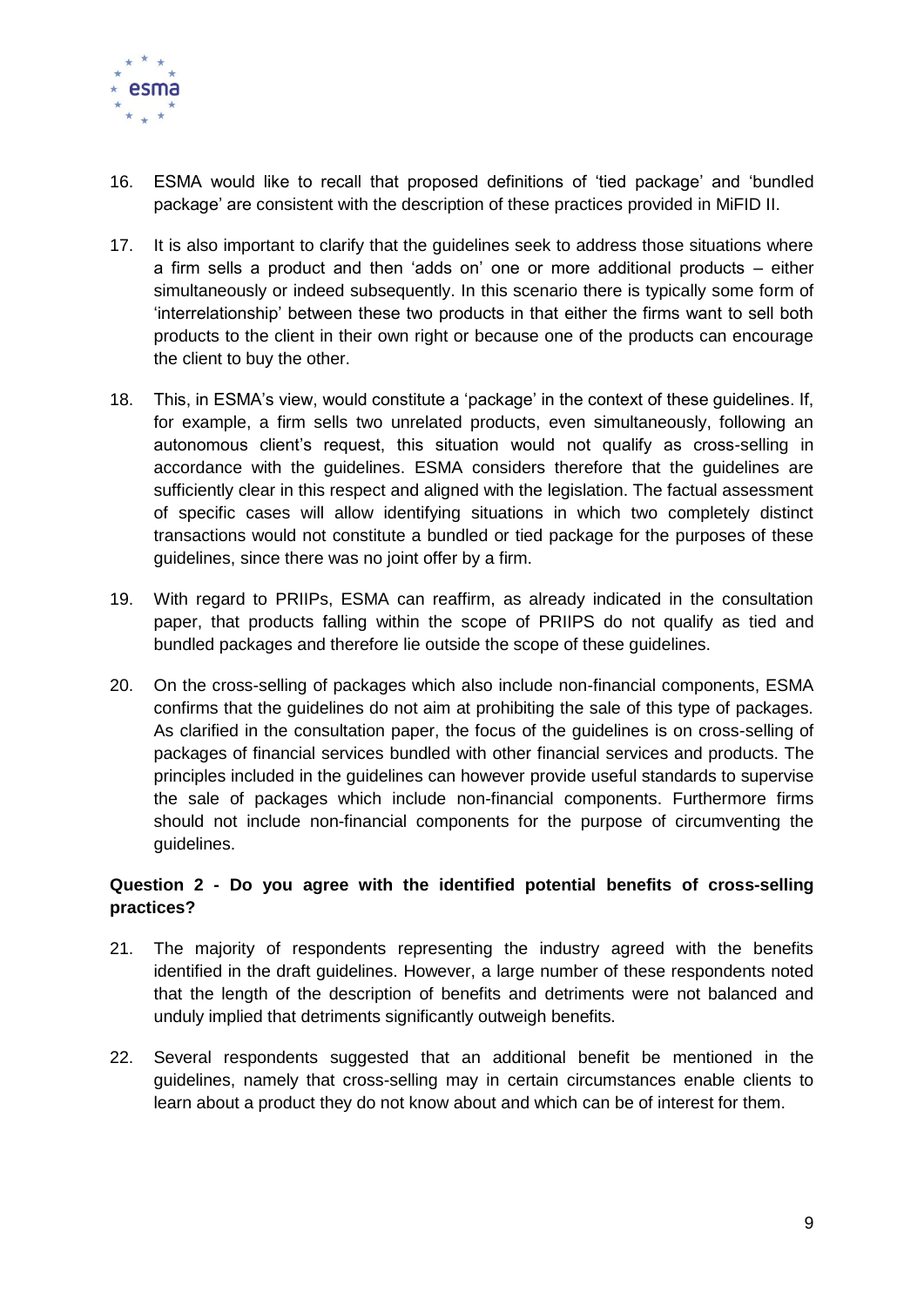

- 16. ESMA would like to recall that proposed definitions of 'tied package' and 'bundled package' are consistent with the description of these practices provided in MiFID II.
- 17. It is also important to clarify that the guidelines seek to address those situations where a firm sells a product and then 'adds on' one or more additional products – either simultaneously or indeed subsequently. In this scenario there is typically some form of 'interrelationship' between these two products in that either the firms want to sell both products to the client in their own right or because one of the products can encourage the client to buy the other.
- 18. This, in ESMA's view, would constitute a 'package' in the context of these guidelines. If, for example, a firm sells two unrelated products, even simultaneously, following an autonomous client's request, this situation would not qualify as cross-selling in accordance with the guidelines. ESMA considers therefore that the guidelines are sufficiently clear in this respect and aligned with the legislation. The factual assessment of specific cases will allow identifying situations in which two completely distinct transactions would not constitute a bundled or tied package for the purposes of these guidelines, since there was no joint offer by a firm.
- 19. With regard to PRIIPs, ESMA can reaffirm, as already indicated in the consultation paper, that products falling within the scope of PRIIPS do not qualify as tied and bundled packages and therefore lie outside the scope of these guidelines.
- 20. On the cross-selling of packages which also include non-financial components, ESMA confirms that the guidelines do not aim at prohibiting the sale of this type of packages. As clarified in the consultation paper, the focus of the guidelines is on cross-selling of packages of financial services bundled with other financial services and products. The principles included in the guidelines can however provide useful standards to supervise the sale of packages which include non-financial components. Furthermore firms should not include non-financial components for the purpose of circumventing the guidelines.

#### **Question 2 - Do you agree with the identified potential benefits of cross-selling practices?**

- 21. The majority of respondents representing the industry agreed with the benefits identified in the draft guidelines. However, a large number of these respondents noted that the length of the description of benefits and detriments were not balanced and unduly implied that detriments significantly outweigh benefits.
- 22. Several respondents suggested that an additional benefit be mentioned in the guidelines, namely that cross-selling may in certain circumstances enable clients to learn about a product they do not know about and which can be of interest for them.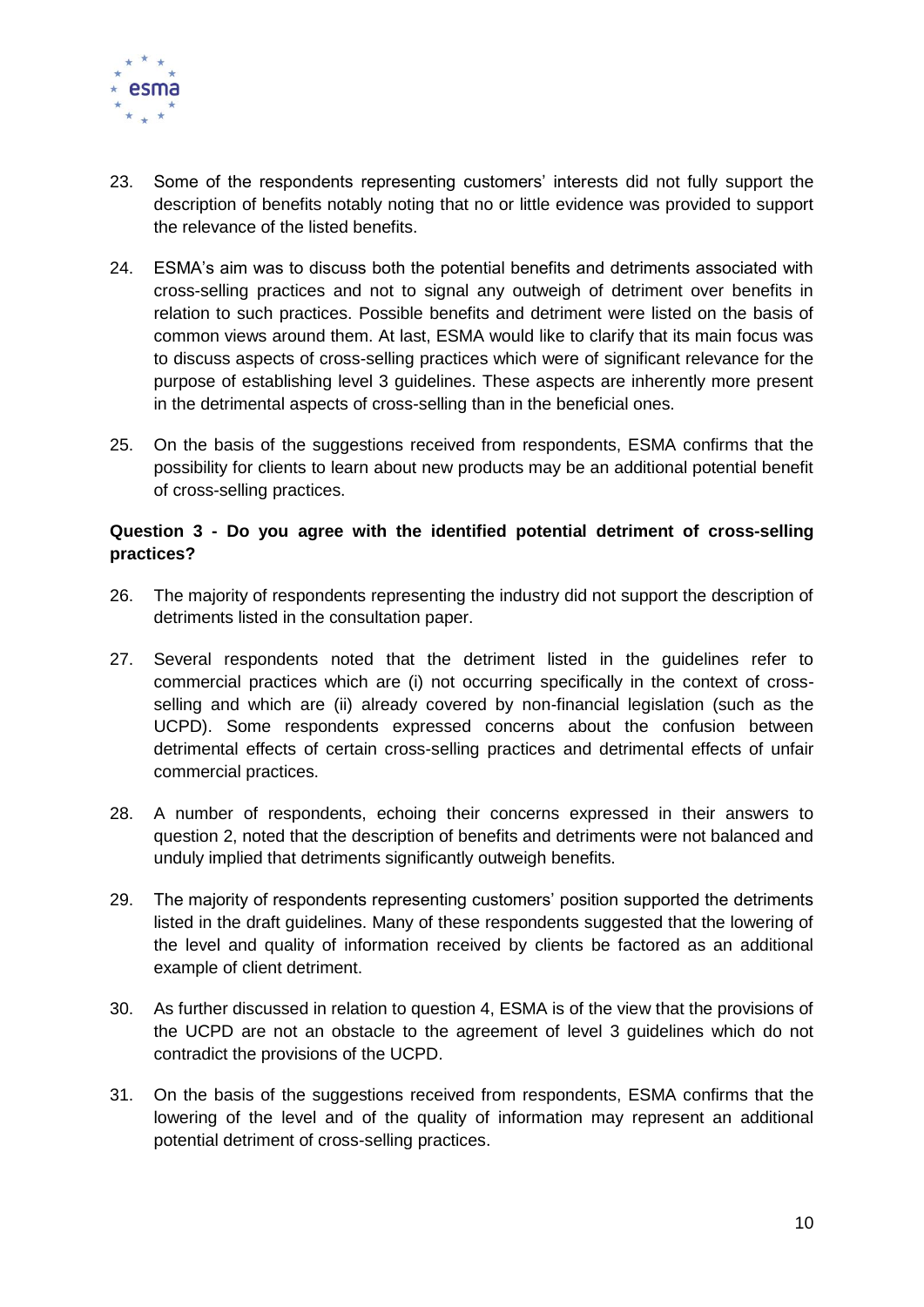

- 23. Some of the respondents representing customers' interests did not fully support the description of benefits notably noting that no or little evidence was provided to support the relevance of the listed benefits.
- 24. ESMA's aim was to discuss both the potential benefits and detriments associated with cross-selling practices and not to signal any outweigh of detriment over benefits in relation to such practices. Possible benefits and detriment were listed on the basis of common views around them. At last, ESMA would like to clarify that its main focus was to discuss aspects of cross-selling practices which were of significant relevance for the purpose of establishing level 3 guidelines. These aspects are inherently more present in the detrimental aspects of cross-selling than in the beneficial ones.
- 25. On the basis of the suggestions received from respondents, ESMA confirms that the possibility for clients to learn about new products may be an additional potential benefit of cross-selling practices.

#### **Question 3 - Do you agree with the identified potential detriment of cross-selling practices?**

- 26. The majority of respondents representing the industry did not support the description of detriments listed in the consultation paper.
- 27. Several respondents noted that the detriment listed in the guidelines refer to commercial practices which are (i) not occurring specifically in the context of crossselling and which are (ii) already covered by non-financial legislation (such as the UCPD). Some respondents expressed concerns about the confusion between detrimental effects of certain cross-selling practices and detrimental effects of unfair commercial practices.
- 28. A number of respondents, echoing their concerns expressed in their answers to question 2, noted that the description of benefits and detriments were not balanced and unduly implied that detriments significantly outweigh benefits.
- 29. The majority of respondents representing customers' position supported the detriments listed in the draft guidelines. Many of these respondents suggested that the lowering of the level and quality of information received by clients be factored as an additional example of client detriment.
- 30. As further discussed in relation to question 4, ESMA is of the view that the provisions of the UCPD are not an obstacle to the agreement of level 3 guidelines which do not contradict the provisions of the UCPD.
- 31. On the basis of the suggestions received from respondents, ESMA confirms that the lowering of the level and of the quality of information may represent an additional potential detriment of cross-selling practices.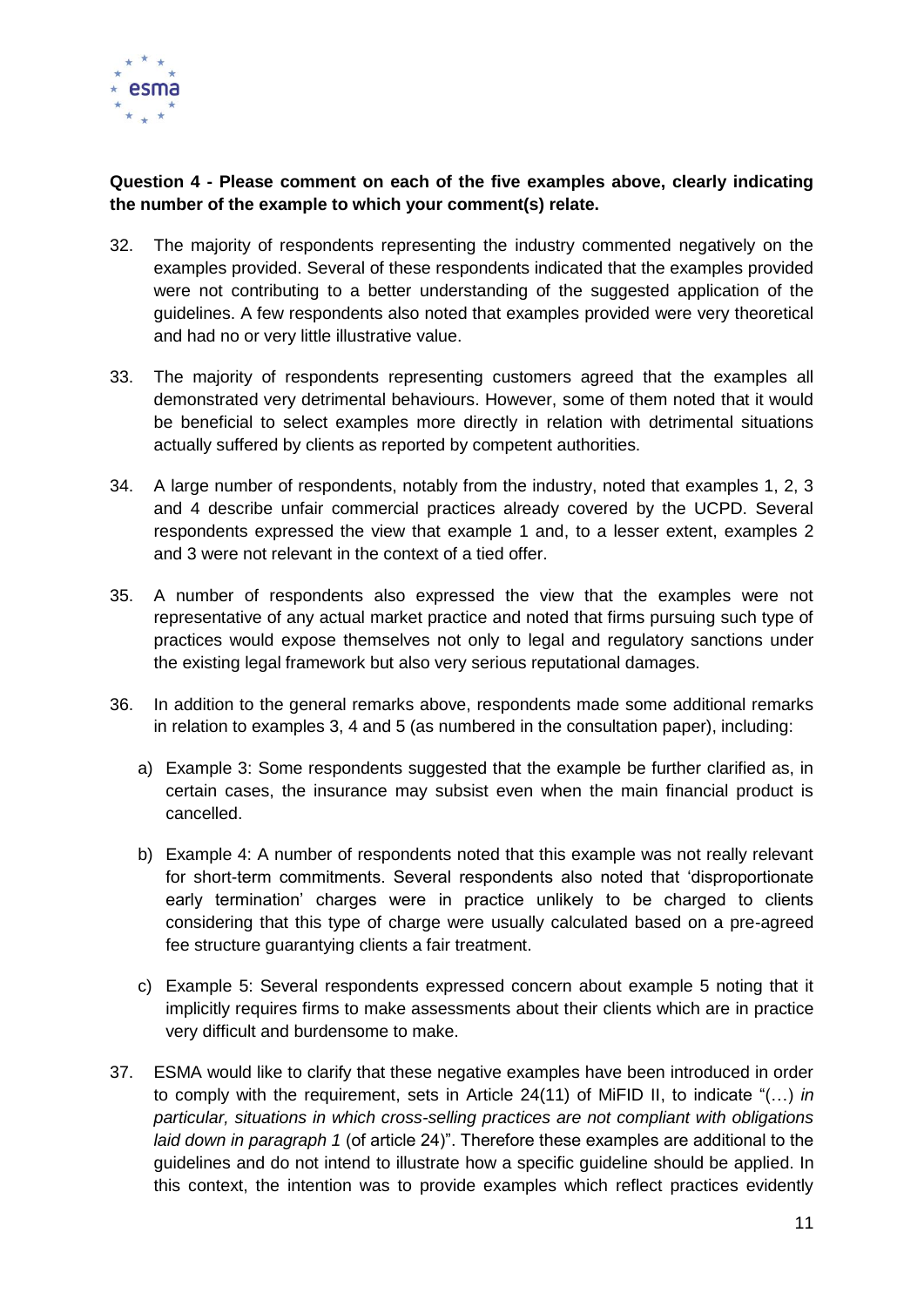

# **Question 4 - Please comment on each of the five examples above, clearly indicating the number of the example to which your comment(s) relate.**

- 32. The majority of respondents representing the industry commented negatively on the examples provided. Several of these respondents indicated that the examples provided were not contributing to a better understanding of the suggested application of the guidelines. A few respondents also noted that examples provided were very theoretical and had no or very little illustrative value.
- 33. The majority of respondents representing customers agreed that the examples all demonstrated very detrimental behaviours. However, some of them noted that it would be beneficial to select examples more directly in relation with detrimental situations actually suffered by clients as reported by competent authorities.
- 34. A large number of respondents, notably from the industry, noted that examples 1, 2, 3 and 4 describe unfair commercial practices already covered by the UCPD. Several respondents expressed the view that example 1 and, to a lesser extent, examples 2 and 3 were not relevant in the context of a tied offer.
- 35. A number of respondents also expressed the view that the examples were not representative of any actual market practice and noted that firms pursuing such type of practices would expose themselves not only to legal and regulatory sanctions under the existing legal framework but also very serious reputational damages.
- 36. In addition to the general remarks above, respondents made some additional remarks in relation to examples 3, 4 and 5 (as numbered in the consultation paper), including:
	- a) Example 3: Some respondents suggested that the example be further clarified as, in certain cases, the insurance may subsist even when the main financial product is cancelled.
	- b) Example 4: A number of respondents noted that this example was not really relevant for short-term commitments. Several respondents also noted that 'disproportionate early termination' charges were in practice unlikely to be charged to clients considering that this type of charge were usually calculated based on a pre-agreed fee structure guarantying clients a fair treatment.
	- c) Example 5: Several respondents expressed concern about example 5 noting that it implicitly requires firms to make assessments about their clients which are in practice very difficult and burdensome to make.
- 37. ESMA would like to clarify that these negative examples have been introduced in order to comply with the requirement, sets in Article 24(11) of MiFID II, to indicate "(…) *in particular, situations in which cross-selling practices are not compliant with obligations laid down in paragraph 1* (of article 24)". Therefore these examples are additional to the guidelines and do not intend to illustrate how a specific guideline should be applied. In this context, the intention was to provide examples which reflect practices evidently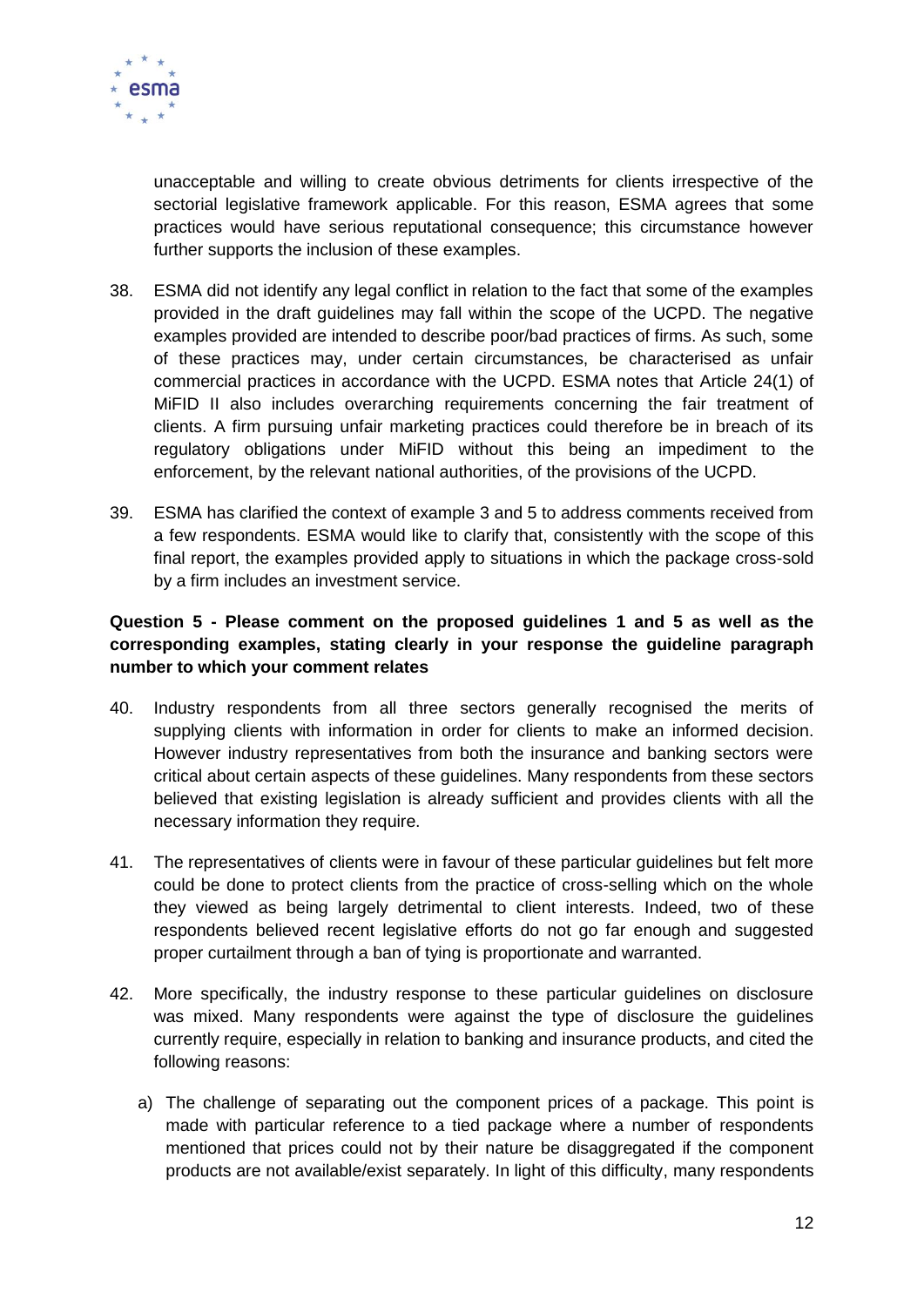

unacceptable and willing to create obvious detriments for clients irrespective of the sectorial legislative framework applicable. For this reason, ESMA agrees that some practices would have serious reputational consequence; this circumstance however further supports the inclusion of these examples.

- 38. ESMA did not identify any legal conflict in relation to the fact that some of the examples provided in the draft guidelines may fall within the scope of the UCPD. The negative examples provided are intended to describe poor/bad practices of firms. As such, some of these practices may, under certain circumstances, be characterised as unfair commercial practices in accordance with the UCPD. ESMA notes that Article 24(1) of MiFID II also includes overarching requirements concerning the fair treatment of clients. A firm pursuing unfair marketing practices could therefore be in breach of its regulatory obligations under MiFID without this being an impediment to the enforcement, by the relevant national authorities, of the provisions of the UCPD.
- 39. ESMA has clarified the context of example 3 and 5 to address comments received from a few respondents. ESMA would like to clarify that, consistently with the scope of this final report, the examples provided apply to situations in which the package cross-sold by a firm includes an investment service.

# **Question 5 - Please comment on the proposed guidelines 1 and 5 as well as the corresponding examples, stating clearly in your response the guideline paragraph number to which your comment relates**

- 40. Industry respondents from all three sectors generally recognised the merits of supplying clients with information in order for clients to make an informed decision. However industry representatives from both the insurance and banking sectors were critical about certain aspects of these guidelines. Many respondents from these sectors believed that existing legislation is already sufficient and provides clients with all the necessary information they require.
- 41. The representatives of clients were in favour of these particular guidelines but felt more could be done to protect clients from the practice of cross-selling which on the whole they viewed as being largely detrimental to client interests. Indeed, two of these respondents believed recent legislative efforts do not go far enough and suggested proper curtailment through a ban of tying is proportionate and warranted.
- 42. More specifically, the industry response to these particular guidelines on disclosure was mixed. Many respondents were against the type of disclosure the guidelines currently require, especially in relation to banking and insurance products, and cited the following reasons:
	- a) The challenge of separating out the component prices of a package. This point is made with particular reference to a tied package where a number of respondents mentioned that prices could not by their nature be disaggregated if the component products are not available/exist separately. In light of this difficulty, many respondents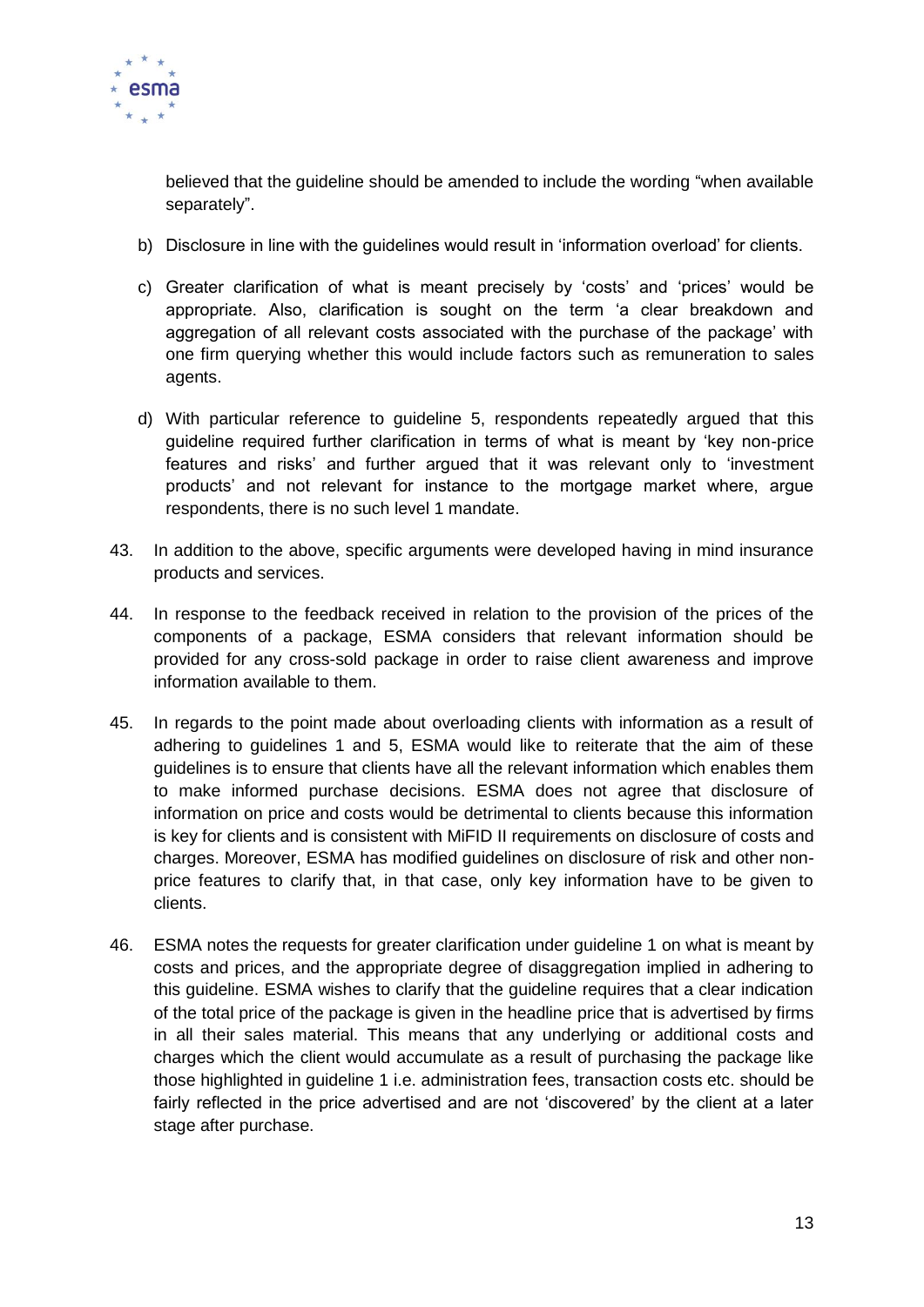

believed that the guideline should be amended to include the wording "when available separately".

- b) Disclosure in line with the guidelines would result in 'information overload' for clients.
- c) Greater clarification of what is meant precisely by 'costs' and 'prices' would be appropriate. Also, clarification is sought on the term 'a clear breakdown and aggregation of all relevant costs associated with the purchase of the package' with one firm querying whether this would include factors such as remuneration to sales agents.
- d) With particular reference to guideline 5, respondents repeatedly argued that this guideline required further clarification in terms of what is meant by 'key non-price features and risks' and further argued that it was relevant only to 'investment products' and not relevant for instance to the mortgage market where, argue respondents, there is no such level 1 mandate.
- 43. In addition to the above, specific arguments were developed having in mind insurance products and services.
- 44. In response to the feedback received in relation to the provision of the prices of the components of a package, ESMA considers that relevant information should be provided for any cross-sold package in order to raise client awareness and improve information available to them.
- 45. In regards to the point made about overloading clients with information as a result of adhering to guidelines 1 and 5, ESMA would like to reiterate that the aim of these guidelines is to ensure that clients have all the relevant information which enables them to make informed purchase decisions. ESMA does not agree that disclosure of information on price and costs would be detrimental to clients because this information is key for clients and is consistent with MiFID II requirements on disclosure of costs and charges. Moreover, ESMA has modified guidelines on disclosure of risk and other nonprice features to clarify that, in that case, only key information have to be given to clients.
- 46. ESMA notes the requests for greater clarification under guideline 1 on what is meant by costs and prices, and the appropriate degree of disaggregation implied in adhering to this guideline. ESMA wishes to clarify that the guideline requires that a clear indication of the total price of the package is given in the headline price that is advertised by firms in all their sales material. This means that any underlying or additional costs and charges which the client would accumulate as a result of purchasing the package like those highlighted in guideline 1 i.e. administration fees, transaction costs etc. should be fairly reflected in the price advertised and are not 'discovered' by the client at a later stage after purchase.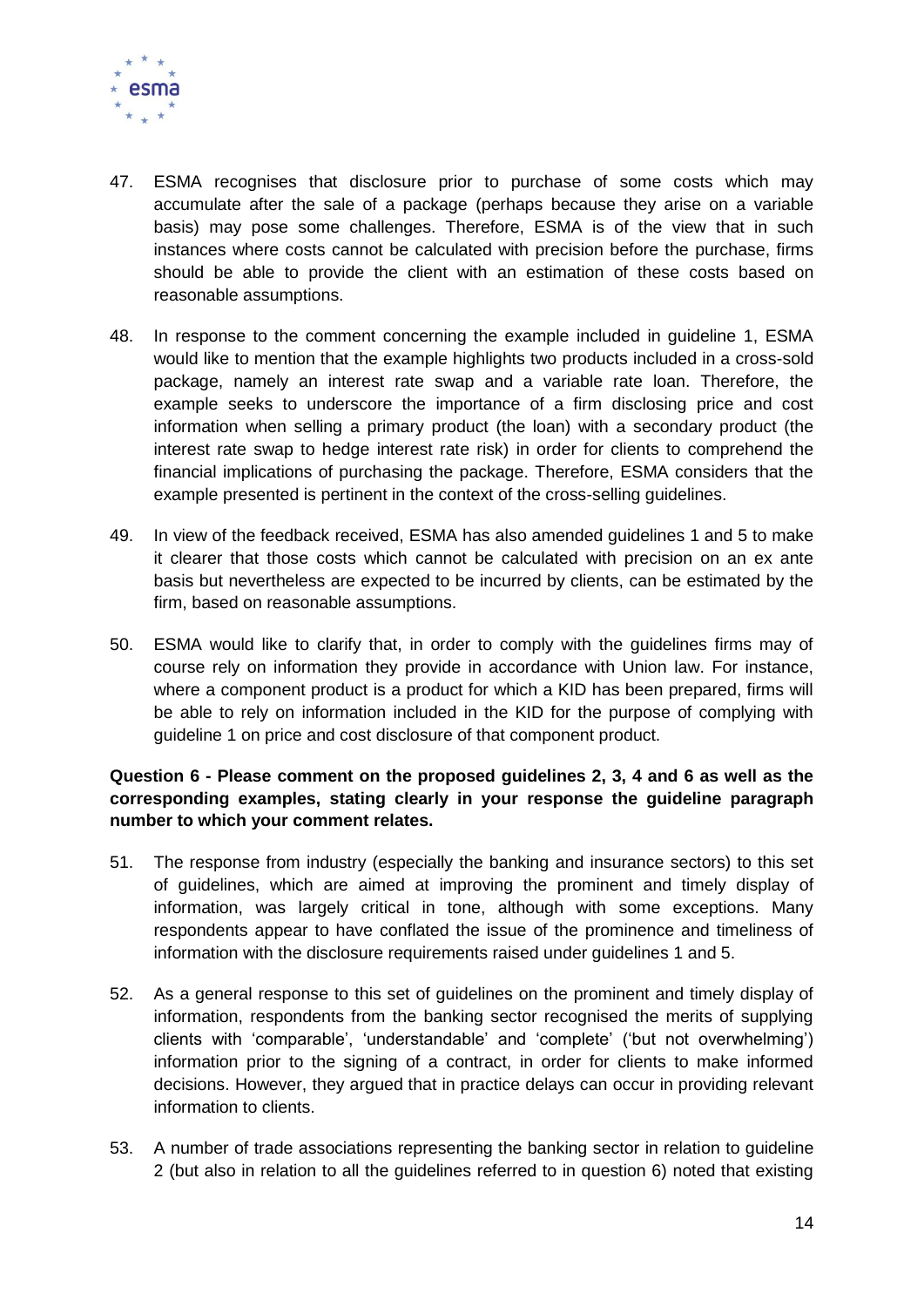

- 47. ESMA recognises that disclosure prior to purchase of some costs which may accumulate after the sale of a package (perhaps because they arise on a variable basis) may pose some challenges. Therefore, ESMA is of the view that in such instances where costs cannot be calculated with precision before the purchase, firms should be able to provide the client with an estimation of these costs based on reasonable assumptions.
- 48. In response to the comment concerning the example included in guideline 1, ESMA would like to mention that the example highlights two products included in a cross-sold package, namely an interest rate swap and a variable rate loan. Therefore, the example seeks to underscore the importance of a firm disclosing price and cost information when selling a primary product (the loan) with a secondary product (the interest rate swap to hedge interest rate risk) in order for clients to comprehend the financial implications of purchasing the package. Therefore, ESMA considers that the example presented is pertinent in the context of the cross-selling guidelines.
- 49. In view of the feedback received, ESMA has also amended guidelines 1 and 5 to make it clearer that those costs which cannot be calculated with precision on an ex ante basis but nevertheless are expected to be incurred by clients, can be estimated by the firm, based on reasonable assumptions.
- 50. ESMA would like to clarify that, in order to comply with the guidelines firms may of course rely on information they provide in accordance with Union law. For instance, where a component product is a product for which a KID has been prepared, firms will be able to rely on information included in the KID for the purpose of complying with guideline 1 on price and cost disclosure of that component product.

# **Question 6 - Please comment on the proposed guidelines 2, 3, 4 and 6 as well as the corresponding examples, stating clearly in your response the guideline paragraph number to which your comment relates.**

- 51. The response from industry (especially the banking and insurance sectors) to this set of guidelines, which are aimed at improving the prominent and timely display of information, was largely critical in tone, although with some exceptions. Many respondents appear to have conflated the issue of the prominence and timeliness of information with the disclosure requirements raised under guidelines 1 and 5.
- 52. As a general response to this set of guidelines on the prominent and timely display of information, respondents from the banking sector recognised the merits of supplying clients with 'comparable', 'understandable' and 'complete' ('but not overwhelming') information prior to the signing of a contract, in order for clients to make informed decisions. However, they argued that in practice delays can occur in providing relevant information to clients.
- 53. A number of trade associations representing the banking sector in relation to guideline 2 (but also in relation to all the guidelines referred to in question 6) noted that existing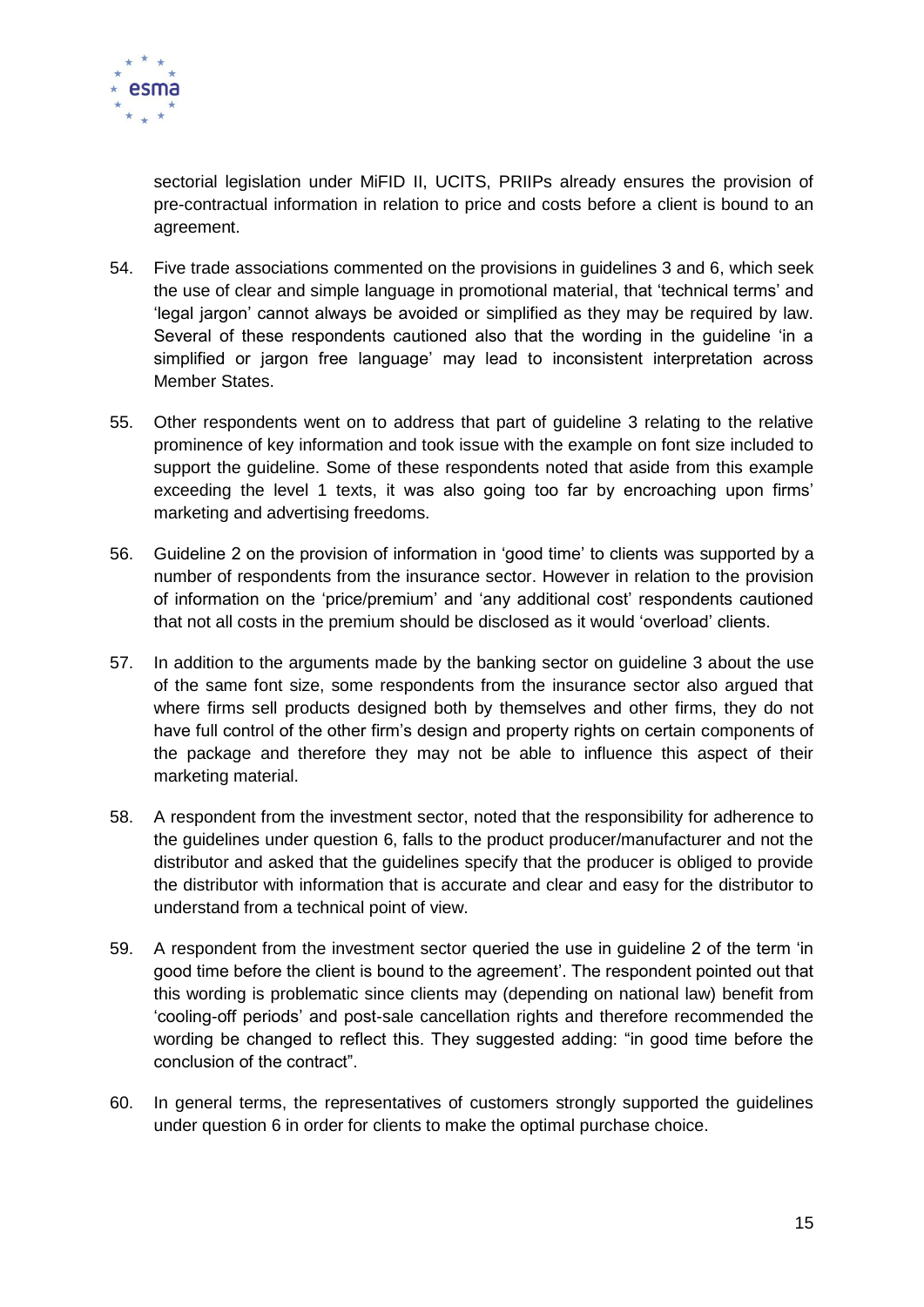

sectorial legislation under MiFID II, UCITS, PRIIPs already ensures the provision of pre-contractual information in relation to price and costs before a client is bound to an agreement.

- 54. Five trade associations commented on the provisions in guidelines 3 and 6, which seek the use of clear and simple language in promotional material, that 'technical terms' and 'legal jargon' cannot always be avoided or simplified as they may be required by law. Several of these respondents cautioned also that the wording in the guideline 'in a simplified or jargon free language' may lead to inconsistent interpretation across Member States.
- 55. Other respondents went on to address that part of guideline 3 relating to the relative prominence of key information and took issue with the example on font size included to support the guideline. Some of these respondents noted that aside from this example exceeding the level 1 texts, it was also going too far by encroaching upon firms' marketing and advertising freedoms.
- 56. Guideline 2 on the provision of information in 'good time' to clients was supported by a number of respondents from the insurance sector. However in relation to the provision of information on the 'price/premium' and 'any additional cost' respondents cautioned that not all costs in the premium should be disclosed as it would 'overload' clients.
- 57. In addition to the arguments made by the banking sector on guideline 3 about the use of the same font size, some respondents from the insurance sector also argued that where firms sell products designed both by themselves and other firms, they do not have full control of the other firm's design and property rights on certain components of the package and therefore they may not be able to influence this aspect of their marketing material.
- 58. A respondent from the investment sector, noted that the responsibility for adherence to the guidelines under question 6, falls to the product producer/manufacturer and not the distributor and asked that the guidelines specify that the producer is obliged to provide the distributor with information that is accurate and clear and easy for the distributor to understand from a technical point of view.
- 59. A respondent from the investment sector queried the use in guideline 2 of the term 'in good time before the client is bound to the agreement'. The respondent pointed out that this wording is problematic since clients may (depending on national law) benefit from 'cooling-off periods' and post-sale cancellation rights and therefore recommended the wording be changed to reflect this. They suggested adding: "in good time before the conclusion of the contract".
- 60. In general terms, the representatives of customers strongly supported the guidelines under question 6 in order for clients to make the optimal purchase choice.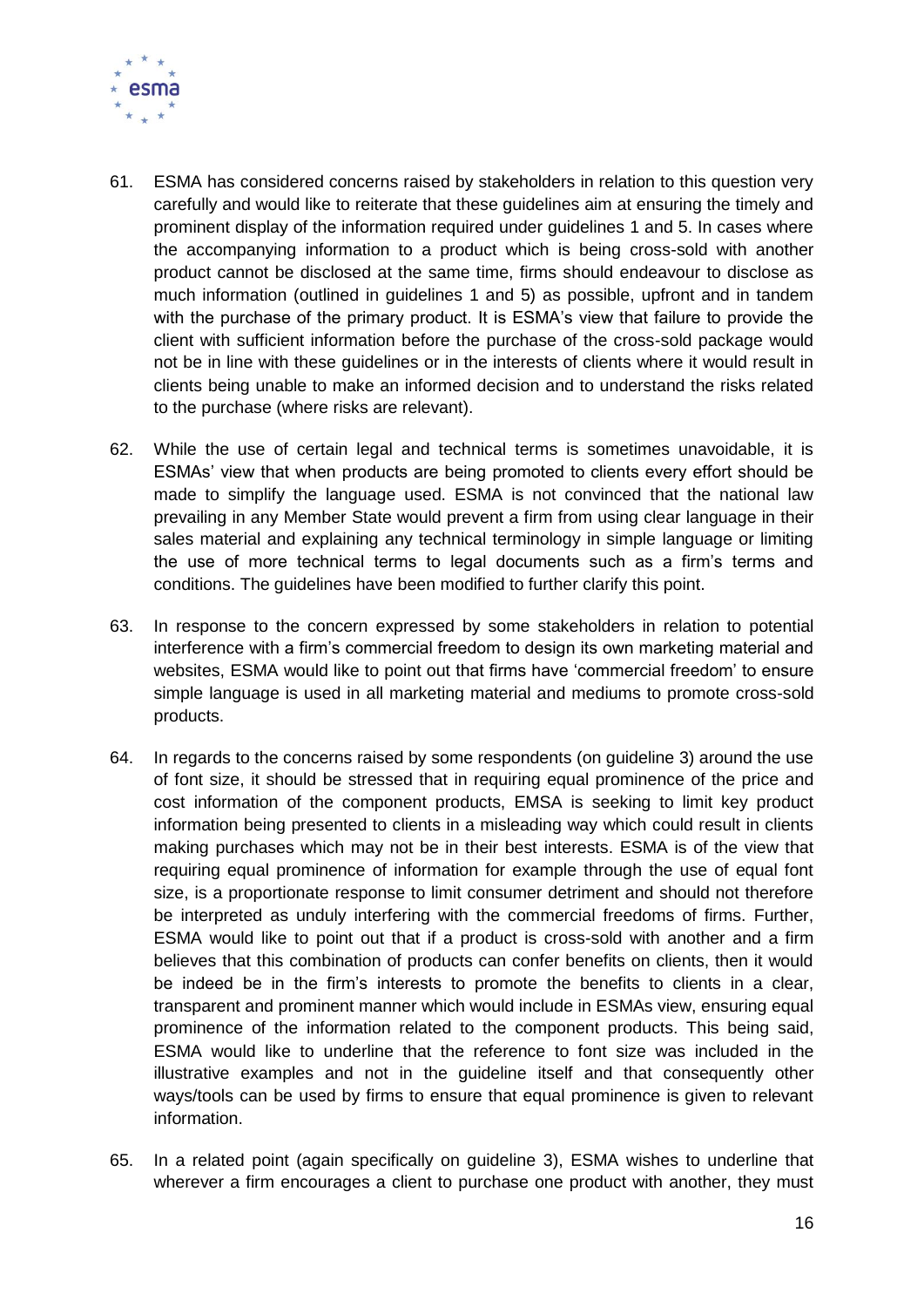

- 61. ESMA has considered concerns raised by stakeholders in relation to this question very carefully and would like to reiterate that these guidelines aim at ensuring the timely and prominent display of the information required under guidelines 1 and 5. In cases where the accompanying information to a product which is being cross-sold with another product cannot be disclosed at the same time, firms should endeavour to disclose as much information (outlined in guidelines 1 and 5) as possible, upfront and in tandem with the purchase of the primary product. It is ESMA's view that failure to provide the client with sufficient information before the purchase of the cross-sold package would not be in line with these guidelines or in the interests of clients where it would result in clients being unable to make an informed decision and to understand the risks related to the purchase (where risks are relevant).
- 62. While the use of certain legal and technical terms is sometimes unavoidable, it is ESMAs' view that when products are being promoted to clients every effort should be made to simplify the language used. ESMA is not convinced that the national law prevailing in any Member State would prevent a firm from using clear language in their sales material and explaining any technical terminology in simple language or limiting the use of more technical terms to legal documents such as a firm's terms and conditions. The guidelines have been modified to further clarify this point.
- 63. In response to the concern expressed by some stakeholders in relation to potential interference with a firm's commercial freedom to design its own marketing material and websites, ESMA would like to point out that firms have 'commercial freedom' to ensure simple language is used in all marketing material and mediums to promote cross-sold products.
- 64. In regards to the concerns raised by some respondents (on guideline 3) around the use of font size, it should be stressed that in requiring equal prominence of the price and cost information of the component products, EMSA is seeking to limit key product information being presented to clients in a misleading way which could result in clients making purchases which may not be in their best interests. ESMA is of the view that requiring equal prominence of information for example through the use of equal font size, is a proportionate response to limit consumer detriment and should not therefore be interpreted as unduly interfering with the commercial freedoms of firms. Further, ESMA would like to point out that if a product is cross-sold with another and a firm believes that this combination of products can confer benefits on clients, then it would be indeed be in the firm's interests to promote the benefits to clients in a clear, transparent and prominent manner which would include in ESMAs view, ensuring equal prominence of the information related to the component products. This being said, ESMA would like to underline that the reference to font size was included in the illustrative examples and not in the guideline itself and that consequently other ways/tools can be used by firms to ensure that equal prominence is given to relevant information.
- 65. In a related point (again specifically on guideline 3), ESMA wishes to underline that wherever a firm encourages a client to purchase one product with another, they must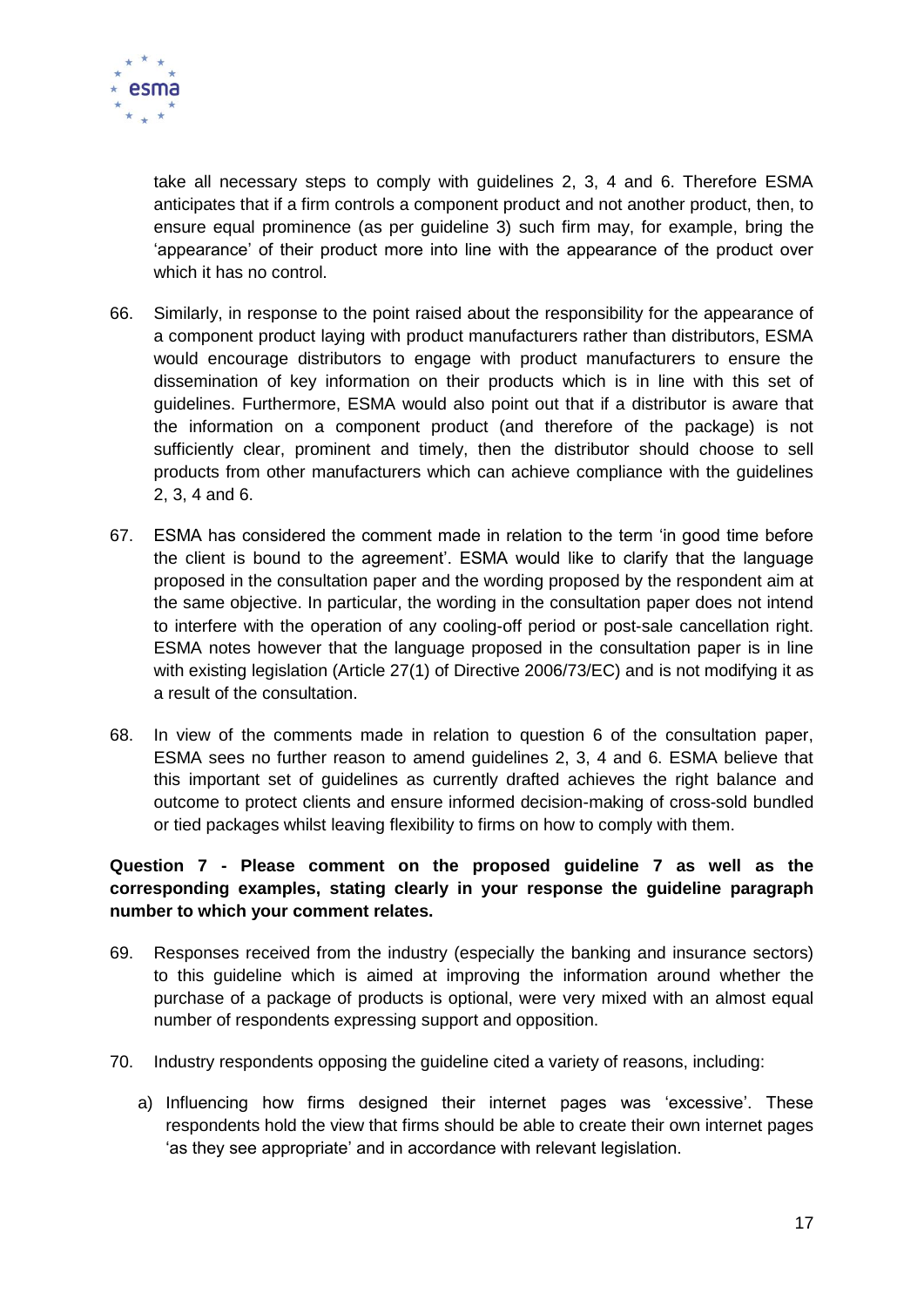

take all necessary steps to comply with guidelines 2, 3, 4 and 6. Therefore ESMA anticipates that if a firm controls a component product and not another product, then, to ensure equal prominence (as per guideline 3) such firm may, for example, bring the 'appearance' of their product more into line with the appearance of the product over which it has no control.

- 66. Similarly, in response to the point raised about the responsibility for the appearance of a component product laying with product manufacturers rather than distributors, ESMA would encourage distributors to engage with product manufacturers to ensure the dissemination of key information on their products which is in line with this set of guidelines. Furthermore, ESMA would also point out that if a distributor is aware that the information on a component product (and therefore of the package) is not sufficiently clear, prominent and timely, then the distributor should choose to sell products from other manufacturers which can achieve compliance with the guidelines 2, 3, 4 and 6.
- 67. ESMA has considered the comment made in relation to the term 'in good time before the client is bound to the agreement'. ESMA would like to clarify that the language proposed in the consultation paper and the wording proposed by the respondent aim at the same objective. In particular, the wording in the consultation paper does not intend to interfere with the operation of any cooling-off period or post-sale cancellation right. ESMA notes however that the language proposed in the consultation paper is in line with existing legislation (Article 27(1) of Directive 2006/73/EC) and is not modifying it as a result of the consultation.
- 68. In view of the comments made in relation to question 6 of the consultation paper, ESMA sees no further reason to amend guidelines 2, 3, 4 and 6. ESMA believe that this important set of guidelines as currently drafted achieves the right balance and outcome to protect clients and ensure informed decision-making of cross-sold bundled or tied packages whilst leaving flexibility to firms on how to comply with them.

# **Question 7 - Please comment on the proposed guideline 7 as well as the corresponding examples, stating clearly in your response the guideline paragraph number to which your comment relates.**

- 69. Responses received from the industry (especially the banking and insurance sectors) to this guideline which is aimed at improving the information around whether the purchase of a package of products is optional, were very mixed with an almost equal number of respondents expressing support and opposition.
- 70. Industry respondents opposing the guideline cited a variety of reasons, including:
	- a) Influencing how firms designed their internet pages was 'excessive'. These respondents hold the view that firms should be able to create their own internet pages 'as they see appropriate' and in accordance with relevant legislation.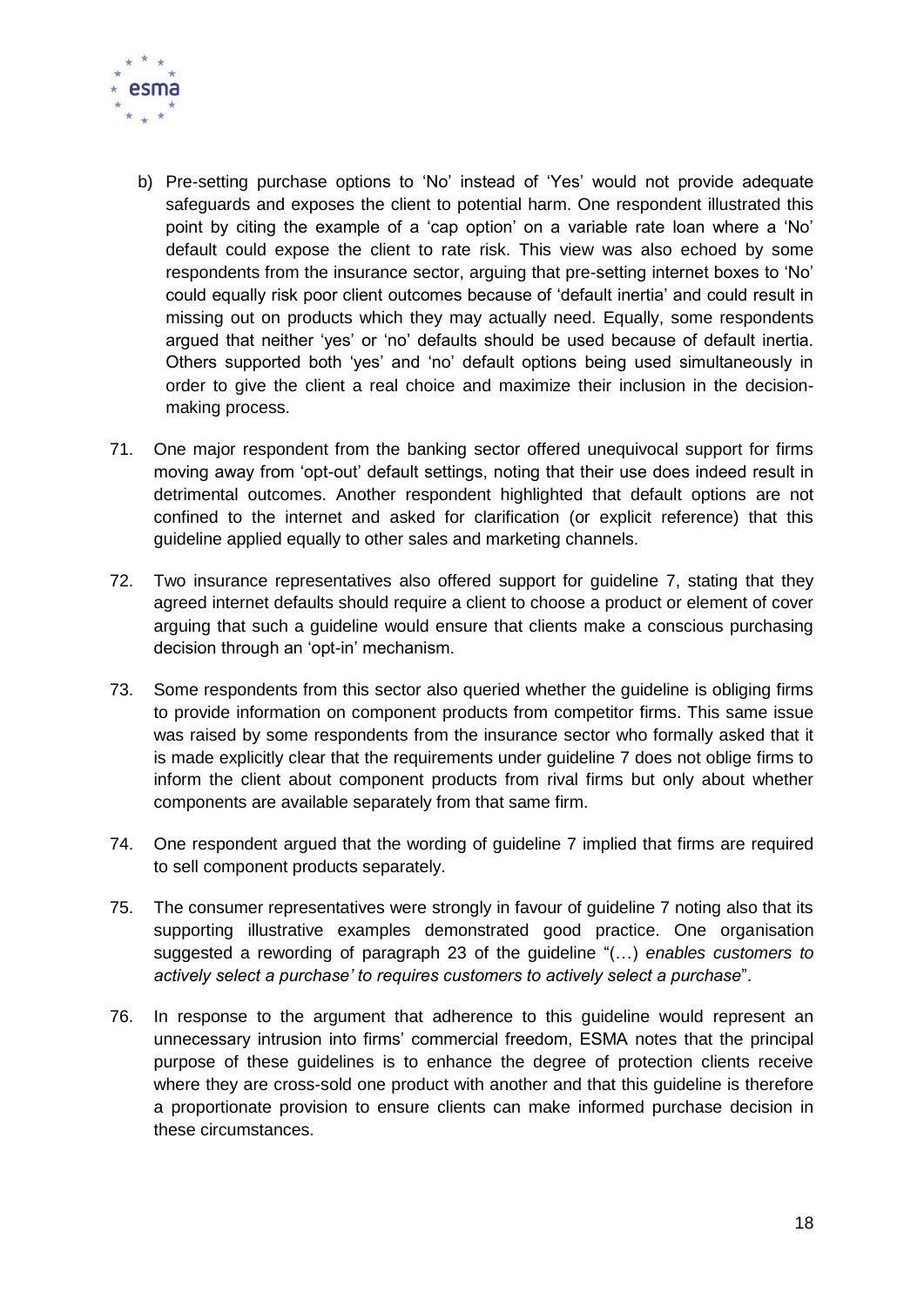

- b) Pre-setting purchase options to 'No' instead of 'Yes' would not provide adequate safeguards and exposes the client to potential harm. One respondent illustrated this point by citing the example of a 'cap option' on a variable rate loan where a 'No' default could expose the client to rate risk. This view was also echoed by some respondents from the insurance sector, arguing that pre-setting internet boxes to 'No' could equally risk poor client outcomes because of 'default inertia' and could result in missing out on products which they may actually need. Equally, some respondents argued that neither 'yes' or 'no' defaults should be used because of default inertia. Others supported both 'yes' and 'no' default options being used simultaneously in order to give the client a real choice and maximize their inclusion in the decisionmaking process.
- 71. One major respondent from the banking sector offered unequivocal support for firms moving away from 'opt-out' default settings, noting that their use does indeed result in detrimental outcomes. Another respondent highlighted that default options are not confined to the internet and asked for clarification (or explicit reference) that this guideline applied equally to other sales and marketing channels.
- 72. Two insurance representatives also offered support for guideline 7, stating that they agreed internet defaults should require a client to choose a product or element of cover arguing that such a guideline would ensure that clients make a conscious purchasing decision through an 'opt-in' mechanism.
- 73. Some respondents from this sector also queried whether the guideline is obliging firms to provide information on component products from competitor firms. This same issue was raised by some respondents from the insurance sector who formally asked that it is made explicitly clear that the requirements under guideline 7 does not oblige firms to inform the client about component products from rival firms but only about whether components are available separately from that same firm.
- 74. One respondent argued that the wording of guideline 7 implied that firms are required to sell component products separately.
- 75. The consumer representatives were strongly in favour of guideline 7 noting also that its supporting illustrative examples demonstrated good practice. One organisation suggested a rewording of paragraph 23 of the guideline "(…) *enables customers to actively select a purchase' to requires customers to actively select a purchase*".
- 76. In response to the argument that adherence to this guideline would represent an unnecessary intrusion into firms' commercial freedom, ESMA notes that the principal purpose of these guidelines is to enhance the degree of protection clients receive where they are cross-sold one product with another and that this guideline is therefore a proportionate provision to ensure clients can make informed purchase decision in these circumstances.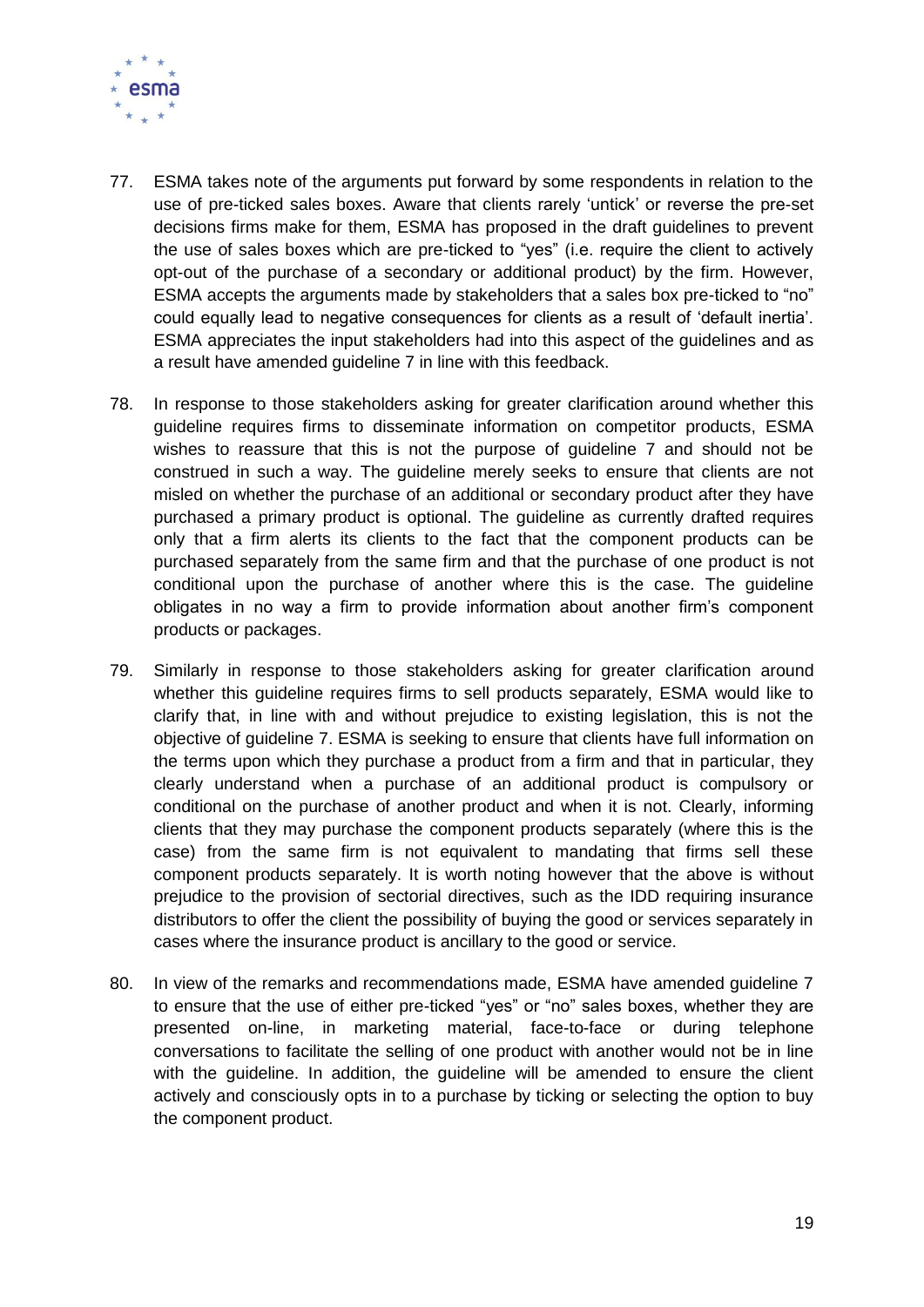

- 77. ESMA takes note of the arguments put forward by some respondents in relation to the use of pre-ticked sales boxes. Aware that clients rarely 'untick' or reverse the pre-set decisions firms make for them, ESMA has proposed in the draft guidelines to prevent the use of sales boxes which are pre-ticked to "yes" (i.e. require the client to actively opt-out of the purchase of a secondary or additional product) by the firm. However, ESMA accepts the arguments made by stakeholders that a sales box pre-ticked to "no" could equally lead to negative consequences for clients as a result of 'default inertia'. ESMA appreciates the input stakeholders had into this aspect of the guidelines and as a result have amended guideline 7 in line with this feedback.
- 78. In response to those stakeholders asking for greater clarification around whether this guideline requires firms to disseminate information on competitor products, ESMA wishes to reassure that this is not the purpose of guideline 7 and should not be construed in such a way. The guideline merely seeks to ensure that clients are not misled on whether the purchase of an additional or secondary product after they have purchased a primary product is optional. The guideline as currently drafted requires only that a firm alerts its clients to the fact that the component products can be purchased separately from the same firm and that the purchase of one product is not conditional upon the purchase of another where this is the case. The guideline obligates in no way a firm to provide information about another firm's component products or packages.
- 79. Similarly in response to those stakeholders asking for greater clarification around whether this guideline requires firms to sell products separately, ESMA would like to clarify that, in line with and without prejudice to existing legislation, this is not the objective of guideline 7. ESMA is seeking to ensure that clients have full information on the terms upon which they purchase a product from a firm and that in particular, they clearly understand when a purchase of an additional product is compulsory or conditional on the purchase of another product and when it is not. Clearly, informing clients that they may purchase the component products separately (where this is the case) from the same firm is not equivalent to mandating that firms sell these component products separately. It is worth noting however that the above is without prejudice to the provision of sectorial directives, such as the IDD requiring insurance distributors to offer the client the possibility of buying the good or services separately in cases where the insurance product is ancillary to the good or service.
- 80. In view of the remarks and recommendations made, ESMA have amended guideline 7 to ensure that the use of either pre-ticked "yes" or "no" sales boxes, whether they are presented on-line, in marketing material, face-to-face or during telephone conversations to facilitate the selling of one product with another would not be in line with the guideline. In addition, the guideline will be amended to ensure the client actively and consciously opts in to a purchase by ticking or selecting the option to buy the component product.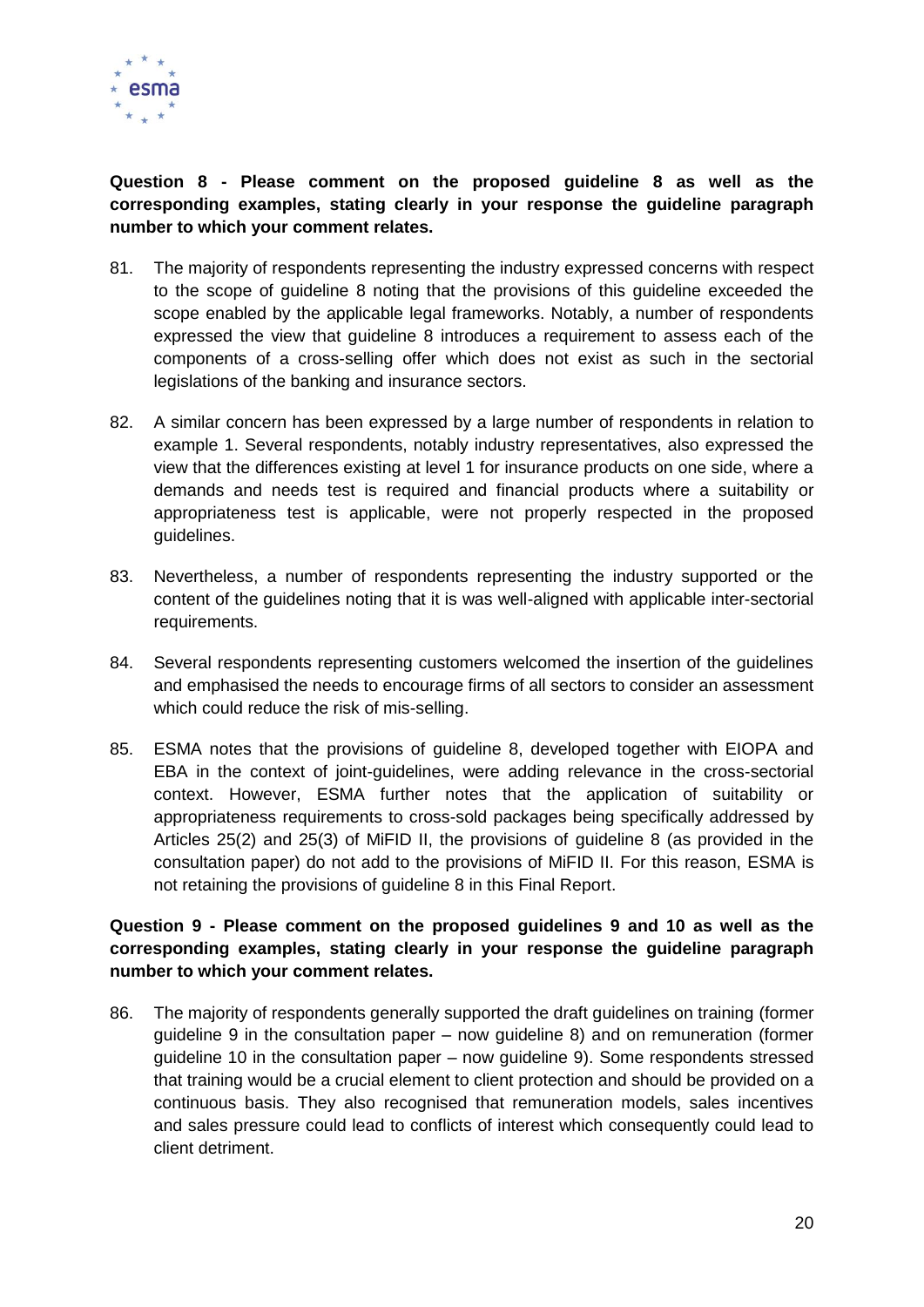

# **Question 8 - Please comment on the proposed guideline 8 as well as the corresponding examples, stating clearly in your response the guideline paragraph number to which your comment relates.**

- 81. The majority of respondents representing the industry expressed concerns with respect to the scope of guideline 8 noting that the provisions of this guideline exceeded the scope enabled by the applicable legal frameworks. Notably, a number of respondents expressed the view that guideline 8 introduces a requirement to assess each of the components of a cross-selling offer which does not exist as such in the sectorial legislations of the banking and insurance sectors.
- 82. A similar concern has been expressed by a large number of respondents in relation to example 1. Several respondents, notably industry representatives, also expressed the view that the differences existing at level 1 for insurance products on one side, where a demands and needs test is required and financial products where a suitability or appropriateness test is applicable, were not properly respected in the proposed guidelines.
- 83. Nevertheless, a number of respondents representing the industry supported or the content of the guidelines noting that it is was well-aligned with applicable inter-sectorial requirements.
- 84. Several respondents representing customers welcomed the insertion of the guidelines and emphasised the needs to encourage firms of all sectors to consider an assessment which could reduce the risk of mis-selling.
- 85. ESMA notes that the provisions of guideline 8, developed together with EIOPA and EBA in the context of joint-guidelines, were adding relevance in the cross-sectorial context. However, ESMA further notes that the application of suitability or appropriateness requirements to cross-sold packages being specifically addressed by Articles 25(2) and 25(3) of MiFID II, the provisions of guideline 8 (as provided in the consultation paper) do not add to the provisions of MiFID II. For this reason, ESMA is not retaining the provisions of guideline 8 in this Final Report.

# **Question 9 - Please comment on the proposed guidelines 9 and 10 as well as the corresponding examples, stating clearly in your response the guideline paragraph number to which your comment relates.**

86. The majority of respondents generally supported the draft guidelines on training (former guideline 9 in the consultation paper – now guideline 8) and on remuneration (former guideline 10 in the consultation paper – now guideline 9). Some respondents stressed that training would be a crucial element to client protection and should be provided on a continuous basis. They also recognised that remuneration models, sales incentives and sales pressure could lead to conflicts of interest which consequently could lead to client detriment.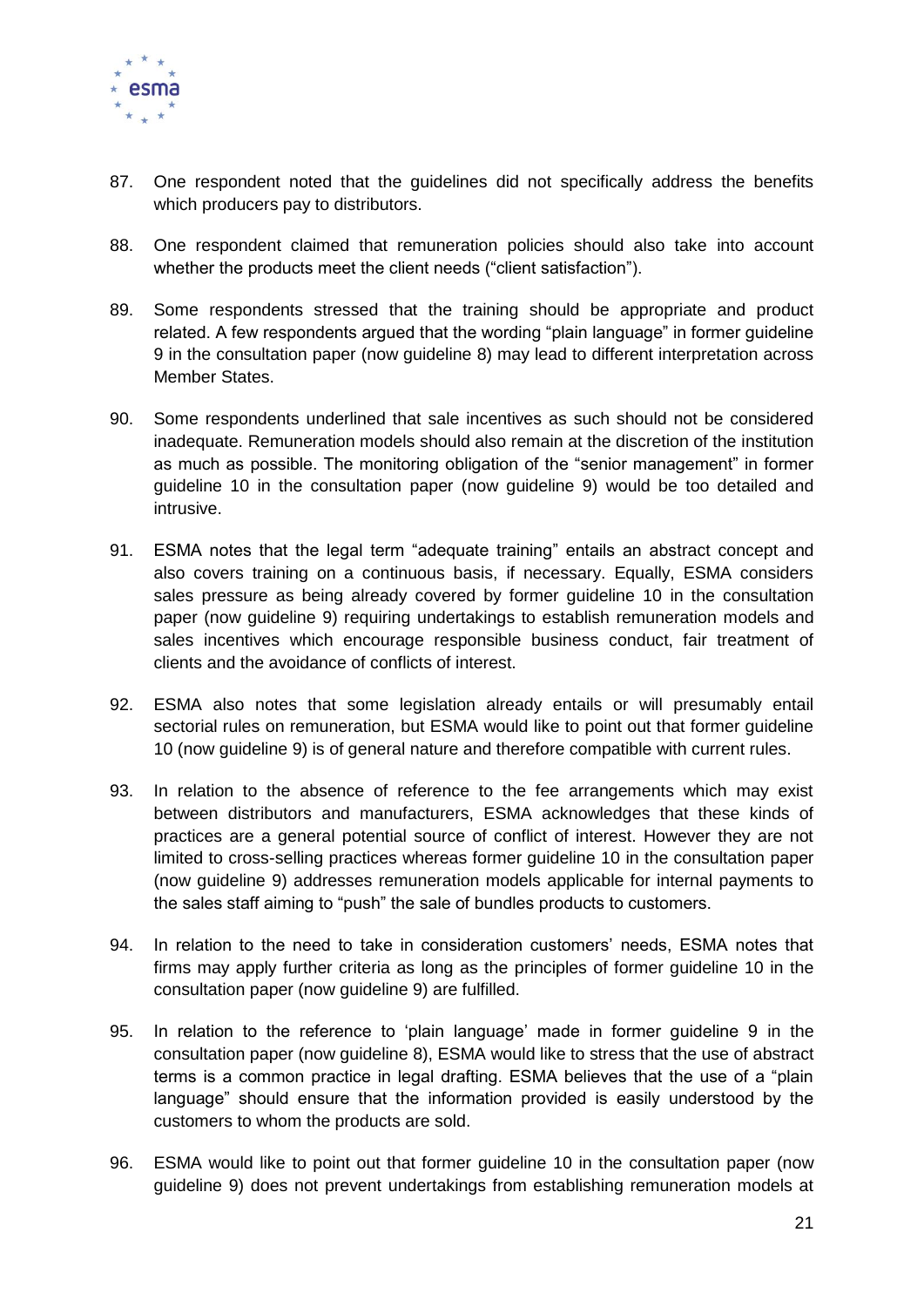

- 87. One respondent noted that the guidelines did not specifically address the benefits which producers pay to distributors.
- 88. One respondent claimed that remuneration policies should also take into account whether the products meet the client needs ("client satisfaction").
- 89. Some respondents stressed that the training should be appropriate and product related. A few respondents argued that the wording "plain language" in former guideline 9 in the consultation paper (now guideline 8) may lead to different interpretation across Member States.
- 90. Some respondents underlined that sale incentives as such should not be considered inadequate. Remuneration models should also remain at the discretion of the institution as much as possible. The monitoring obligation of the "senior management" in former guideline 10 in the consultation paper (now guideline 9) would be too detailed and intrusive.
- 91. ESMA notes that the legal term "adequate training" entails an abstract concept and also covers training on a continuous basis, if necessary. Equally, ESMA considers sales pressure as being already covered by former guideline 10 in the consultation paper (now guideline 9) requiring undertakings to establish remuneration models and sales incentives which encourage responsible business conduct, fair treatment of clients and the avoidance of conflicts of interest.
- 92. ESMA also notes that some legislation already entails or will presumably entail sectorial rules on remuneration, but ESMA would like to point out that former guideline 10 (now guideline 9) is of general nature and therefore compatible with current rules.
- 93. In relation to the absence of reference to the fee arrangements which may exist between distributors and manufacturers, ESMA acknowledges that these kinds of practices are a general potential source of conflict of interest. However they are not limited to cross-selling practices whereas former guideline 10 in the consultation paper (now guideline 9) addresses remuneration models applicable for internal payments to the sales staff aiming to "push" the sale of bundles products to customers.
- 94. In relation to the need to take in consideration customers' needs, ESMA notes that firms may apply further criteria as long as the principles of former guideline 10 in the consultation paper (now guideline 9) are fulfilled.
- 95. In relation to the reference to 'plain language' made in former guideline 9 in the consultation paper (now guideline 8), ESMA would like to stress that the use of abstract terms is a common practice in legal drafting. ESMA believes that the use of a "plain language" should ensure that the information provided is easily understood by the customers to whom the products are sold.
- 96. ESMA would like to point out that former guideline 10 in the consultation paper (now guideline 9) does not prevent undertakings from establishing remuneration models at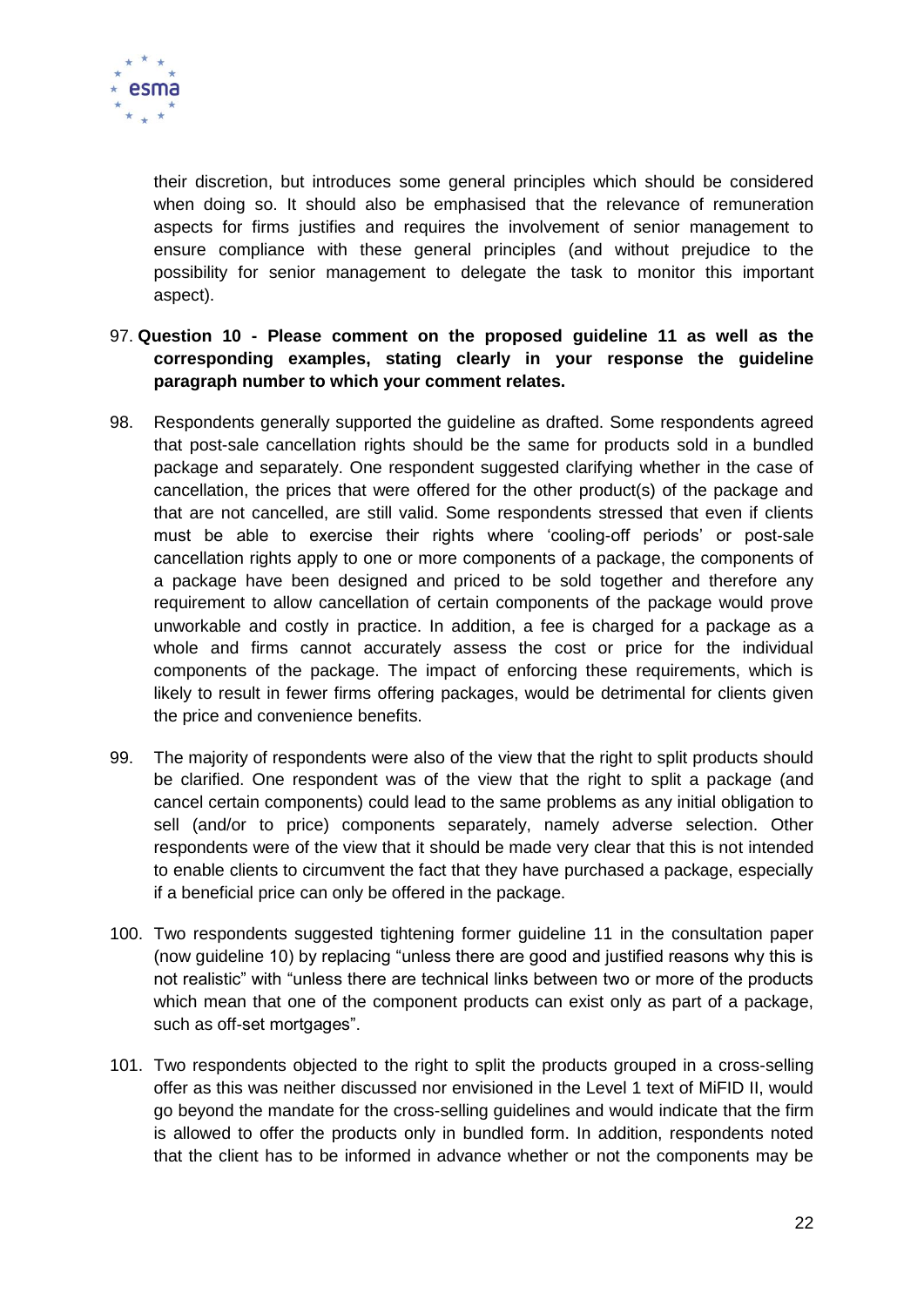

their discretion, but introduces some general principles which should be considered when doing so. It should also be emphasised that the relevance of remuneration aspects for firms justifies and requires the involvement of senior management to ensure compliance with these general principles (and without prejudice to the possibility for senior management to delegate the task to monitor this important aspect).

- 97. **Question 10 - Please comment on the proposed guideline 11 as well as the corresponding examples, stating clearly in your response the guideline paragraph number to which your comment relates.**
- 98. Respondents generally supported the guideline as drafted. Some respondents agreed that post-sale cancellation rights should be the same for products sold in a bundled package and separately. One respondent suggested clarifying whether in the case of cancellation, the prices that were offered for the other product(s) of the package and that are not cancelled, are still valid. Some respondents stressed that even if clients must be able to exercise their rights where 'cooling-off periods' or post-sale cancellation rights apply to one or more components of a package, the components of a package have been designed and priced to be sold together and therefore any requirement to allow cancellation of certain components of the package would prove unworkable and costly in practice. In addition, a fee is charged for a package as a whole and firms cannot accurately assess the cost or price for the individual components of the package. The impact of enforcing these requirements, which is likely to result in fewer firms offering packages, would be detrimental for clients given the price and convenience benefits.
- 99. The majority of respondents were also of the view that the right to split products should be clarified. One respondent was of the view that the right to split a package (and cancel certain components) could lead to the same problems as any initial obligation to sell (and/or to price) components separately, namely adverse selection. Other respondents were of the view that it should be made very clear that this is not intended to enable clients to circumvent the fact that they have purchased a package, especially if a beneficial price can only be offered in the package.
- 100. Two respondents suggested tightening former guideline 11 in the consultation paper (now guideline 10) by replacing "unless there are good and justified reasons why this is not realistic" with "unless there are technical links between two or more of the products which mean that one of the component products can exist only as part of a package, such as off-set mortgages".
- 101. Two respondents objected to the right to split the products grouped in a cross-selling offer as this was neither discussed nor envisioned in the Level 1 text of MiFID II, would go beyond the mandate for the cross-selling guidelines and would indicate that the firm is allowed to offer the products only in bundled form. In addition, respondents noted that the client has to be informed in advance whether or not the components may be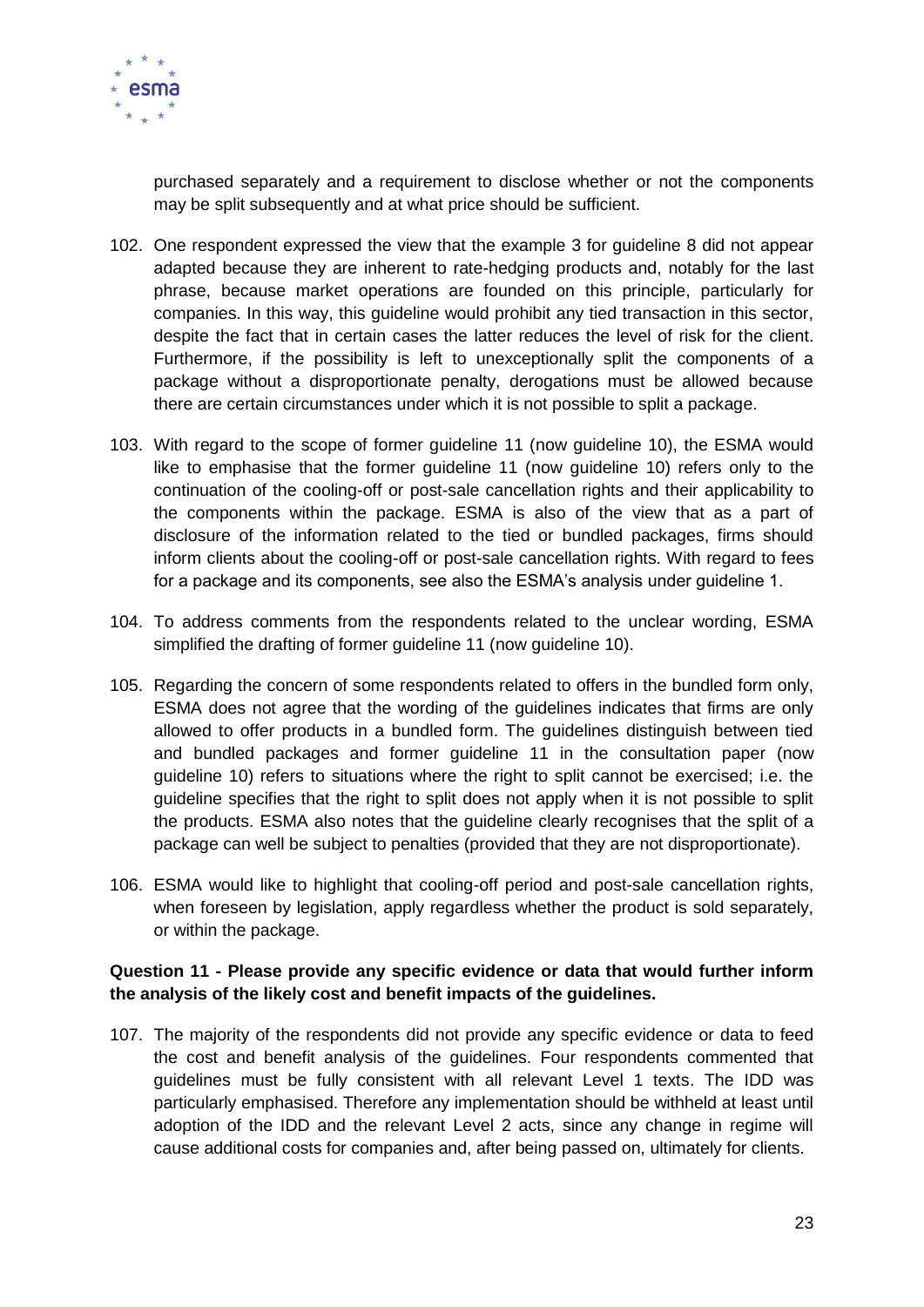

purchased separately and a requirement to disclose whether or not the components may be split subsequently and at what price should be sufficient.

- 102. One respondent expressed the view that the example 3 for guideline 8 did not appear adapted because they are inherent to rate-hedging products and, notably for the last phrase, because market operations are founded on this principle, particularly for companies. In this way, this guideline would prohibit any tied transaction in this sector, despite the fact that in certain cases the latter reduces the level of risk for the client. Furthermore, if the possibility is left to unexceptionally split the components of a package without a disproportionate penalty, derogations must be allowed because there are certain circumstances under which it is not possible to split a package.
- 103. With regard to the scope of former guideline 11 (now guideline 10), the ESMA would like to emphasise that the former guideline 11 (now guideline 10) refers only to the continuation of the cooling-off or post-sale cancellation rights and their applicability to the components within the package. ESMA is also of the view that as a part of disclosure of the information related to the tied or bundled packages, firms should inform clients about the cooling-off or post-sale cancellation rights. With regard to fees for a package and its components, see also the ESMA's analysis under guideline 1.
- 104. To address comments from the respondents related to the unclear wording, ESMA simplified the drafting of former guideline 11 (now guideline 10).
- 105. Regarding the concern of some respondents related to offers in the bundled form only, ESMA does not agree that the wording of the guidelines indicates that firms are only allowed to offer products in a bundled form. The guidelines distinguish between tied and bundled packages and former guideline 11 in the consultation paper (now guideline 10) refers to situations where the right to split cannot be exercised; i.e. the guideline specifies that the right to split does not apply when it is not possible to split the products. ESMA also notes that the guideline clearly recognises that the split of a package can well be subject to penalties (provided that they are not disproportionate).
- 106. ESMA would like to highlight that cooling-off period and post-sale cancellation rights, when foreseen by legislation, apply regardless whether the product is sold separately, or within the package.

#### **Question 11 - Please provide any specific evidence or data that would further inform the analysis of the likely cost and benefit impacts of the guidelines.**

107. The majority of the respondents did not provide any specific evidence or data to feed the cost and benefit analysis of the guidelines. Four respondents commented that guidelines must be fully consistent with all relevant Level 1 texts. The IDD was particularly emphasised. Therefore any implementation should be withheld at least until adoption of the IDD and the relevant Level 2 acts, since any change in regime will cause additional costs for companies and, after being passed on, ultimately for clients.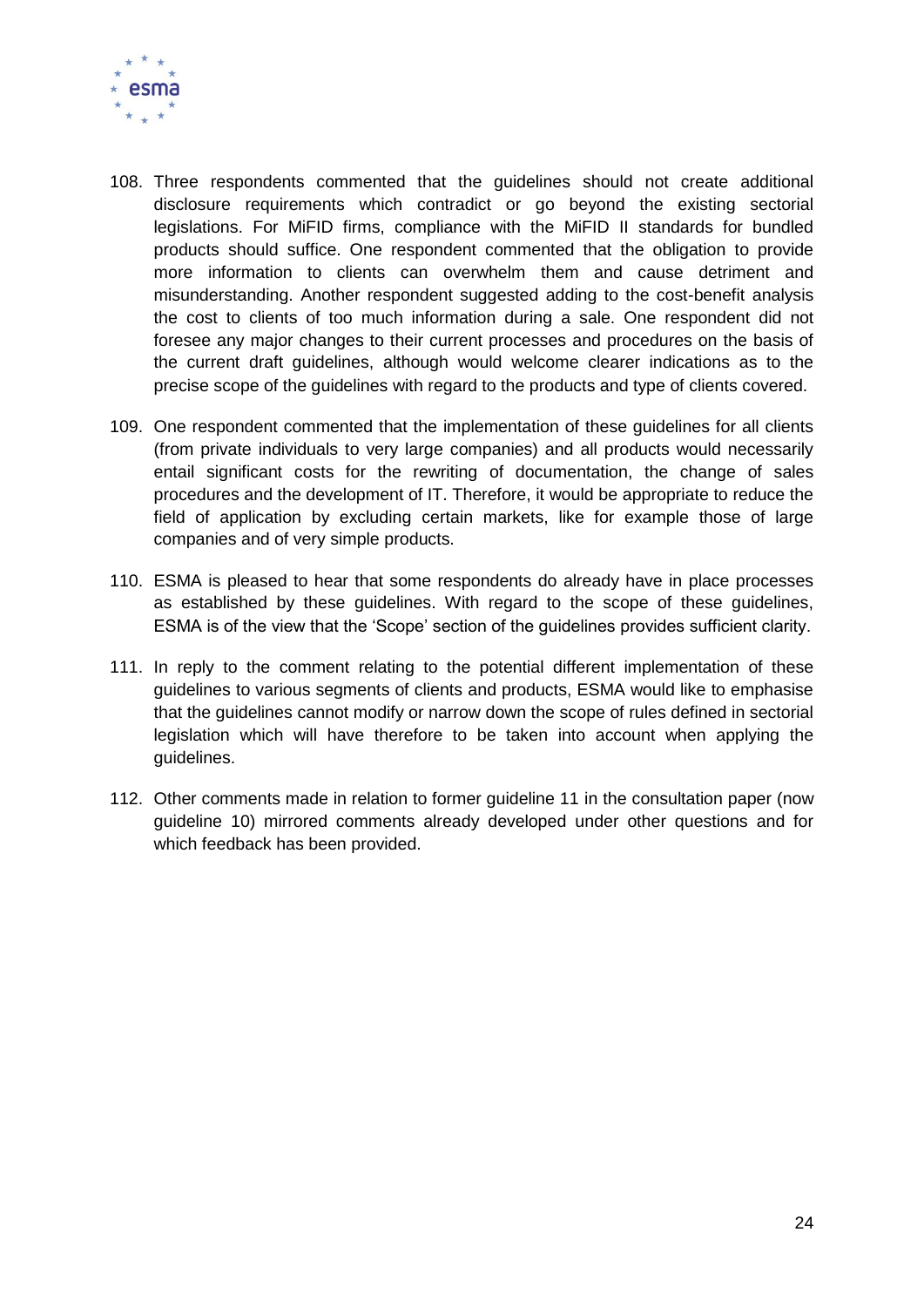

- 108. Three respondents commented that the guidelines should not create additional disclosure requirements which contradict or go beyond the existing sectorial legislations. For MiFID firms, compliance with the MiFID II standards for bundled products should suffice. One respondent commented that the obligation to provide more information to clients can overwhelm them and cause detriment and misunderstanding. Another respondent suggested adding to the cost-benefit analysis the cost to clients of too much information during a sale. One respondent did not foresee any major changes to their current processes and procedures on the basis of the current draft guidelines, although would welcome clearer indications as to the precise scope of the guidelines with regard to the products and type of clients covered.
- 109. One respondent commented that the implementation of these guidelines for all clients (from private individuals to very large companies) and all products would necessarily entail significant costs for the rewriting of documentation, the change of sales procedures and the development of IT. Therefore, it would be appropriate to reduce the field of application by excluding certain markets, like for example those of large companies and of very simple products.
- 110. ESMA is pleased to hear that some respondents do already have in place processes as established by these guidelines. With regard to the scope of these guidelines, ESMA is of the view that the 'Scope' section of the guidelines provides sufficient clarity.
- 111. In reply to the comment relating to the potential different implementation of these guidelines to various segments of clients and products, ESMA would like to emphasise that the guidelines cannot modify or narrow down the scope of rules defined in sectorial legislation which will have therefore to be taken into account when applying the guidelines.
- 112. Other comments made in relation to former guideline 11 in the consultation paper (now guideline 10) mirrored comments already developed under other questions and for which feedback has been provided.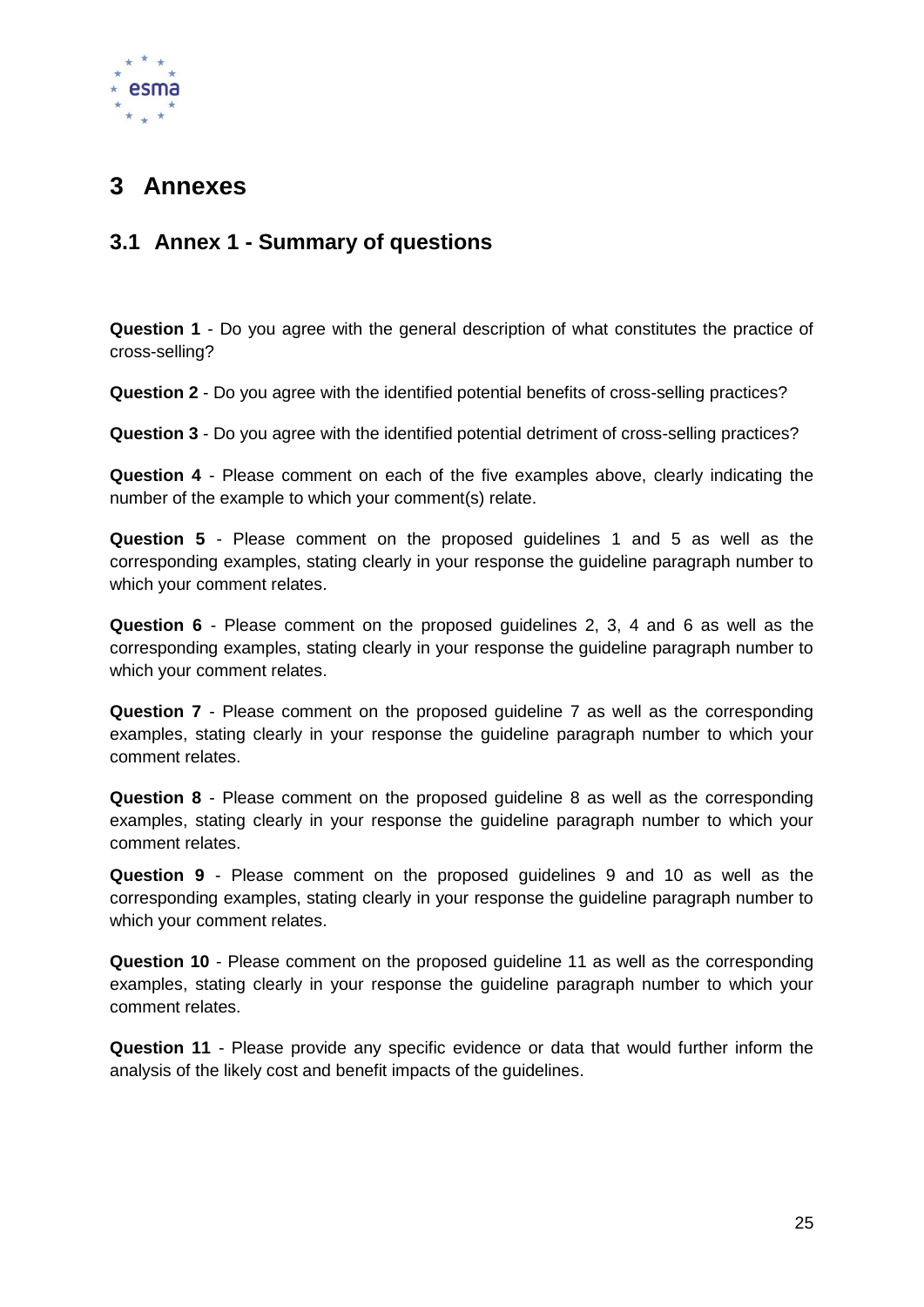

# <span id="page-25-0"></span>**3 Annexes**

# <span id="page-25-1"></span>**3.1 Annex 1 - Summary of questions**

**Question 1** - Do you agree with the general description of what constitutes the practice of cross-selling?

**Question 2** - Do you agree with the identified potential benefits of cross-selling practices?

**Question 3** - Do you agree with the identified potential detriment of cross-selling practices?

**Question 4** - Please comment on each of the five examples above, clearly indicating the number of the example to which your comment(s) relate.

**Question 5** - Please comment on the proposed guidelines 1 and 5 as well as the corresponding examples, stating clearly in your response the guideline paragraph number to which your comment relates.

**Question 6** - Please comment on the proposed guidelines 2, 3, 4 and 6 as well as the corresponding examples, stating clearly in your response the guideline paragraph number to which your comment relates.

**Question 7** - Please comment on the proposed guideline 7 as well as the corresponding examples, stating clearly in your response the guideline paragraph number to which your comment relates.

**Question 8** - Please comment on the proposed guideline 8 as well as the corresponding examples, stating clearly in your response the guideline paragraph number to which your comment relates.

**Question 9** - Please comment on the proposed guidelines 9 and 10 as well as the corresponding examples, stating clearly in your response the guideline paragraph number to which your comment relates.

**Question 10** - Please comment on the proposed guideline 11 as well as the corresponding examples, stating clearly in your response the guideline paragraph number to which your comment relates.

**Question 11** - Please provide any specific evidence or data that would further inform the analysis of the likely cost and benefit impacts of the guidelines.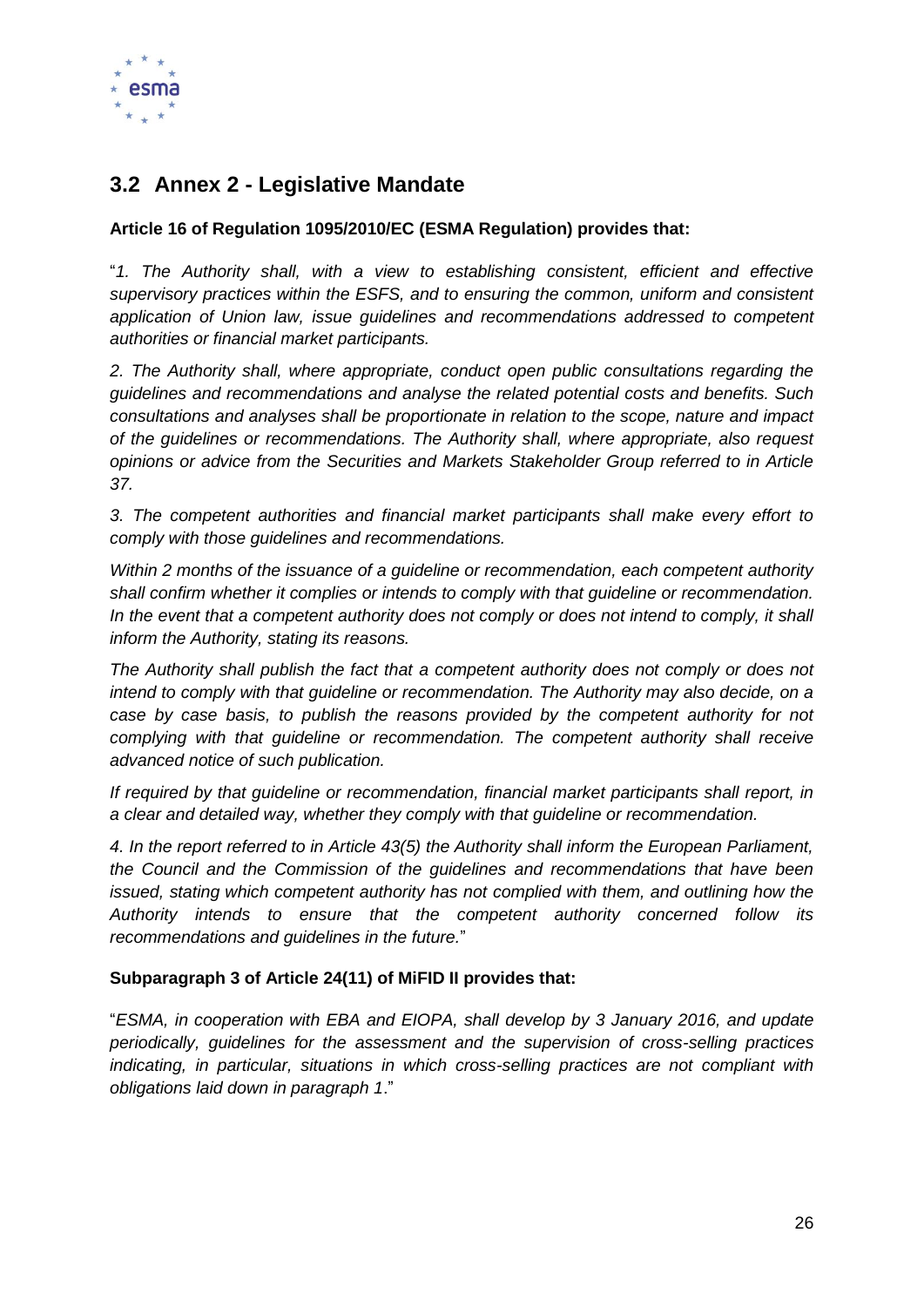

# <span id="page-26-0"></span>**3.2 Annex 2 - Legislative Mandate**

# **Article 16 of Regulation 1095/2010/EC (ESMA Regulation) provides that:**

"*1. The Authority shall, with a view to establishing consistent, efficient and effective supervisory practices within the ESFS, and to ensuring the common, uniform and consistent application of Union law, issue guidelines and recommendations addressed to competent authorities or financial market participants.* 

*2. The Authority shall, where appropriate, conduct open public consultations regarding the guidelines and recommendations and analyse the related potential costs and benefits. Such consultations and analyses shall be proportionate in relation to the scope, nature and impact of the guidelines or recommendations. The Authority shall, where appropriate, also request opinions or advice from the Securities and Markets Stakeholder Group referred to in Article 37.*

*3. The competent authorities and financial market participants shall make every effort to comply with those guidelines and recommendations.* 

*Within 2 months of the issuance of a guideline or recommendation, each competent authority shall confirm whether it complies or intends to comply with that guideline or recommendation. In the event that a competent authority does not comply or does not intend to comply, it shall inform the Authority, stating its reasons.* 

*The Authority shall publish the fact that a competent authority does not comply or does not*  intend to comply with that guideline or recommendation. The Authority may also decide, on a *case by case basis, to publish the reasons provided by the competent authority for not complying with that guideline or recommendation. The competent authority shall receive advanced notice of such publication.* 

*If required by that guideline or recommendation, financial market participants shall report, in a clear and detailed way, whether they comply with that guideline or recommendation.* 

*4. In the report referred to in Article 43(5) the Authority shall inform the European Parliament, the Council and the Commission of the guidelines and recommendations that have been issued, stating which competent authority has not complied with them, and outlining how the Authority intends to ensure that the competent authority concerned follow its recommendations and guidelines in the future.*"

#### **Subparagraph 3 of Article 24(11) of MiFID II provides that:**

"*ESMA, in cooperation with EBA and EIOPA, shall develop by 3 January 2016, and update periodically, guidelines for the assessment and the supervision of cross-selling practices indicating, in particular, situations in which cross-selling practices are not compliant with obligations laid down in paragraph 1*."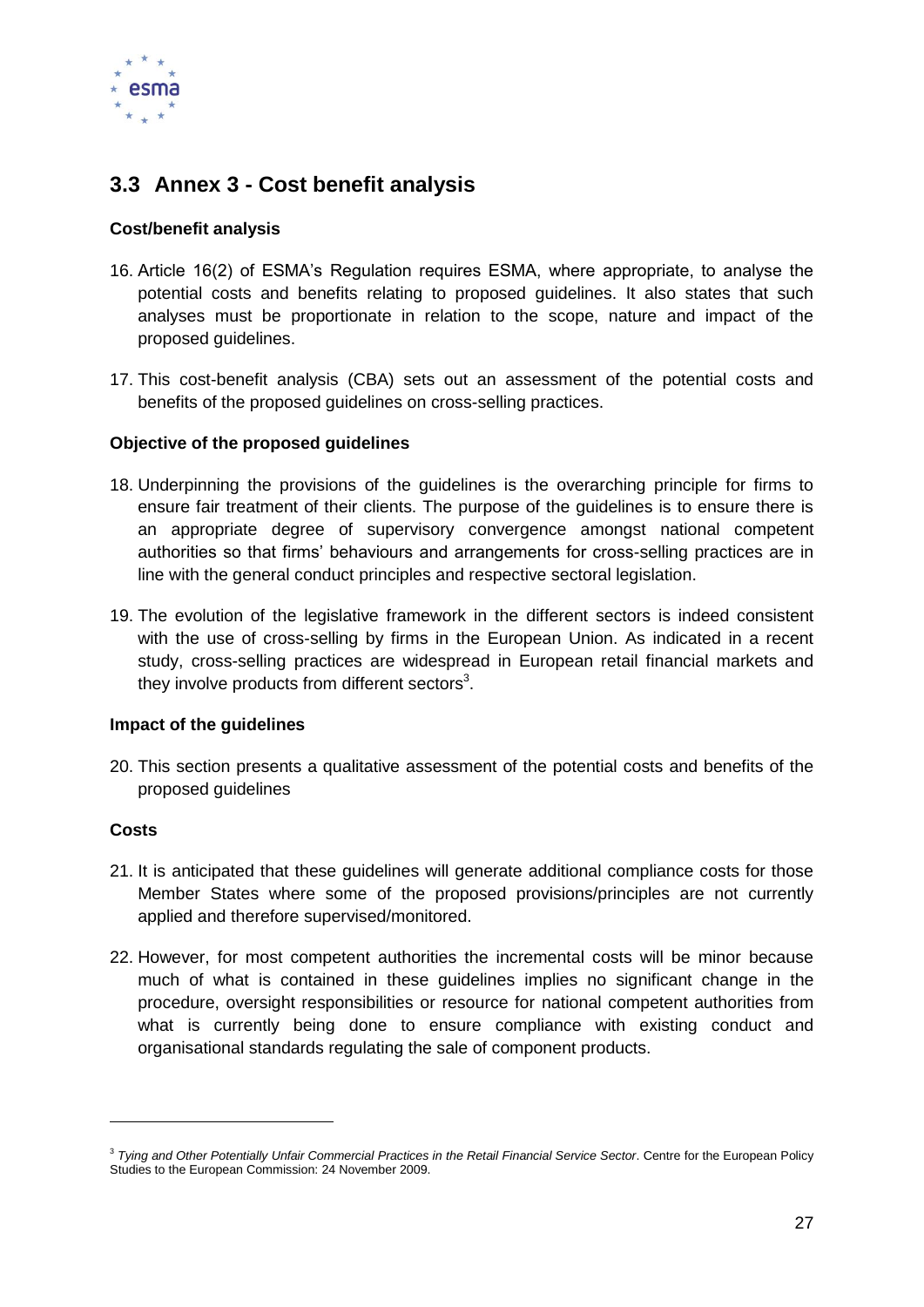

# <span id="page-27-0"></span>**3.3 Annex 3 - Cost benefit analysis**

#### **Cost/benefit analysis**

- 16. Article 16(2) of ESMA's Regulation requires ESMA, where appropriate, to analyse the potential costs and benefits relating to proposed guidelines. It also states that such analyses must be proportionate in relation to the scope, nature and impact of the proposed guidelines.
- 17. This cost-benefit analysis (CBA) sets out an assessment of the potential costs and benefits of the proposed guidelines on cross-selling practices.

#### **Objective of the proposed guidelines**

- 18. Underpinning the provisions of the guidelines is the overarching principle for firms to ensure fair treatment of their clients. The purpose of the guidelines is to ensure there is an appropriate degree of supervisory convergence amongst national competent authorities so that firms' behaviours and arrangements for cross-selling practices are in line with the general conduct principles and respective sectoral legislation.
- 19. The evolution of the legislative framework in the different sectors is indeed consistent with the use of cross-selling by firms in the European Union. As indicated in a recent study, cross-selling practices are widespread in European retail financial markets and they involve products from different sectors<sup>3</sup>.

#### **Impact of the guidelines**

20. This section presents a qualitative assessment of the potential costs and benefits of the proposed guidelines

# **Costs**

-

- 21. It is anticipated that these guidelines will generate additional compliance costs for those Member States where some of the proposed provisions/principles are not currently applied and therefore supervised/monitored.
- 22. However, for most competent authorities the incremental costs will be minor because much of what is contained in these guidelines implies no significant change in the procedure, oversight responsibilities or resource for national competent authorities from what is currently being done to ensure compliance with existing conduct and organisational standards regulating the sale of component products.

<sup>3</sup> *Tying and Other Potentially Unfair Commercial Practices in the Retail Financial Service Sector*. Centre for the European Policy Studies to the European Commission: 24 November 2009.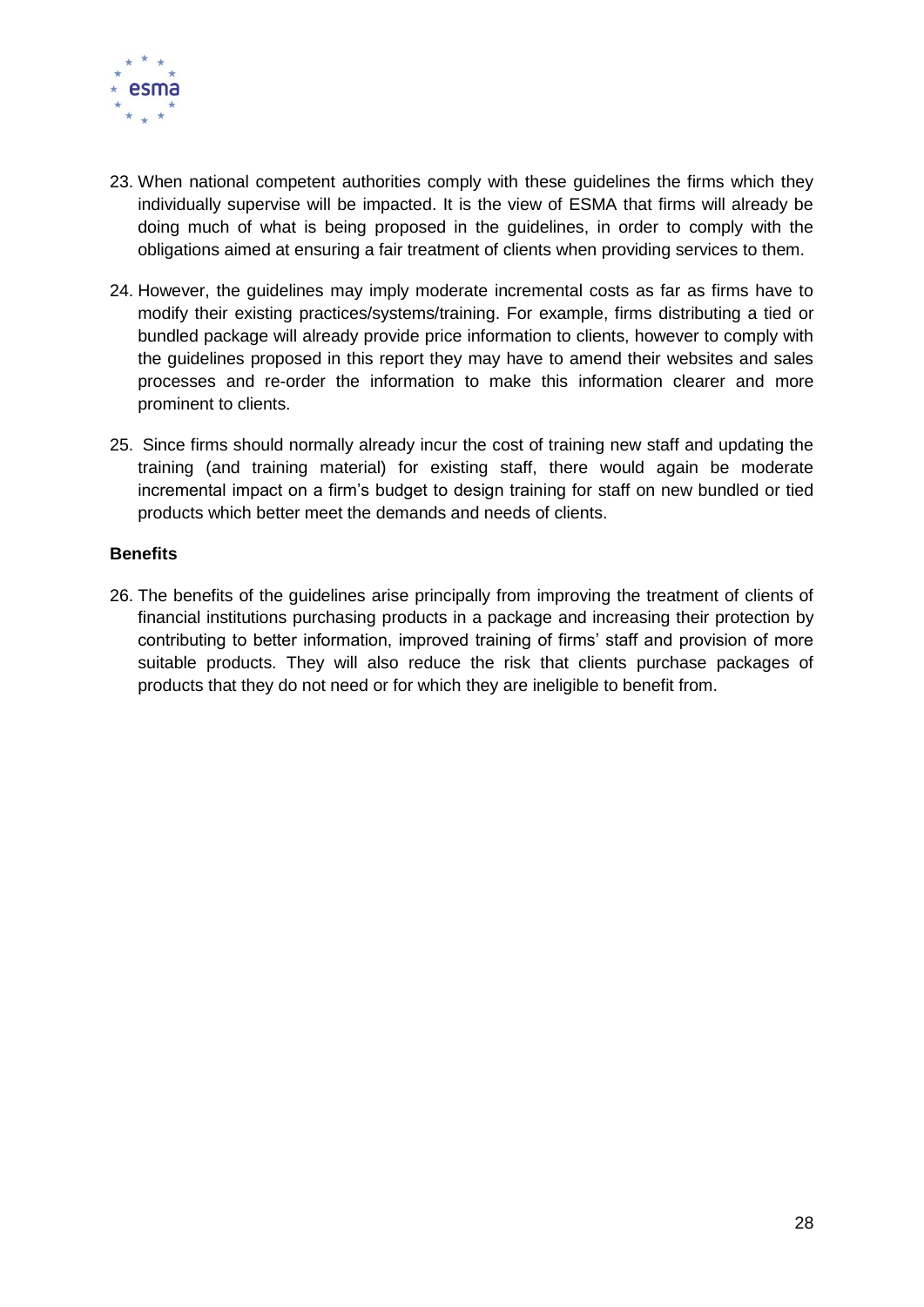

- 23. When national competent authorities comply with these guidelines the firms which they individually supervise will be impacted. It is the view of ESMA that firms will already be doing much of what is being proposed in the guidelines, in order to comply with the obligations aimed at ensuring a fair treatment of clients when providing services to them.
- 24. However, the guidelines may imply moderate incremental costs as far as firms have to modify their existing practices/systems/training. For example, firms distributing a tied or bundled package will already provide price information to clients, however to comply with the guidelines proposed in this report they may have to amend their websites and sales processes and re-order the information to make this information clearer and more prominent to clients.
- 25. Since firms should normally already incur the cost of training new staff and updating the training (and training material) for existing staff, there would again be moderate incremental impact on a firm's budget to design training for staff on new bundled or tied products which better meet the demands and needs of clients.

#### **Benefits**

26. The benefits of the guidelines arise principally from improving the treatment of clients of financial institutions purchasing products in a package and increasing their protection by contributing to better information, improved training of firms' staff and provision of more suitable products. They will also reduce the risk that clients purchase packages of products that they do not need or for which they are ineligible to benefit from.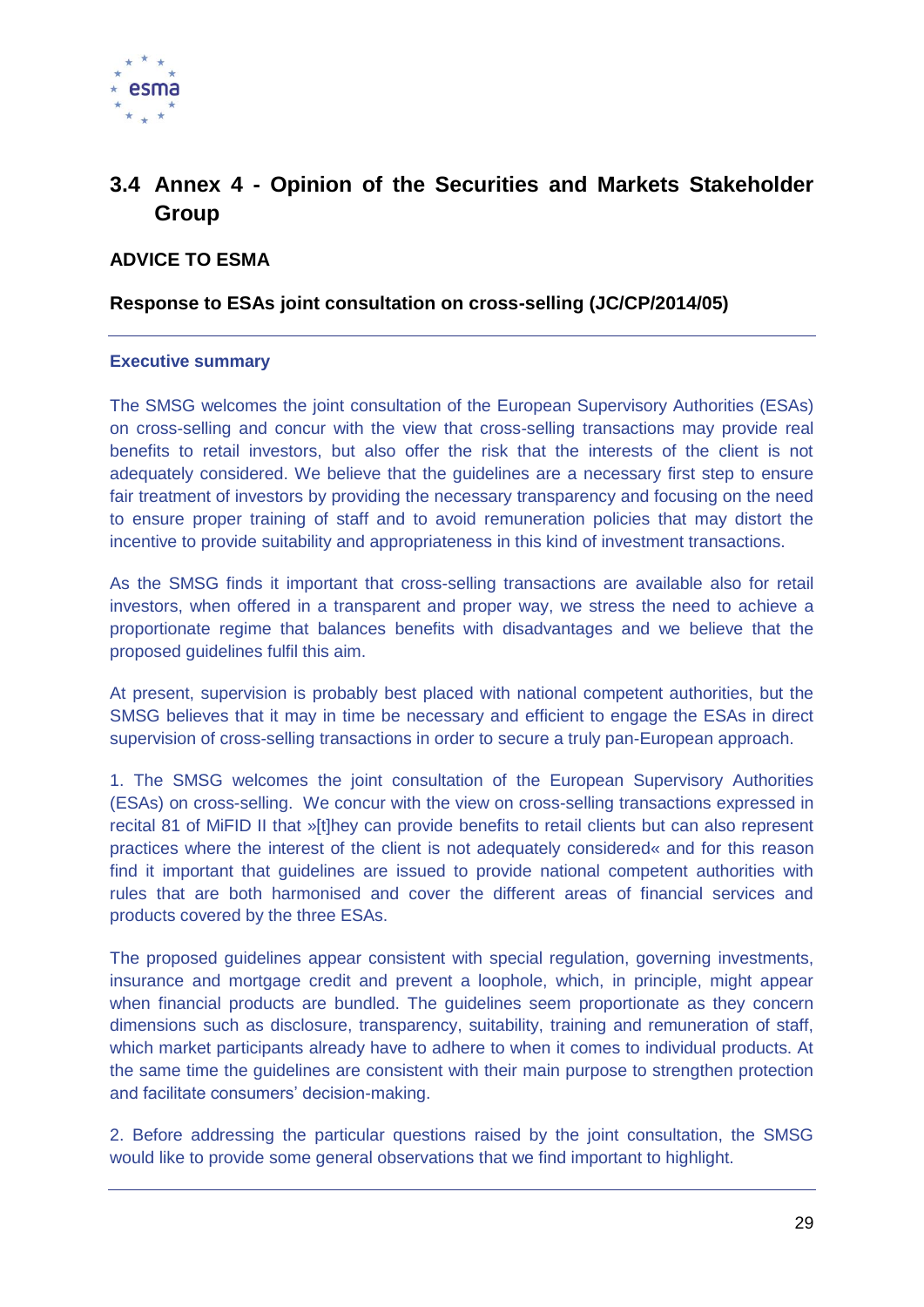

# <span id="page-29-0"></span>**3.4 Annex 4 - Opinion of the Securities and Markets Stakeholder Group**

# **ADVICE TO ESMA**

#### **Response to ESAs joint consultation on cross-selling (JC/CP/2014/05)**

#### **Executive summary**

The SMSG welcomes the joint consultation of the European Supervisory Authorities (ESAs) on cross-selling and concur with the view that cross-selling transactions may provide real benefits to retail investors, but also offer the risk that the interests of the client is not adequately considered. We believe that the guidelines are a necessary first step to ensure fair treatment of investors by providing the necessary transparency and focusing on the need to ensure proper training of staff and to avoid remuneration policies that may distort the incentive to provide suitability and appropriateness in this kind of investment transactions.

As the SMSG finds it important that cross-selling transactions are available also for retail investors, when offered in a transparent and proper way, we stress the need to achieve a proportionate regime that balances benefits with disadvantages and we believe that the proposed guidelines fulfil this aim.

At present, supervision is probably best placed with national competent authorities, but the SMSG believes that it may in time be necessary and efficient to engage the ESAs in direct supervision of cross-selling transactions in order to secure a truly pan-European approach.

1. The SMSG welcomes the joint consultation of the European Supervisory Authorities (ESAs) on cross-selling. We concur with the view on cross-selling transactions expressed in recital 81 of MiFID II that »[t]hey can provide benefits to retail clients but can also represent practices where the interest of the client is not adequately considered« and for this reason find it important that guidelines are issued to provide national competent authorities with rules that are both harmonised and cover the different areas of financial services and products covered by the three ESAs.

The proposed guidelines appear consistent with special regulation, governing investments, insurance and mortgage credit and prevent a loophole, which, in principle, might appear when financial products are bundled. The guidelines seem proportionate as they concern dimensions such as disclosure, transparency, suitability, training and remuneration of staff, which market participants already have to adhere to when it comes to individual products. At the same time the guidelines are consistent with their main purpose to strengthen protection and facilitate consumers' decision-making.

2. Before addressing the particular questions raised by the joint consultation, the SMSG would like to provide some general observations that we find important to highlight.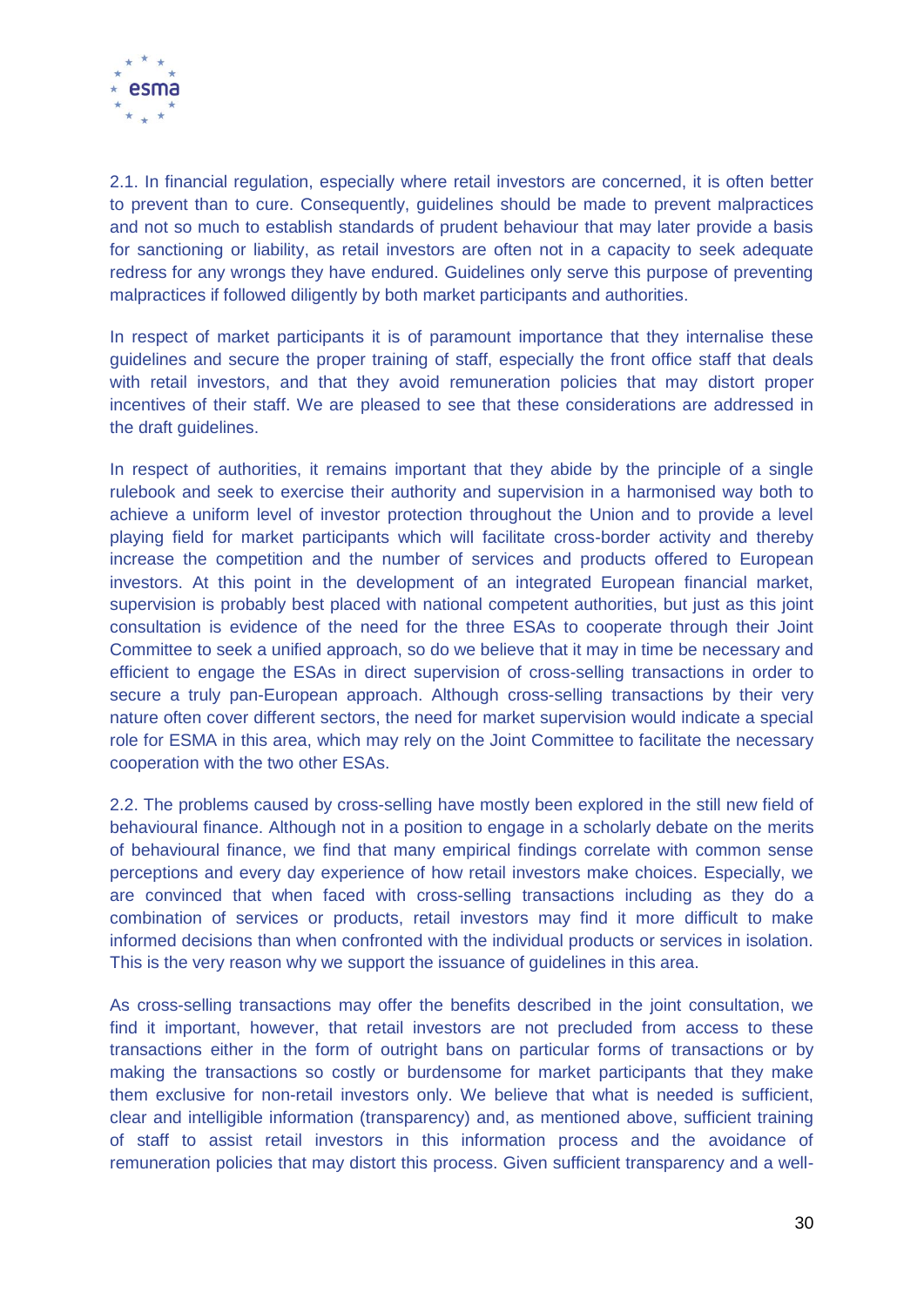

2.1. In financial regulation, especially where retail investors are concerned, it is often better to prevent than to cure. Consequently, guidelines should be made to prevent malpractices and not so much to establish standards of prudent behaviour that may later provide a basis for sanctioning or liability, as retail investors are often not in a capacity to seek adequate redress for any wrongs they have endured. Guidelines only serve this purpose of preventing malpractices if followed diligently by both market participants and authorities.

In respect of market participants it is of paramount importance that they internalise these guidelines and secure the proper training of staff, especially the front office staff that deals with retail investors, and that they avoid remuneration policies that may distort proper incentives of their staff. We are pleased to see that these considerations are addressed in the draft guidelines.

In respect of authorities, it remains important that they abide by the principle of a single rulebook and seek to exercise their authority and supervision in a harmonised way both to achieve a uniform level of investor protection throughout the Union and to provide a level playing field for market participants which will facilitate cross-border activity and thereby increase the competition and the number of services and products offered to European investors. At this point in the development of an integrated European financial market, supervision is probably best placed with national competent authorities, but just as this joint consultation is evidence of the need for the three ESAs to cooperate through their Joint Committee to seek a unified approach, so do we believe that it may in time be necessary and efficient to engage the ESAs in direct supervision of cross-selling transactions in order to secure a truly pan-European approach. Although cross-selling transactions by their very nature often cover different sectors, the need for market supervision would indicate a special role for ESMA in this area, which may rely on the Joint Committee to facilitate the necessary cooperation with the two other ESAs.

2.2. The problems caused by cross-selling have mostly been explored in the still new field of behavioural finance. Although not in a position to engage in a scholarly debate on the merits of behavioural finance, we find that many empirical findings correlate with common sense perceptions and every day experience of how retail investors make choices. Especially, we are convinced that when faced with cross-selling transactions including as they do a combination of services or products, retail investors may find it more difficult to make informed decisions than when confronted with the individual products or services in isolation. This is the very reason why we support the issuance of guidelines in this area.

As cross-selling transactions may offer the benefits described in the joint consultation, we find it important, however, that retail investors are not precluded from access to these transactions either in the form of outright bans on particular forms of transactions or by making the transactions so costly or burdensome for market participants that they make them exclusive for non-retail investors only. We believe that what is needed is sufficient, clear and intelligible information (transparency) and, as mentioned above, sufficient training of staff to assist retail investors in this information process and the avoidance of remuneration policies that may distort this process. Given sufficient transparency and a well-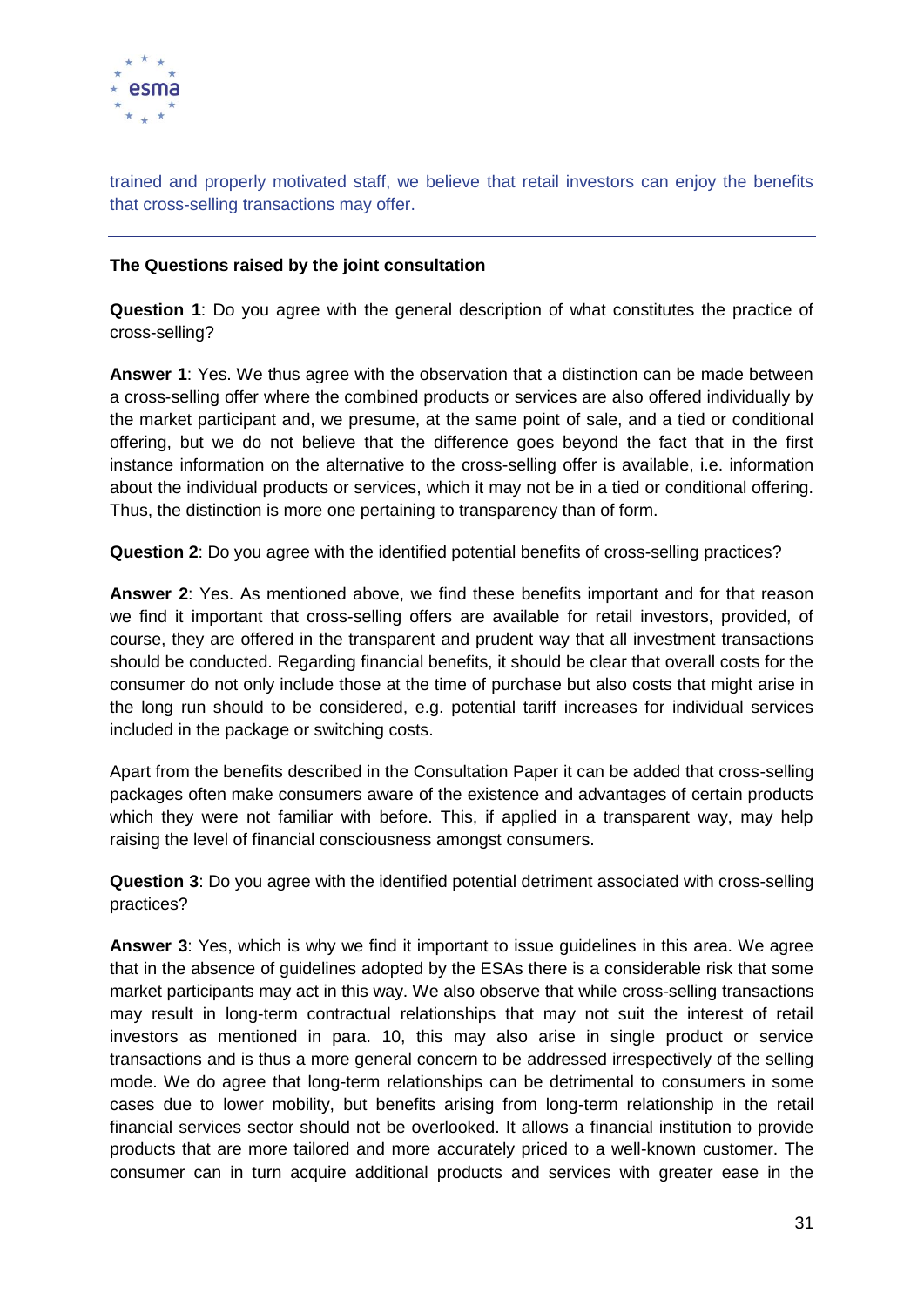

trained and properly motivated staff, we believe that retail investors can enjoy the benefits that cross-selling transactions may offer.

#### **The Questions raised by the joint consultation**

**Question 1**: Do you agree with the general description of what constitutes the practice of cross-selling?

**Answer 1**: Yes. We thus agree with the observation that a distinction can be made between a cross-selling offer where the combined products or services are also offered individually by the market participant and, we presume, at the same point of sale, and a tied or conditional offering, but we do not believe that the difference goes beyond the fact that in the first instance information on the alternative to the cross-selling offer is available, i.e. information about the individual products or services, which it may not be in a tied or conditional offering. Thus, the distinction is more one pertaining to transparency than of form.

**Question 2**: Do you agree with the identified potential benefits of cross-selling practices?

**Answer 2**: Yes. As mentioned above, we find these benefits important and for that reason we find it important that cross-selling offers are available for retail investors, provided, of course, they are offered in the transparent and prudent way that all investment transactions should be conducted. Regarding financial benefits, it should be clear that overall costs for the consumer do not only include those at the time of purchase but also costs that might arise in the long run should to be considered, e.g. potential tariff increases for individual services included in the package or switching costs.

Apart from the benefits described in the Consultation Paper it can be added that cross-selling packages often make consumers aware of the existence and advantages of certain products which they were not familiar with before. This, if applied in a transparent way, may help raising the level of financial consciousness amongst consumers.

**Question 3**: Do you agree with the identified potential detriment associated with cross-selling practices?

**Answer 3**: Yes, which is why we find it important to issue guidelines in this area. We agree that in the absence of guidelines adopted by the ESAs there is a considerable risk that some market participants may act in this way. We also observe that while cross-selling transactions may result in long-term contractual relationships that may not suit the interest of retail investors as mentioned in para. 10, this may also arise in single product or service transactions and is thus a more general concern to be addressed irrespectively of the selling mode. We do agree that long-term relationships can be detrimental to consumers in some cases due to lower mobility, but benefits arising from long-term relationship in the retail financial services sector should not be overlooked. It allows a financial institution to provide products that are more tailored and more accurately priced to a well-known customer. The consumer can in turn acquire additional products and services with greater ease in the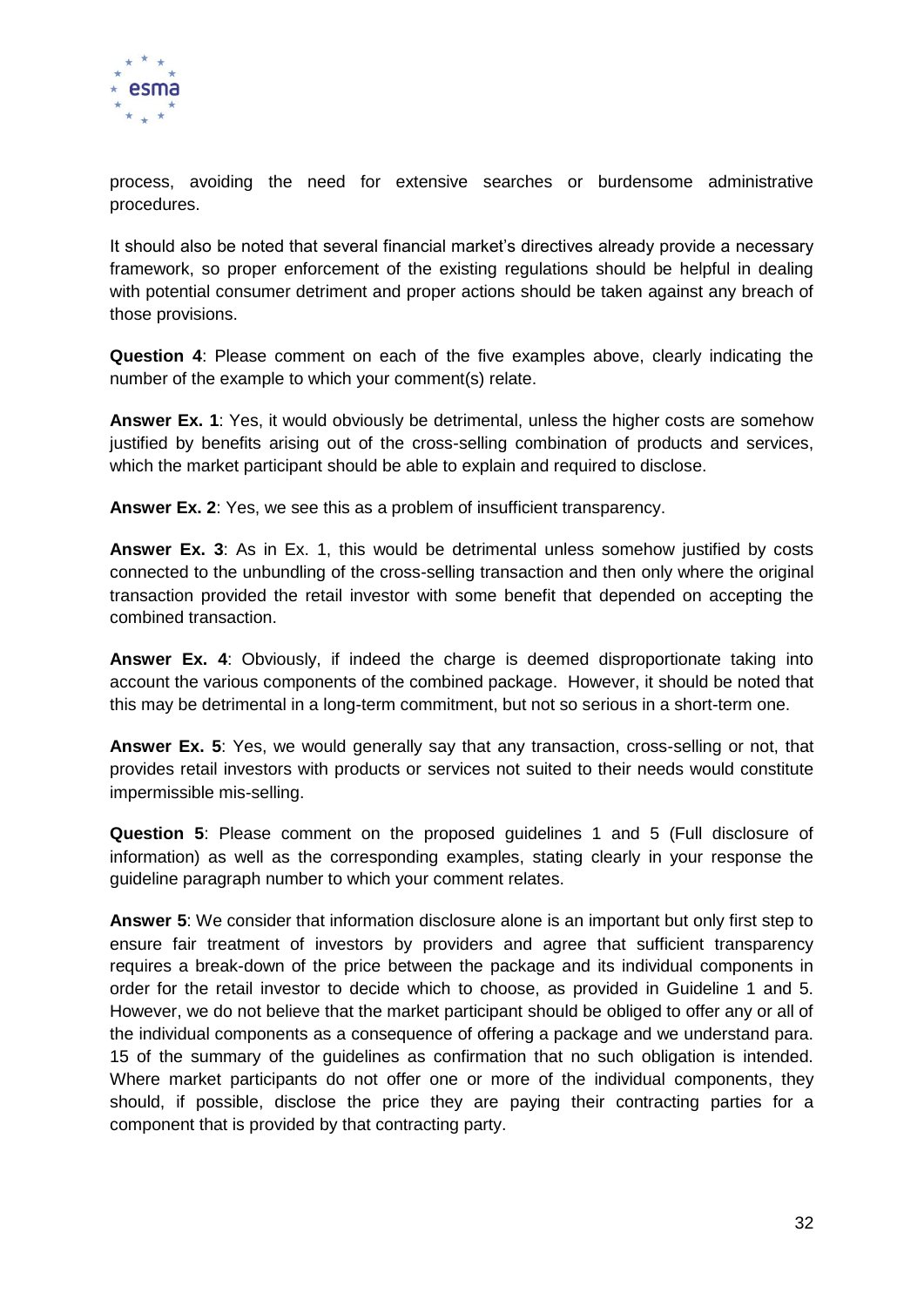

process, avoiding the need for extensive searches or burdensome administrative procedures.

It should also be noted that several financial market's directives already provide a necessary framework, so proper enforcement of the existing regulations should be helpful in dealing with potential consumer detriment and proper actions should be taken against any breach of those provisions.

**Question 4**: Please comment on each of the five examples above, clearly indicating the number of the example to which your comment(s) relate.

**Answer Ex. 1**: Yes, it would obviously be detrimental, unless the higher costs are somehow justified by benefits arising out of the cross-selling combination of products and services, which the market participant should be able to explain and required to disclose.

**Answer Ex. 2**: Yes, we see this as a problem of insufficient transparency.

**Answer Ex. 3**: As in Ex. 1, this would be detrimental unless somehow justified by costs connected to the unbundling of the cross-selling transaction and then only where the original transaction provided the retail investor with some benefit that depended on accepting the combined transaction.

**Answer Ex. 4**: Obviously, if indeed the charge is deemed disproportionate taking into account the various components of the combined package. However, it should be noted that this may be detrimental in a long-term commitment, but not so serious in a short-term one.

**Answer Ex. 5**: Yes, we would generally say that any transaction, cross-selling or not, that provides retail investors with products or services not suited to their needs would constitute impermissible mis-selling.

**Question 5**: Please comment on the proposed guidelines 1 and 5 (Full disclosure of information) as well as the corresponding examples, stating clearly in your response the guideline paragraph number to which your comment relates.

**Answer 5**: We consider that information disclosure alone is an important but only first step to ensure fair treatment of investors by providers and agree that sufficient transparency requires a break-down of the price between the package and its individual components in order for the retail investor to decide which to choose, as provided in Guideline 1 and 5. However, we do not believe that the market participant should be obliged to offer any or all of the individual components as a consequence of offering a package and we understand para. 15 of the summary of the guidelines as confirmation that no such obligation is intended. Where market participants do not offer one or more of the individual components, they should, if possible, disclose the price they are paying their contracting parties for a component that is provided by that contracting party.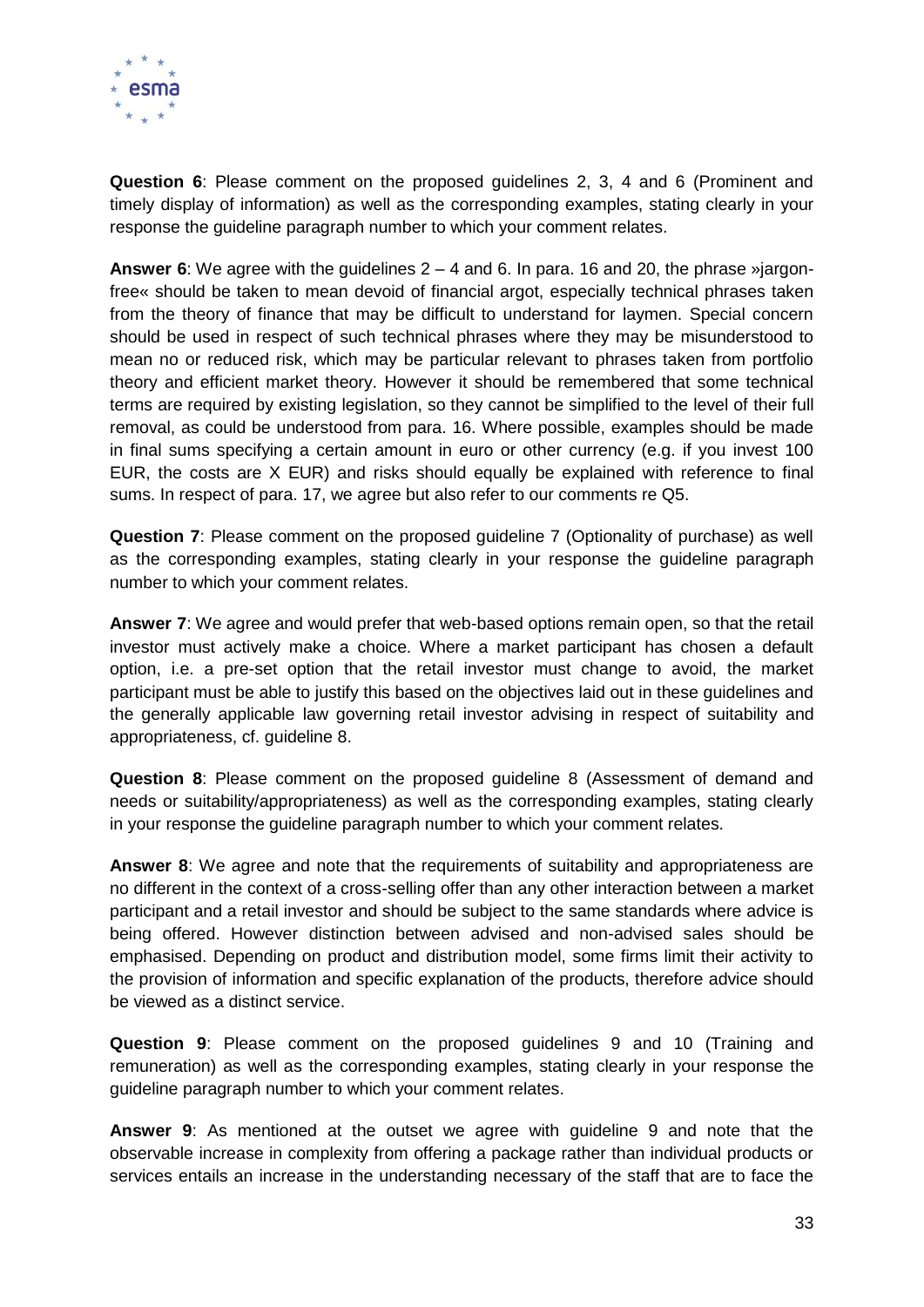

**Question 6**: Please comment on the proposed guidelines 2, 3, 4 and 6 (Prominent and timely display of information) as well as the corresponding examples, stating clearly in your response the guideline paragraph number to which your comment relates.

**Answer 6**: We agree with the guidelines 2 – 4 and 6. In para. 16 and 20, the phrase »jargonfree« should be taken to mean devoid of financial argot, especially technical phrases taken from the theory of finance that may be difficult to understand for laymen. Special concern should be used in respect of such technical phrases where they may be misunderstood to mean no or reduced risk, which may be particular relevant to phrases taken from portfolio theory and efficient market theory. However it should be remembered that some technical terms are required by existing legislation, so they cannot be simplified to the level of their full removal, as could be understood from para. 16. Where possible, examples should be made in final sums specifying a certain amount in euro or other currency (e.g. if you invest 100 EUR, the costs are X EUR) and risks should equally be explained with reference to final sums. In respect of para. 17, we agree but also refer to our comments re Q5.

**Question 7**: Please comment on the proposed guideline 7 (Optionality of purchase) as well as the corresponding examples, stating clearly in your response the guideline paragraph number to which your comment relates.

**Answer 7**: We agree and would prefer that web-based options remain open, so that the retail investor must actively make a choice. Where a market participant has chosen a default option, i.e. a pre-set option that the retail investor must change to avoid, the market participant must be able to justify this based on the objectives laid out in these guidelines and the generally applicable law governing retail investor advising in respect of suitability and appropriateness, cf. guideline 8.

**Question 8**: Please comment on the proposed guideline 8 (Assessment of demand and needs or suitability/appropriateness) as well as the corresponding examples, stating clearly in your response the guideline paragraph number to which your comment relates.

**Answer 8**: We agree and note that the requirements of suitability and appropriateness are no different in the context of a cross-selling offer than any other interaction between a market participant and a retail investor and should be subject to the same standards where advice is being offered. However distinction between advised and non-advised sales should be emphasised. Depending on product and distribution model, some firms limit their activity to the provision of information and specific explanation of the products, therefore advice should be viewed as a distinct service.

**Question 9**: Please comment on the proposed guidelines 9 and 10 (Training and remuneration) as well as the corresponding examples, stating clearly in your response the guideline paragraph number to which your comment relates.

**Answer 9**: As mentioned at the outset we agree with guideline 9 and note that the observable increase in complexity from offering a package rather than individual products or services entails an increase in the understanding necessary of the staff that are to face the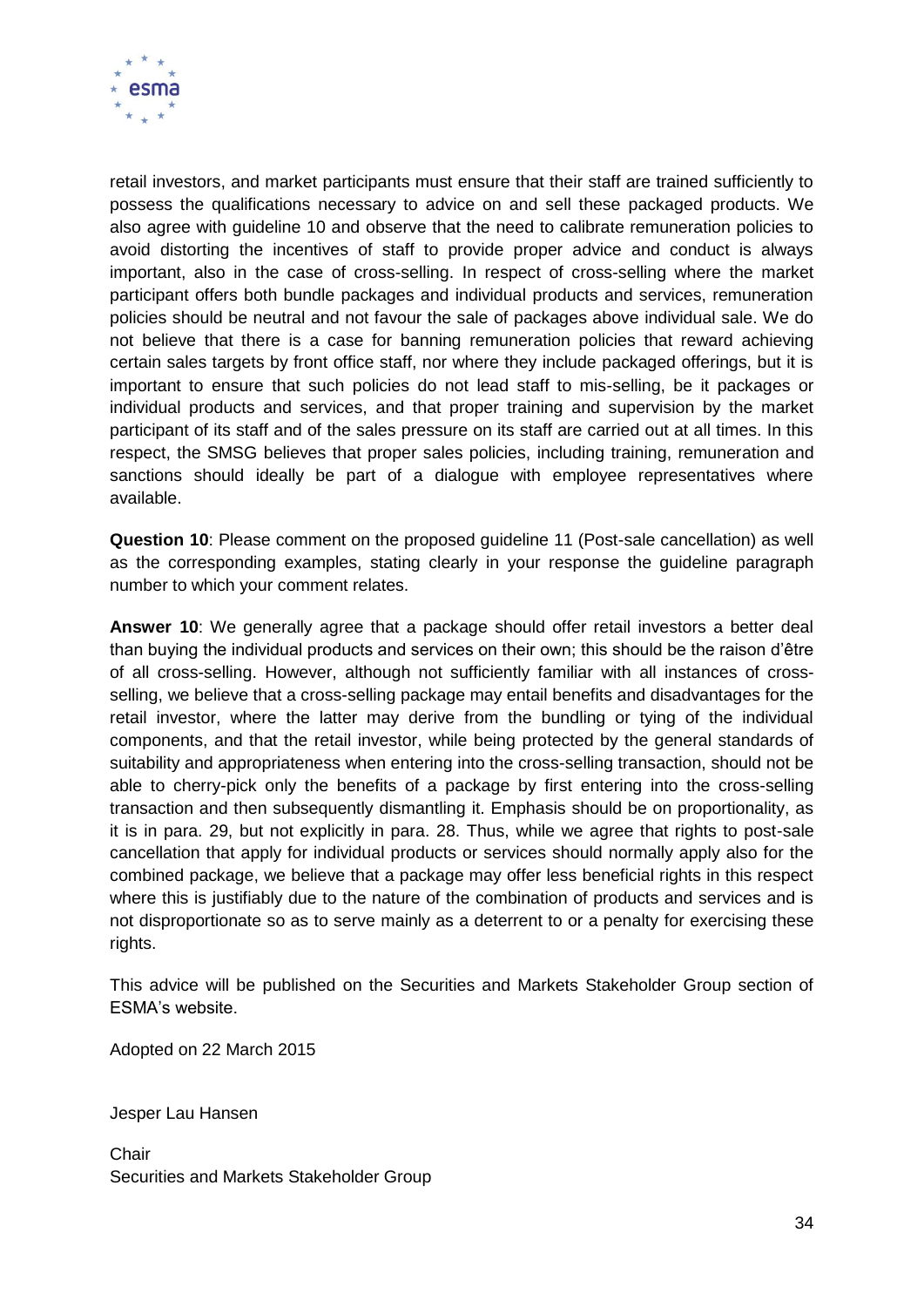

retail investors, and market participants must ensure that their staff are trained sufficiently to possess the qualifications necessary to advice on and sell these packaged products. We also agree with guideline 10 and observe that the need to calibrate remuneration policies to avoid distorting the incentives of staff to provide proper advice and conduct is always important, also in the case of cross-selling. In respect of cross-selling where the market participant offers both bundle packages and individual products and services, remuneration policies should be neutral and not favour the sale of packages above individual sale. We do not believe that there is a case for banning remuneration policies that reward achieving certain sales targets by front office staff, nor where they include packaged offerings, but it is important to ensure that such policies do not lead staff to mis-selling, be it packages or individual products and services, and that proper training and supervision by the market participant of its staff and of the sales pressure on its staff are carried out at all times. In this respect, the SMSG believes that proper sales policies, including training, remuneration and sanctions should ideally be part of a dialogue with employee representatives where available.

**Question 10**: Please comment on the proposed guideline 11 (Post-sale cancellation) as well as the corresponding examples, stating clearly in your response the guideline paragraph number to which your comment relates.

**Answer 10**: We generally agree that a package should offer retail investors a better deal than buying the individual products and services on their own; this should be the raison d'être of all cross-selling. However, although not sufficiently familiar with all instances of crossselling, we believe that a cross-selling package may entail benefits and disadvantages for the retail investor, where the latter may derive from the bundling or tying of the individual components, and that the retail investor, while being protected by the general standards of suitability and appropriateness when entering into the cross-selling transaction, should not be able to cherry-pick only the benefits of a package by first entering into the cross-selling transaction and then subsequently dismantling it. Emphasis should be on proportionality, as it is in para. 29, but not explicitly in para. 28. Thus, while we agree that rights to post-sale cancellation that apply for individual products or services should normally apply also for the combined package, we believe that a package may offer less beneficial rights in this respect where this is justifiably due to the nature of the combination of products and services and is not disproportionate so as to serve mainly as a deterrent to or a penalty for exercising these rights.

This advice will be published on the Securities and Markets Stakeholder Group section of ESMA's website.

Adopted on 22 March 2015

Jesper Lau Hansen

**Chair** Securities and Markets Stakeholder Group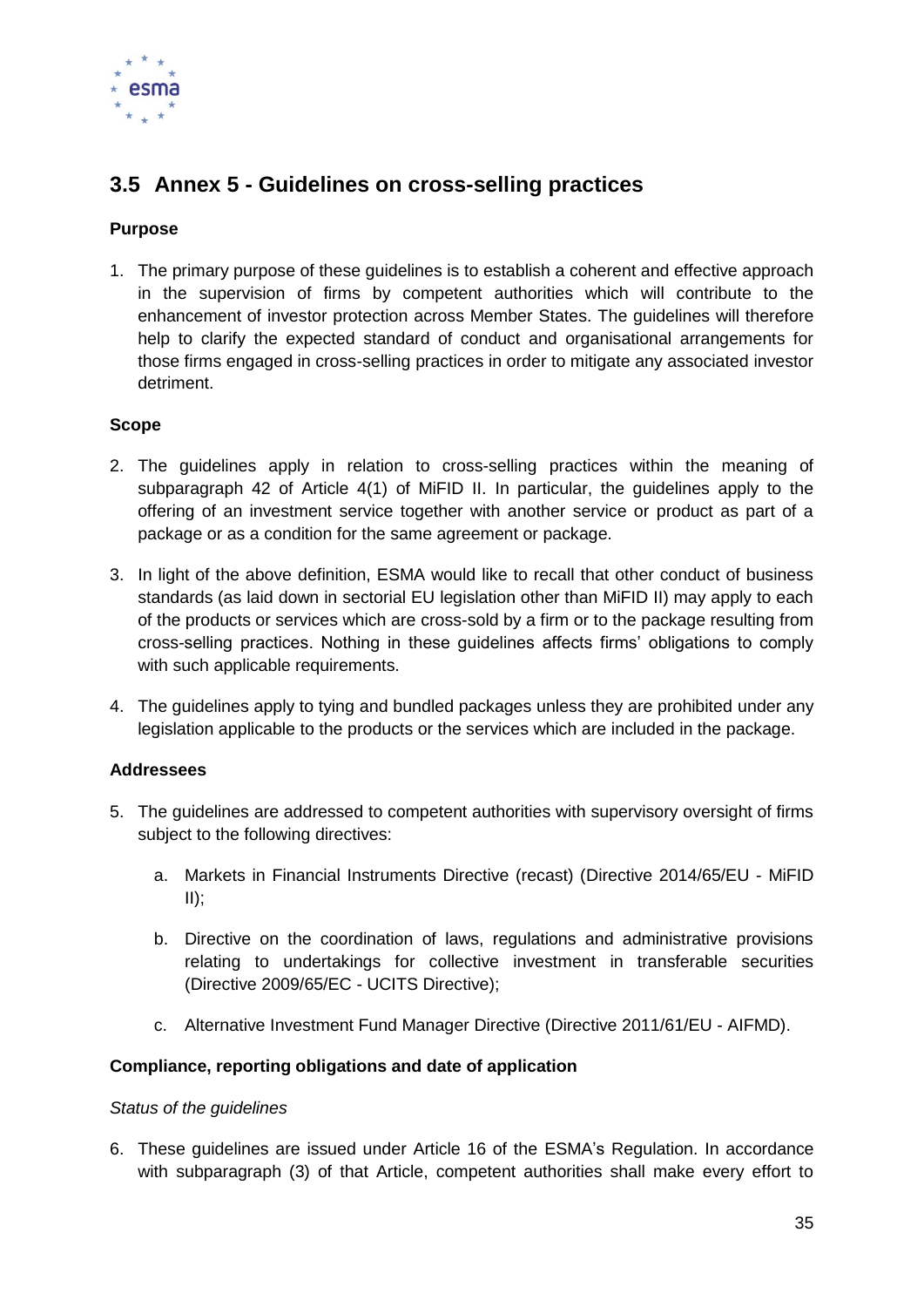

# <span id="page-35-0"></span>**3.5 Annex 5 - Guidelines on cross-selling practices**

## **Purpose**

1. The primary purpose of these guidelines is to establish a coherent and effective approach in the supervision of firms by competent authorities which will contribute to the enhancement of investor protection across Member States. The guidelines will therefore help to clarify the expected standard of conduct and organisational arrangements for those firms engaged in cross-selling practices in order to mitigate any associated investor detriment.

#### **Scope**

- 2. The guidelines apply in relation to cross-selling practices within the meaning of subparagraph 42 of Article 4(1) of MiFID II. In particular, the guidelines apply to the offering of an investment service together with another service or product as part of a package or as a condition for the same agreement or package.
- 3. In light of the above definition, ESMA would like to recall that other conduct of business standards (as laid down in sectorial EU legislation other than MiFID II) may apply to each of the products or services which are cross-sold by a firm or to the package resulting from cross-selling practices. Nothing in these guidelines affects firms' obligations to comply with such applicable requirements.
- 4. The guidelines apply to tying and bundled packages unless they are prohibited under any legislation applicable to the products or the services which are included in the package.

#### **Addressees**

- 5. The guidelines are addressed to competent authorities with supervisory oversight of firms subject to the following directives:
	- a. Markets in Financial Instruments Directive (recast) (Directive 2014/65/EU MiFID  $II)$ ;
	- b. Directive on the coordination of laws, regulations and administrative provisions relating to undertakings for collective investment in transferable securities (Directive 2009/65/EC - UCITS Directive);
	- c. Alternative Investment Fund Manager Directive (Directive 2011/61/EU AIFMD).

#### **Compliance, reporting obligations and date of application**

#### *Status of the guidelines*

6. These guidelines are issued under Article 16 of the ESMA's Regulation. In accordance with subparagraph (3) of that Article, competent authorities shall make every effort to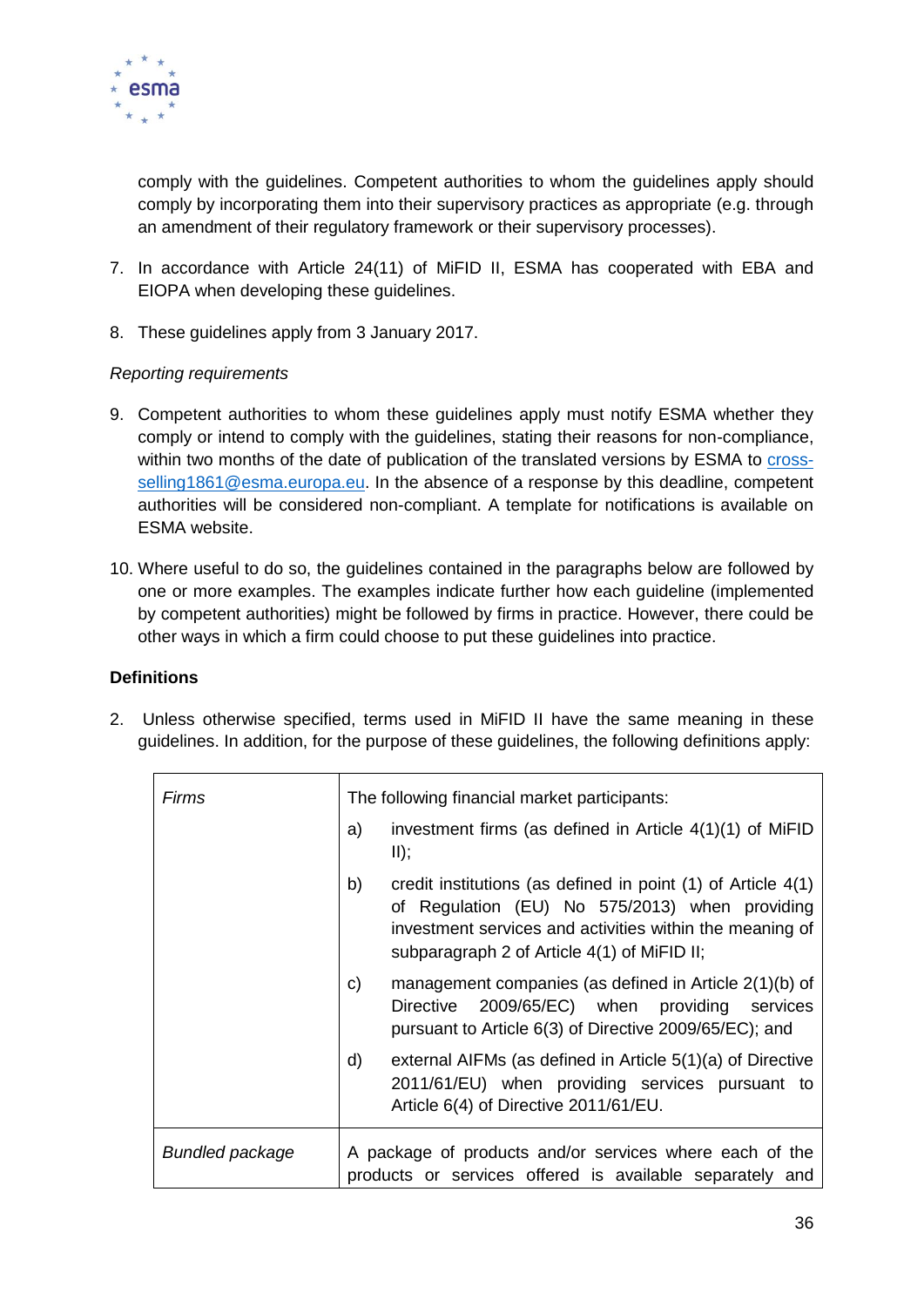

comply with the guidelines. Competent authorities to whom the guidelines apply should comply by incorporating them into their supervisory practices as appropriate (e.g. through an amendment of their regulatory framework or their supervisory processes).

- 7. In accordance with Article 24(11) of MiFID II, ESMA has cooperated with EBA and EIOPA when developing these guidelines.
- 8. These guidelines apply from 3 January 2017.

#### *Reporting requirements*

- 9. Competent authorities to whom these guidelines apply must notify ESMA whether they comply or intend to comply with the guidelines, stating their reasons for non-compliance, within two months of the date of publication of the translated versions by ESMA to [cross](mailto:cross-selling1861@esma.europa.eu)[selling1861@esma.europa.eu.](mailto:cross-selling1861@esma.europa.eu) In the absence of a response by this deadline, competent authorities will be considered non-compliant. A template for notifications is available on ESMA website.
- 10. Where useful to do so, the guidelines contained in the paragraphs below are followed by one or more examples. The examples indicate further how each guideline (implemented by competent authorities) might be followed by firms in practice. However, there could be other ways in which a firm could choose to put these guidelines into practice.

#### **Definitions**

2. Unless otherwise specified, terms used in MiFID II have the same meaning in these guidelines. In addition, for the purpose of these guidelines, the following definitions apply:

| Firms                  | The following financial market participants: |                                                                                                                                                                                                                           |  |
|------------------------|----------------------------------------------|---------------------------------------------------------------------------------------------------------------------------------------------------------------------------------------------------------------------------|--|
|                        | a)                                           | investment firms (as defined in Article $4(1)(1)$ of MiFID<br>II);                                                                                                                                                        |  |
|                        | b)                                           | credit institutions (as defined in point (1) of Article 4(1)<br>of Regulation (EU) No 575/2013) when providing<br>investment services and activities within the meaning of<br>subparagraph 2 of Article 4(1) of MiFID II; |  |
|                        | C)                                           | management companies (as defined in Article 2(1)(b) of<br>Directive 2009/65/EC) when providing services<br>pursuant to Article 6(3) of Directive 2009/65/EC); and                                                         |  |
|                        | d)                                           | external AIFMs (as defined in Article 5(1)(a) of Directive<br>2011/61/EU) when providing services pursuant to<br>Article 6(4) of Directive 2011/61/EU.                                                                    |  |
| <b>Bundled package</b> |                                              | A package of products and/or services where each of the<br>products or services offered is available separately and                                                                                                       |  |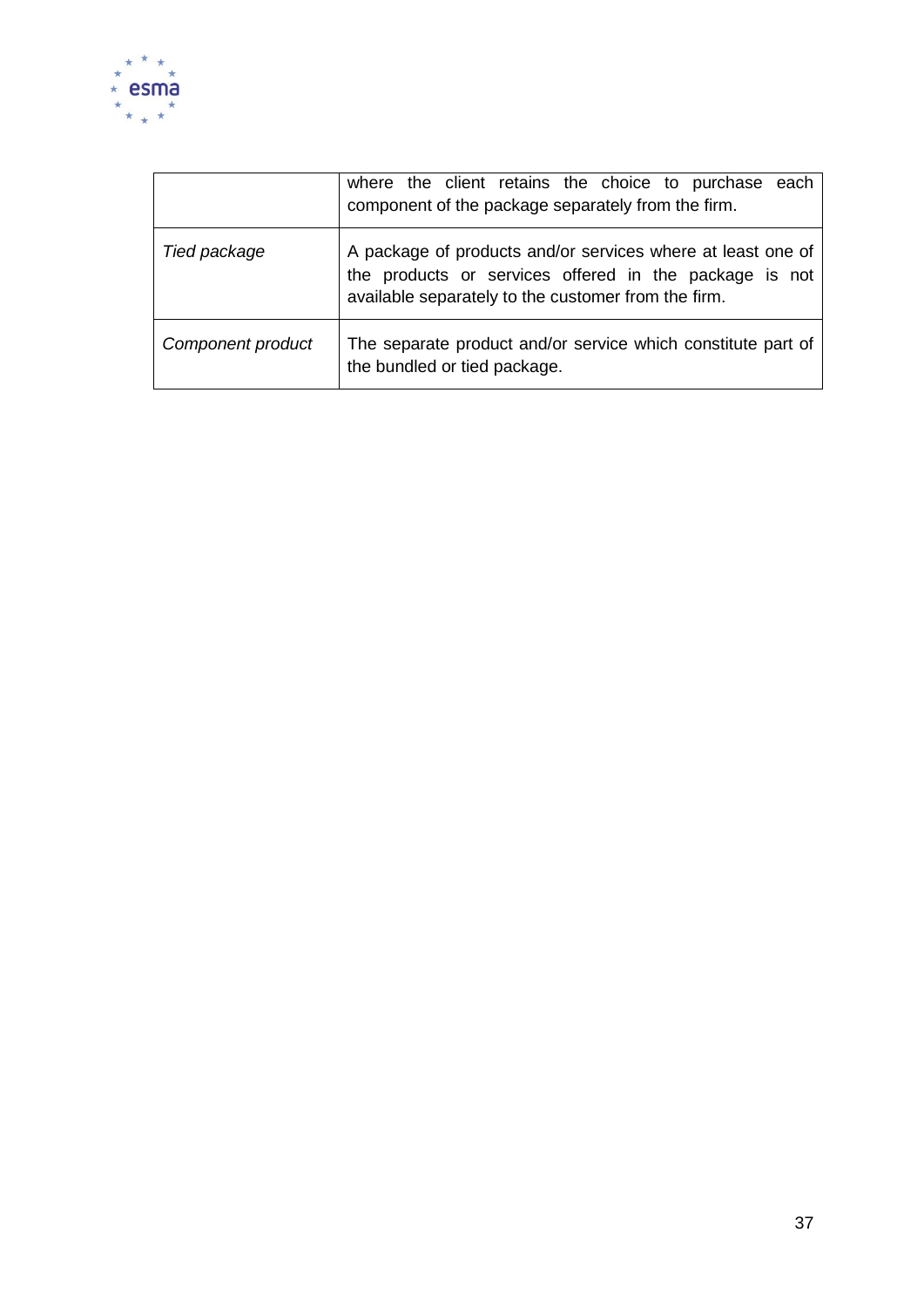

|                   | where the client retains the choice to purchase each<br>component of the package separately from the firm.                                                                   |
|-------------------|------------------------------------------------------------------------------------------------------------------------------------------------------------------------------|
| Tied package      | A package of products and/or services where at least one of<br>the products or services offered in the package is not<br>available separately to the customer from the firm. |
| Component product | The separate product and/or service which constitute part of<br>the bundled or tied package.                                                                                 |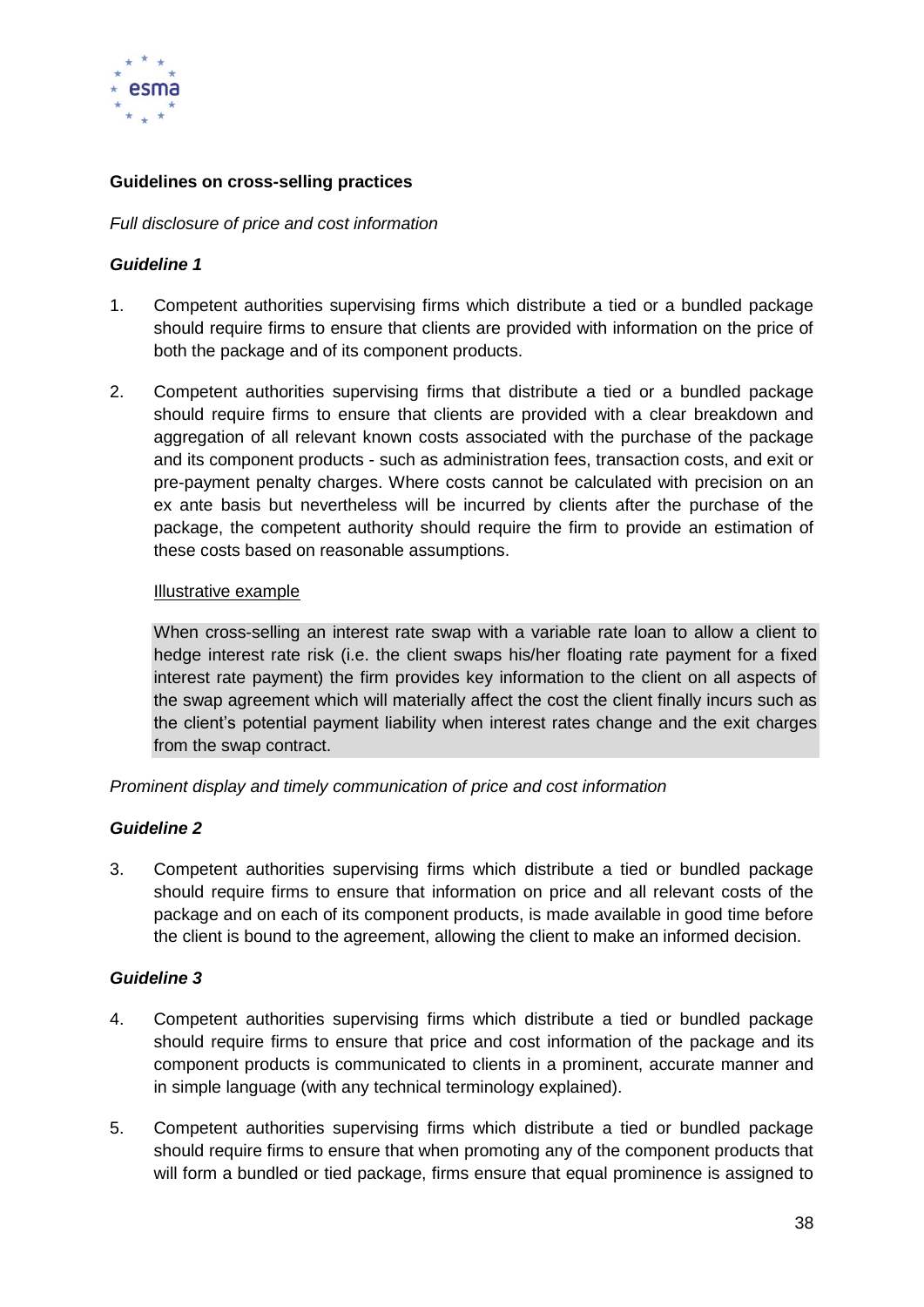

#### **Guidelines on cross-selling practices**

#### *Full disclosure of price and cost information*

#### *Guideline 1*

- 1. Competent authorities supervising firms which distribute a tied or a bundled package should require firms to ensure that clients are provided with information on the price of both the package and of its component products.
- 2. Competent authorities supervising firms that distribute a tied or a bundled package should require firms to ensure that clients are provided with a clear breakdown and aggregation of all relevant known costs associated with the purchase of the package and its component products - such as administration fees, transaction costs, and exit or pre-payment penalty charges. Where costs cannot be calculated with precision on an ex ante basis but nevertheless will be incurred by clients after the purchase of the package, the competent authority should require the firm to provide an estimation of these costs based on reasonable assumptions.

#### Illustrative example

When cross-selling an interest rate swap with a variable rate loan to allow a client to hedge interest rate risk (i.e. the client swaps his/her floating rate payment for a fixed interest rate payment) the firm provides key information to the client on all aspects of the swap agreement which will materially affect the cost the client finally incurs such as the client's potential payment liability when interest rates change and the exit charges from the swap contract.

*Prominent display and timely communication of price and cost information* 

#### *Guideline 2*

3. Competent authorities supervising firms which distribute a tied or bundled package should require firms to ensure that information on price and all relevant costs of the package and on each of its component products, is made available in good time before the client is bound to the agreement, allowing the client to make an informed decision.

#### *Guideline 3*

- 4. Competent authorities supervising firms which distribute a tied or bundled package should require firms to ensure that price and cost information of the package and its component products is communicated to clients in a prominent, accurate manner and in simple language (with any technical terminology explained).
- 5. Competent authorities supervising firms which distribute a tied or bundled package should require firms to ensure that when promoting any of the component products that will form a bundled or tied package, firms ensure that equal prominence is assigned to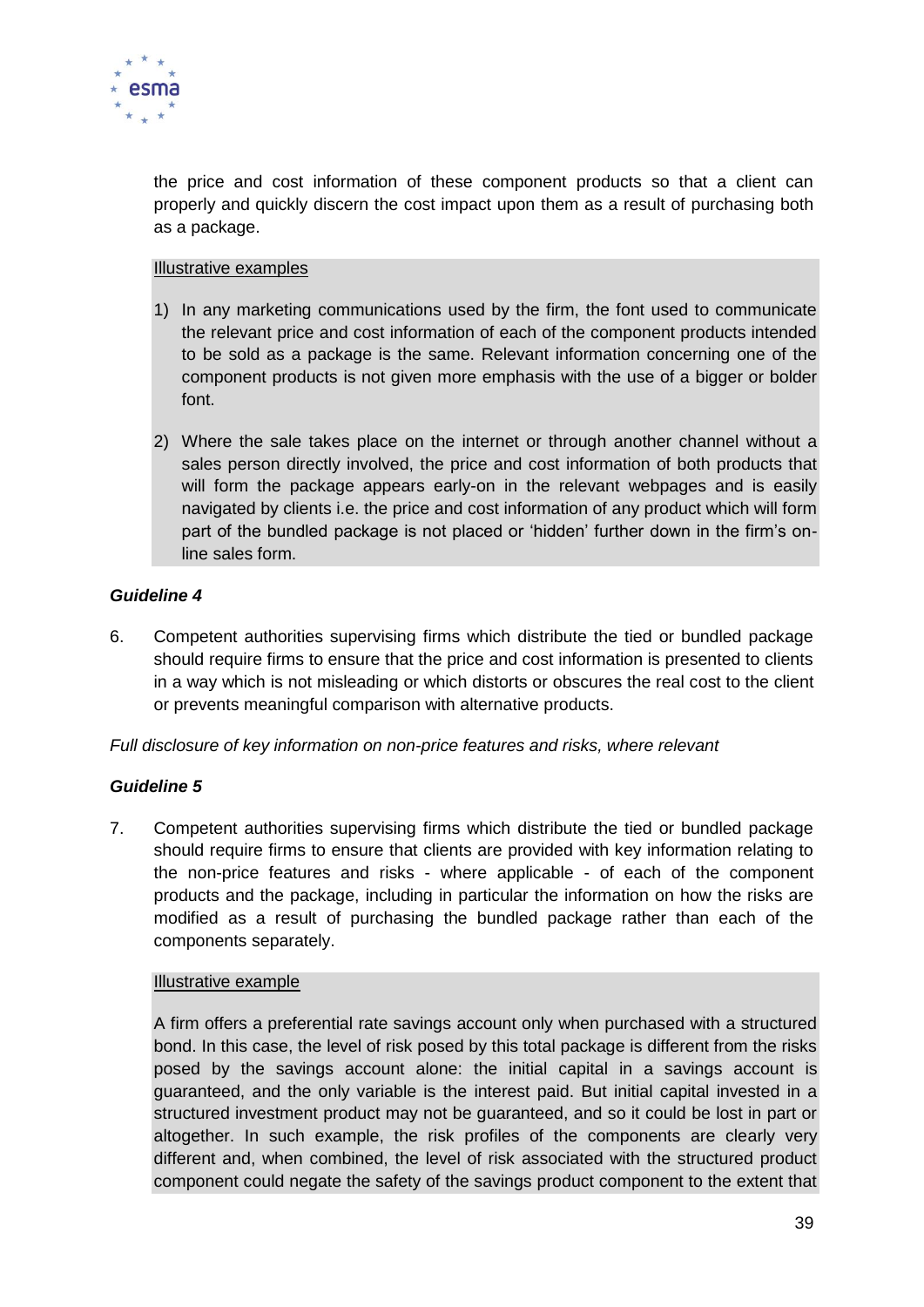

the price and cost information of these component products so that a client can properly and quickly discern the cost impact upon them as a result of purchasing both as a package.

#### Illustrative examples

- 1) In any marketing communications used by the firm, the font used to communicate the relevant price and cost information of each of the component products intended to be sold as a package is the same. Relevant information concerning one of the component products is not given more emphasis with the use of a bigger or bolder font.
- 2) Where the sale takes place on the internet or through another channel without a sales person directly involved, the price and cost information of both products that will form the package appears early-on in the relevant webpages and is easily navigated by clients i.e. the price and cost information of any product which will form part of the bundled package is not placed or 'hidden' further down in the firm's online sales form.

#### *Guideline 4*

6. Competent authorities supervising firms which distribute the tied or bundled package should require firms to ensure that the price and cost information is presented to clients in a way which is not misleading or which distorts or obscures the real cost to the client or prevents meaningful comparison with alternative products.

*Full disclosure of key information on non-price features and risks, where relevant*

#### *Guideline 5*

7. Competent authorities supervising firms which distribute the tied or bundled package should require firms to ensure that clients are provided with key information relating to the non-price features and risks - where applicable - of each of the component products and the package, including in particular the information on how the risks are modified as a result of purchasing the bundled package rather than each of the components separately.

#### Illustrative example

A firm offers a preferential rate savings account only when purchased with a structured bond. In this case, the level of risk posed by this total package is different from the risks posed by the savings account alone: the initial capital in a savings account is guaranteed, and the only variable is the interest paid. But initial capital invested in a structured investment product may not be guaranteed, and so it could be lost in part or altogether. In such example, the risk profiles of the components are clearly very different and, when combined, the level of risk associated with the structured product component could negate the safety of the savings product component to the extent that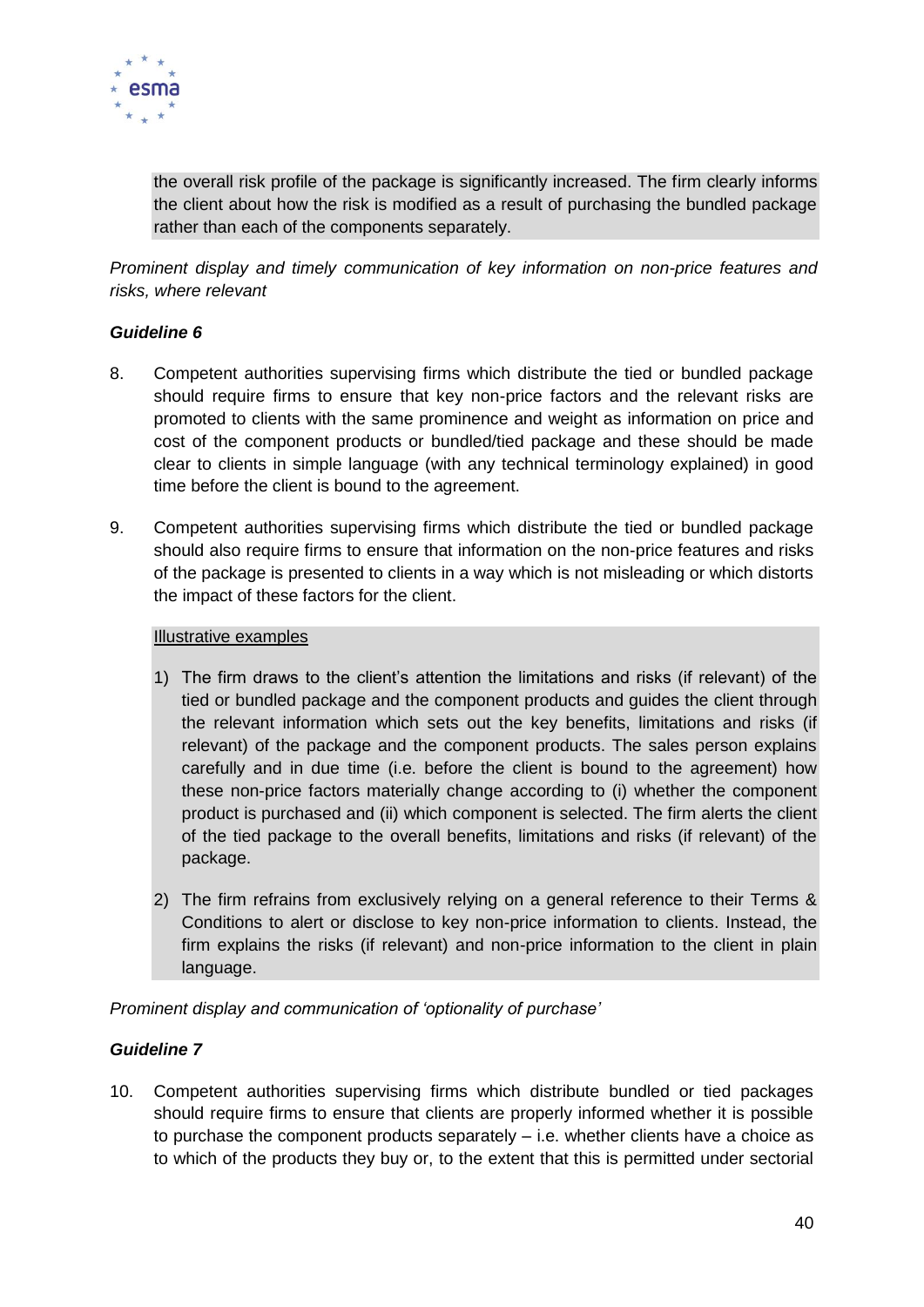

the overall risk profile of the package is significantly increased. The firm clearly informs the client about how the risk is modified as a result of purchasing the bundled package rather than each of the components separately.

*Prominent display and timely communication of key information on non-price features and risks, where relevant* 

#### *Guideline 6*

- 8. Competent authorities supervising firms which distribute the tied or bundled package should require firms to ensure that key non-price factors and the relevant risks are promoted to clients with the same prominence and weight as information on price and cost of the component products or bundled/tied package and these should be made clear to clients in simple language (with any technical terminology explained) in good time before the client is bound to the agreement.
- 9. Competent authorities supervising firms which distribute the tied or bundled package should also require firms to ensure that information on the non-price features and risks of the package is presented to clients in a way which is not misleading or which distorts the impact of these factors for the client.

#### Illustrative examples

- 1) The firm draws to the client's attention the limitations and risks (if relevant) of the tied or bundled package and the component products and guides the client through the relevant information which sets out the key benefits, limitations and risks (if relevant) of the package and the component products. The sales person explains carefully and in due time (i.e. before the client is bound to the agreement) how these non-price factors materially change according to (i) whether the component product is purchased and (ii) which component is selected. The firm alerts the client of the tied package to the overall benefits, limitations and risks (if relevant) of the package.
- 2) The firm refrains from exclusively relying on a general reference to their Terms & Conditions to alert or disclose to key non-price information to clients. Instead, the firm explains the risks (if relevant) and non-price information to the client in plain language.

*Prominent display and communication of 'optionality of purchase'*

# *Guideline 7*

10. Competent authorities supervising firms which distribute bundled or tied packages should require firms to ensure that clients are properly informed whether it is possible to purchase the component products separately – i.e. whether clients have a choice as to which of the products they buy or, to the extent that this is permitted under sectorial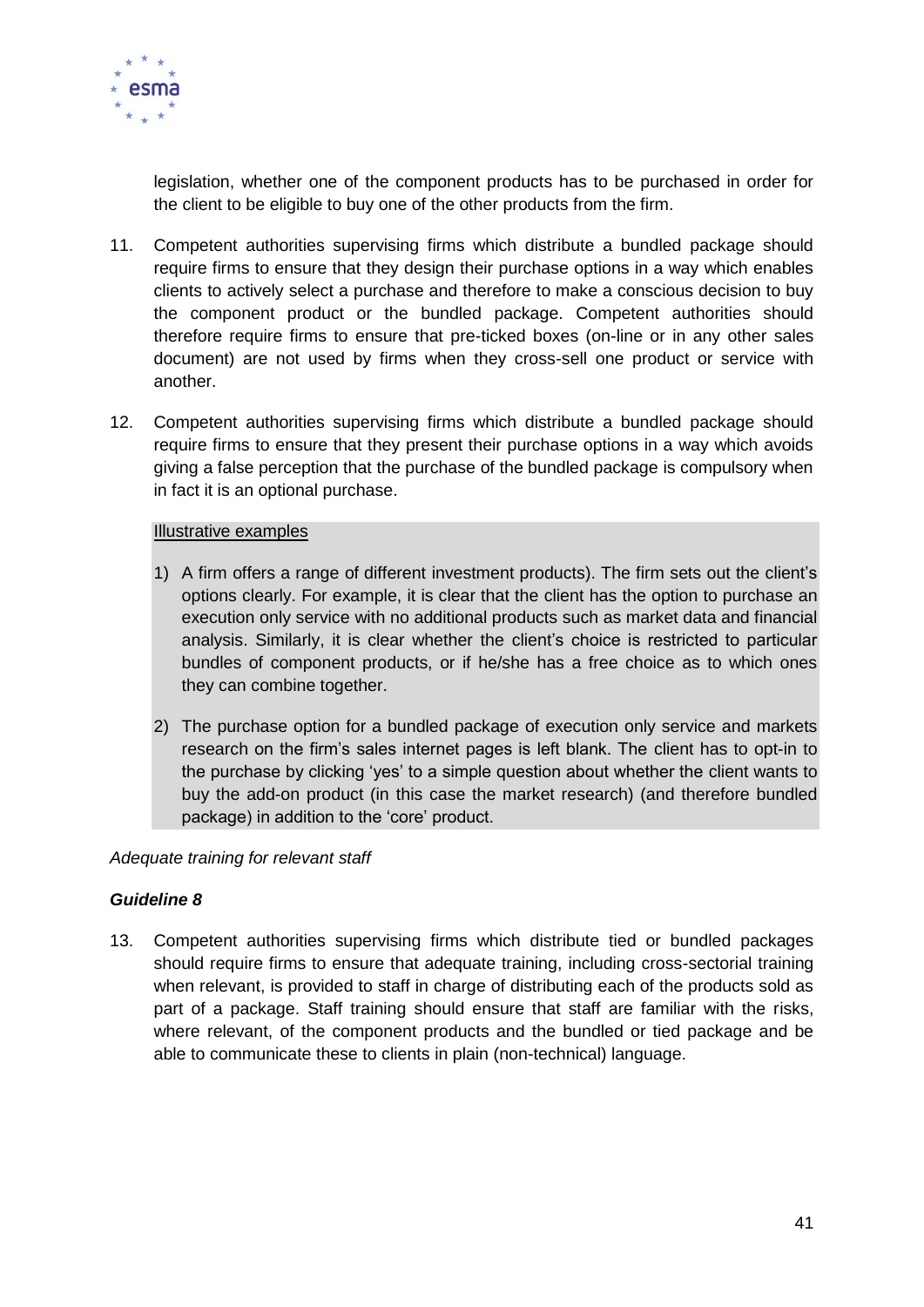

legislation, whether one of the component products has to be purchased in order for the client to be eligible to buy one of the other products from the firm.

- 11. Competent authorities supervising firms which distribute a bundled package should require firms to ensure that they design their purchase options in a way which enables clients to actively select a purchase and therefore to make a conscious decision to buy the component product or the bundled package. Competent authorities should therefore require firms to ensure that pre-ticked boxes (on-line or in any other sales document) are not used by firms when they cross-sell one product or service with another.
- 12. Competent authorities supervising firms which distribute a bundled package should require firms to ensure that they present their purchase options in a way which avoids giving a false perception that the purchase of the bundled package is compulsory when in fact it is an optional purchase.

#### Illustrative examples

- 1) A firm offers a range of different investment products). The firm sets out the client's options clearly. For example, it is clear that the client has the option to purchase an execution only service with no additional products such as market data and financial analysis. Similarly, it is clear whether the client's choice is restricted to particular bundles of component products, or if he/she has a free choice as to which ones they can combine together.
- 2) The purchase option for a bundled package of execution only service and markets research on the firm's sales internet pages is left blank. The client has to opt-in to the purchase by clicking 'yes' to a simple question about whether the client wants to buy the add-on product (in this case the market research) (and therefore bundled package) in addition to the 'core' product.

#### *Adequate training for relevant staff*

#### *Guideline 8*

13. Competent authorities supervising firms which distribute tied or bundled packages should require firms to ensure that adequate training, including cross-sectorial training when relevant, is provided to staff in charge of distributing each of the products sold as part of a package. Staff training should ensure that staff are familiar with the risks, where relevant, of the component products and the bundled or tied package and be able to communicate these to clients in plain (non-technical) language.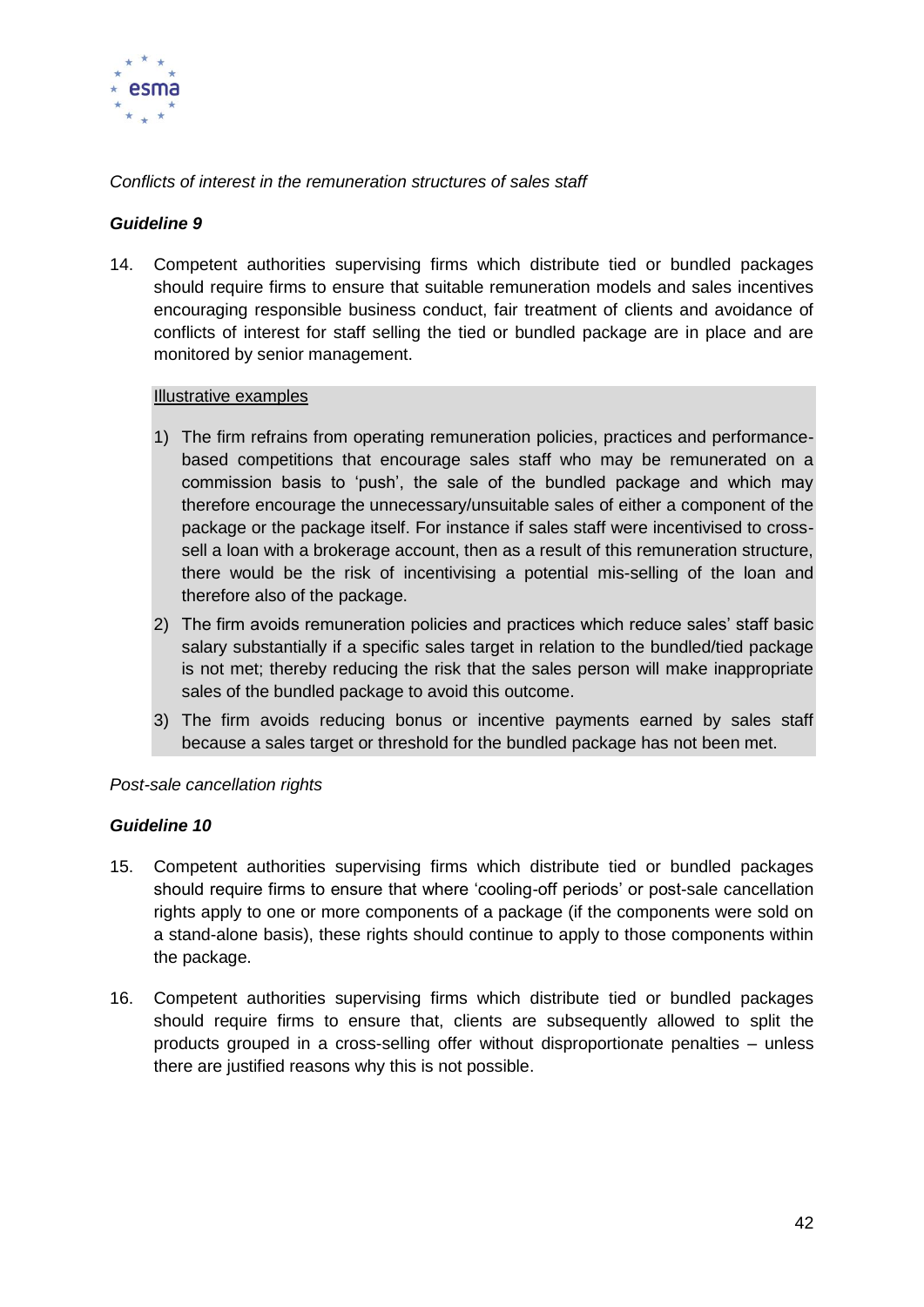

*Conflicts of interest in the remuneration structures of sales staff*

## *Guideline 9*

14. Competent authorities supervising firms which distribute tied or bundled packages should require firms to ensure that suitable remuneration models and sales incentives encouraging responsible business conduct, fair treatment of clients and avoidance of conflicts of interest for staff selling the tied or bundled package are in place and are monitored by senior management.

#### Illustrative examples

- 1) The firm refrains from operating remuneration policies, practices and performancebased competitions that encourage sales staff who may be remunerated on a commission basis to 'push', the sale of the bundled package and which may therefore encourage the unnecessary/unsuitable sales of either a component of the package or the package itself. For instance if sales staff were incentivised to crosssell a loan with a brokerage account, then as a result of this remuneration structure, there would be the risk of incentivising a potential mis-selling of the loan and therefore also of the package.
- 2) The firm avoids remuneration policies and practices which reduce sales' staff basic salary substantially if a specific sales target in relation to the bundled/tied package is not met; thereby reducing the risk that the sales person will make inappropriate sales of the bundled package to avoid this outcome.
- 3) The firm avoids reducing bonus or incentive payments earned by sales staff because a sales target or threshold for the bundled package has not been met.

#### *Post-sale cancellation rights*

#### *Guideline 10*

- 15. Competent authorities supervising firms which distribute tied or bundled packages should require firms to ensure that where 'cooling-off periods' or post-sale cancellation rights apply to one or more components of a package (if the components were sold on a stand-alone basis), these rights should continue to apply to those components within the package.
- 16. Competent authorities supervising firms which distribute tied or bundled packages should require firms to ensure that, clients are subsequently allowed to split the products grouped in a cross-selling offer without disproportionate penalties – unless there are justified reasons why this is not possible.